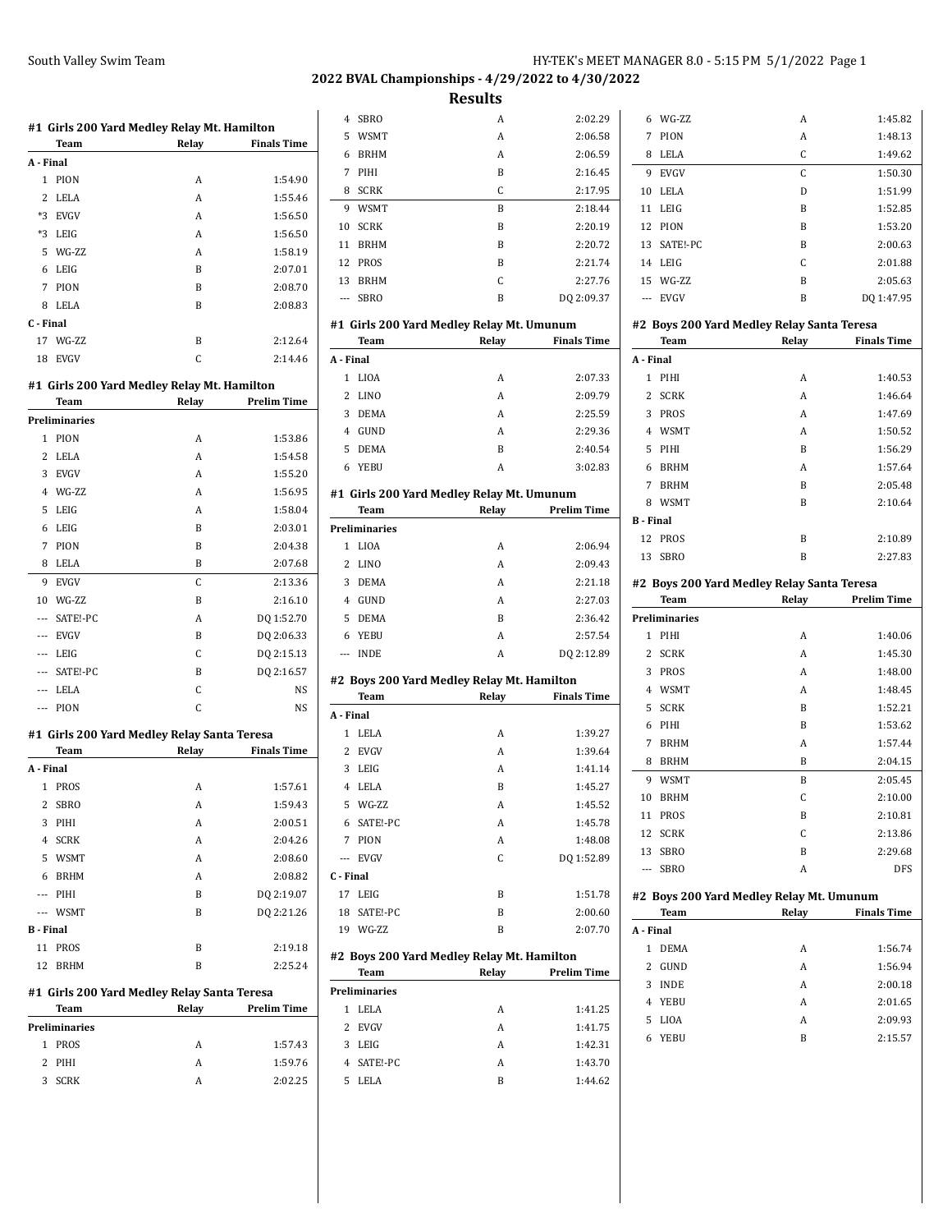**2022 BVAL Championships - 4/29/2022 to 4/30/2022**

**Results**

|       |                              | #1 Girls 200 Yard Medley Relay Mt. Hamilton |                    |
|-------|------------------------------|---------------------------------------------|--------------------|
|       | Team                         | Relay                                       | <b>Finals Time</b> |
|       | A - Final                    |                                             |                    |
|       | 1<br>PION                    | A                                           | 1:54.90            |
|       | 2<br><b>LELA</b>             | A                                           | 1:55.46            |
| $*3$  | EVGV                         | A                                           | 1:56.50            |
|       | *3 LEIG                      | A                                           | 1:56.50            |
|       | 5<br>WG-ZZ                   | A                                           | 1:58.19            |
|       | LEIG<br>6                    | B                                           | 2:07.01            |
|       | 7<br>PION                    | B                                           | 2:08.70            |
|       | <b>LELA</b><br>8             | B                                           | 2:08.83            |
|       | C - Final                    |                                             |                    |
| 17    | WG-ZZ                        | B                                           | 2:12.64            |
| 18    | <b>EVGV</b>                  | C                                           | 2:14.46            |
|       |                              |                                             |                    |
|       |                              | #1 Girls 200 Yard Medley Relay Mt. Hamilton |                    |
|       | Team<br><b>Preliminaries</b> | Relay                                       | <b>Prelim Time</b> |
|       |                              |                                             |                    |
|       | 1<br>PION<br>2               | А<br>A                                      | 1:53.86            |
|       | LELA<br>3<br><b>EVGV</b>     | A                                           | 1:54.58<br>1:55.20 |
|       | 4 WG-ZZ                      | A                                           |                    |
|       |                              |                                             | 1:56.95            |
|       | 5<br>LEIG                    | A                                           | 1:58.04            |
|       | 6<br>LEIG                    | B                                           | 2:03.01            |
|       | 7<br>PION                    | B                                           | 2:04.38            |
|       | LELA<br>8                    | B                                           | 2:07.68            |
|       | 9<br><b>EVGV</b>             | C                                           | 2:13.36            |
| 10    | WG-ZZ                        | B                                           | 2:16.10            |
|       | SATE!-PC<br>$\cdots$         | A                                           | DQ 1:52.70         |
| ---   | <b>EVGV</b>                  | B                                           | DQ 2:06.33         |
| $---$ | LEIG                         | C                                           | DQ 2:15.13         |
|       | --- SATE!-PC                 | B                                           | DQ 2:16.57         |
| $---$ | LELA                         | C                                           | NS                 |
| ---   | PION                         | C                                           | NS                 |
|       |                              | #1 Girls 200 Yard Medley Relay Santa Teresa |                    |
|       | Team                         | Relay                                       | <b>Finals Time</b> |
|       | A - Final                    |                                             |                    |
|       | 1<br>PROS                    | A                                           | 1:57.61            |
|       | 2 SBRO                       | A                                           | 1:59.43            |
|       | 3<br>PIHI                    | A                                           | 2:00.51            |
|       | SCRK<br>4                    | A                                           | 2:04.26            |
|       | 5 WSMT                       | A                                           | 2:08.60            |
|       | 6<br>BRHM                    | A                                           | 2:08.82            |
|       | --- PIHI                     | B                                           | DQ 2:19.07         |
|       | --- WSMT                     | B                                           | DQ 2:21.26         |
|       | <b>B</b> - Final             |                                             |                    |
| 11    | <b>PROS</b>                  | B                                           | 2:19.18            |
| 12    | <b>BRHM</b>                  | B                                           | 2:25.24            |
|       |                              | #1 Girls 200 Yard Medley Relay Santa Teresa |                    |
|       | Team                         | Relay                                       | <b>Prelim Time</b> |
|       | Preliminaries                |                                             |                    |

1 PROS A 1:57.43 2 PIHI A 1:59.76 3 SCRK A 2:02.25

| $\overline{4}$ | <b>SBRO</b> | А | 2:02.29    |
|----------------|-------------|---|------------|
| 5              | <b>WSMT</b> | A | 2:06.58    |
| 6              | <b>BRHM</b> | A | 2:06.59    |
| 7              | PIHI        | B | 2:16.45    |
| 8              | <b>SCRK</b> | C | 2:17.95    |
| 9              | <b>WSMT</b> | B | 2:18.44    |
| 10             | <b>SCRK</b> | B | 2:20.19    |
| 11             | <b>BRHM</b> | B | 2:20.72    |
| 12             | <b>PROS</b> | B | 2:21.74    |
| 13             | <b>BRHM</b> | C | 2.27.76    |
| ---            | <b>SBRO</b> | B | DQ 2:09.37 |
|                |             |   |            |

#### **#1 Girls 200 Yard Medley Relay Mt. Umunum**

|                                           | Team                                       | Relay | <b>Finals Time</b> |  |  |
|-------------------------------------------|--------------------------------------------|-------|--------------------|--|--|
| A - Final                                 |                                            |       |                    |  |  |
| $\mathbf{1}$                              | <b>LIOA</b>                                | A     | 2:07.33            |  |  |
| $\overline{2}$                            | <b>LINO</b>                                | A     | 2:09.79            |  |  |
| 3                                         | <b>DEMA</b>                                | A     | 2:25.59            |  |  |
| $\overline{4}$                            | GUND                                       | A     | 2:29.36            |  |  |
| 5                                         | <b>DEMA</b>                                | B     | 2:40.54            |  |  |
| 6                                         | <b>YEBU</b>                                | A     | 3:02.83            |  |  |
| #1 Girls 200 Yard Medley Relay Mt. Umunum |                                            |       |                    |  |  |
|                                           | Team                                       | Relay | <b>Prelim Time</b> |  |  |
|                                           | Preliminaries                              |       |                    |  |  |
| 1                                         | <b>LIOA</b>                                | A     | 2:06.94            |  |  |
| 2                                         | <b>LINO</b>                                | A     | 2:09.43            |  |  |
| 3                                         | <b>DEMA</b>                                | A     | 2:21.18            |  |  |
| $\overline{4}$                            | <b>GUND</b>                                | A     | 2:27.03            |  |  |
| 5                                         | <b>DEMA</b>                                | B     | 2:36.42            |  |  |
| 6                                         | YEBU                                       | A     | 2:57.54            |  |  |
| ---                                       | <b>INDE</b>                                | A     | DQ 2:12.89         |  |  |
|                                           | #2 Boys 200 Yard Medley Relay Mt. Hamilton |       |                    |  |  |
|                                           | Team                                       | Relay | <b>Finals Time</b> |  |  |
| A - Final                                 |                                            |       |                    |  |  |
| $\mathbf{1}$                              | LELA                                       | A     | 1:39.27            |  |  |
| $\overline{2}$                            | <b>EVGV</b>                                | A     | 1:39.64            |  |  |
| 3                                         | LEIG                                       | A     | 1:41.14            |  |  |
| $\overline{4}$                            | LELA                                       | B     | 1:45.27            |  |  |
| 5                                         | WG-ZZ                                      | A     | 1:45.52            |  |  |
| 6                                         | SATE!-PC                                   | A     | 1:45.78            |  |  |
| 7                                         | PION                                       | A     | 1:48.08            |  |  |
| ---                                       | <b>EVGV</b>                                | C     | DQ 1:52.89         |  |  |
| C - Final                                 |                                            |       |                    |  |  |
| 17                                        | LEIG                                       | B     | 1:51.78            |  |  |
| 18                                        | SATE!-PC                                   | B     | 2:00.60            |  |  |
| 19                                        | WG-ZZ                                      | B     | 2:07.70            |  |  |

#### **#2 Boys 200 Yard Medley Relay Mt. Hamilton**

|                      | Team       | Relay | <b>Prelim Time</b> |  |  |
|----------------------|------------|-------|--------------------|--|--|
| <b>Preliminaries</b> |            |       |                    |  |  |
| 1.                   | LELA       | A     | 1:41.25            |  |  |
|                      | 2 EVGV     | A     | 1:41.75            |  |  |
| 3                    | LEIG       | A     | 1:42.31            |  |  |
|                      | 4 SATE!-PC | A     | 1:43.70            |  |  |
| 5.                   | LELA       | B     | 1:44.62            |  |  |

|                | 6 WG-7.7    | A | 1:45.82    |
|----------------|-------------|---|------------|
| 7              | PION        | A | 1:48.13    |
| 8              | LELA        | C | 1:49.62    |
| 9              | <b>EVGV</b> | C | 1:50.30    |
|                | 10 LELA     | D | 1:51.99    |
|                | 11 LEIG     | B | 1:52.85    |
|                | 12 PION     | B | 1:53.20    |
|                | 13 SATE!-PC | B | 2:00.63    |
|                | 14 LEIG     | C | 2:01.88    |
|                | 15 WG-ZZ    | B | 2:05.63    |
| $\overline{a}$ | EVGV        | B | DO 1:47.95 |
|                |             |   |            |

| #2 Boys 200 Yard Medley Relay Santa Teresa |             |       |                    |  |
|--------------------------------------------|-------------|-------|--------------------|--|
|                                            | Team        | Relay | <b>Finals Time</b> |  |
| A Final                                    |             |       |                    |  |
|                                            | 1 PIHI      | A     | 1:40.53            |  |
| 2                                          | <b>SCRK</b> | A     | 1:46.64            |  |
| 3                                          | <b>PROS</b> | A     | 1:47.69            |  |
| 4                                          | WSMT        | A     | 1:50.52            |  |
| 5.                                         | PIHI        | B     | 1:56.29            |  |
| 6                                          | <b>BRHM</b> | A     | 1:57.64            |  |
| 7                                          | <b>BRHM</b> | B     | 2:05.48            |  |
| 8                                          | WSMT        | B     | 2:10.64            |  |
| <b>B</b> - Final                           |             |       |                    |  |
|                                            | 12 PROS     | B     | 2:10.89            |  |
| 13                                         | <b>SBRO</b> | В     | 2:27.83            |  |

#### **#2 Boys 200 Yard Medley Relay Santa Teresa**

|       | Team                 | Relay | <b>Prelim Time</b> |
|-------|----------------------|-------|--------------------|
|       | <b>Preliminaries</b> |       |                    |
| 1     | PIHI                 | A     | 1:40.06            |
| 2     | <b>SCRK</b>          | A     | 1:45.30            |
| 3     | PROS                 | A     | 1:48.00            |
| 4     | <b>WSMT</b>          | A     | 1:48.45            |
| 5     | <b>SCRK</b>          | B     | 1:52.21            |
| 6     | PIHI                 | B     | 1:53.62            |
| 7     | <b>BRHM</b>          | A     | 1:57.44            |
| 8     | <b>BRHM</b>          | B     | 2:04.15            |
| 9     | <b>WSMT</b>          | B     | 2:05.45            |
| 10    | <b>BRHM</b>          | C     | 2:10.00            |
| 11    | <b>PROS</b>          | B     | 2:10.81            |
| 12    | <b>SCRK</b>          | C     | 2:13.86            |
| 13    | <b>SBRO</b>          | B     | 2:29.68            |
| $---$ | <b>SBRO</b>          | A     | <b>DFS</b>         |

| #2 Boys 200 Yard Medley Relay Mt. Umunum |       |                    |  |  |
|------------------------------------------|-------|--------------------|--|--|
| <b>Team</b>                              | Relay | <b>Finals Time</b> |  |  |
| A - Final                                |       |                    |  |  |
| <b>DEMA</b>                              | A     | 1:56.74            |  |  |
| <b>GUND</b><br>2.                        | A     | 1:56.94            |  |  |
| <b>INDE</b><br>3                         | A     | 2:00.18            |  |  |
| YEBU<br>4                                | A     | 2:01.65            |  |  |
| LIOA<br>5.                               | A     | 2:09.93            |  |  |
| YEBU<br>6                                | В     | 2:15.57            |  |  |
|                                          |       |                    |  |  |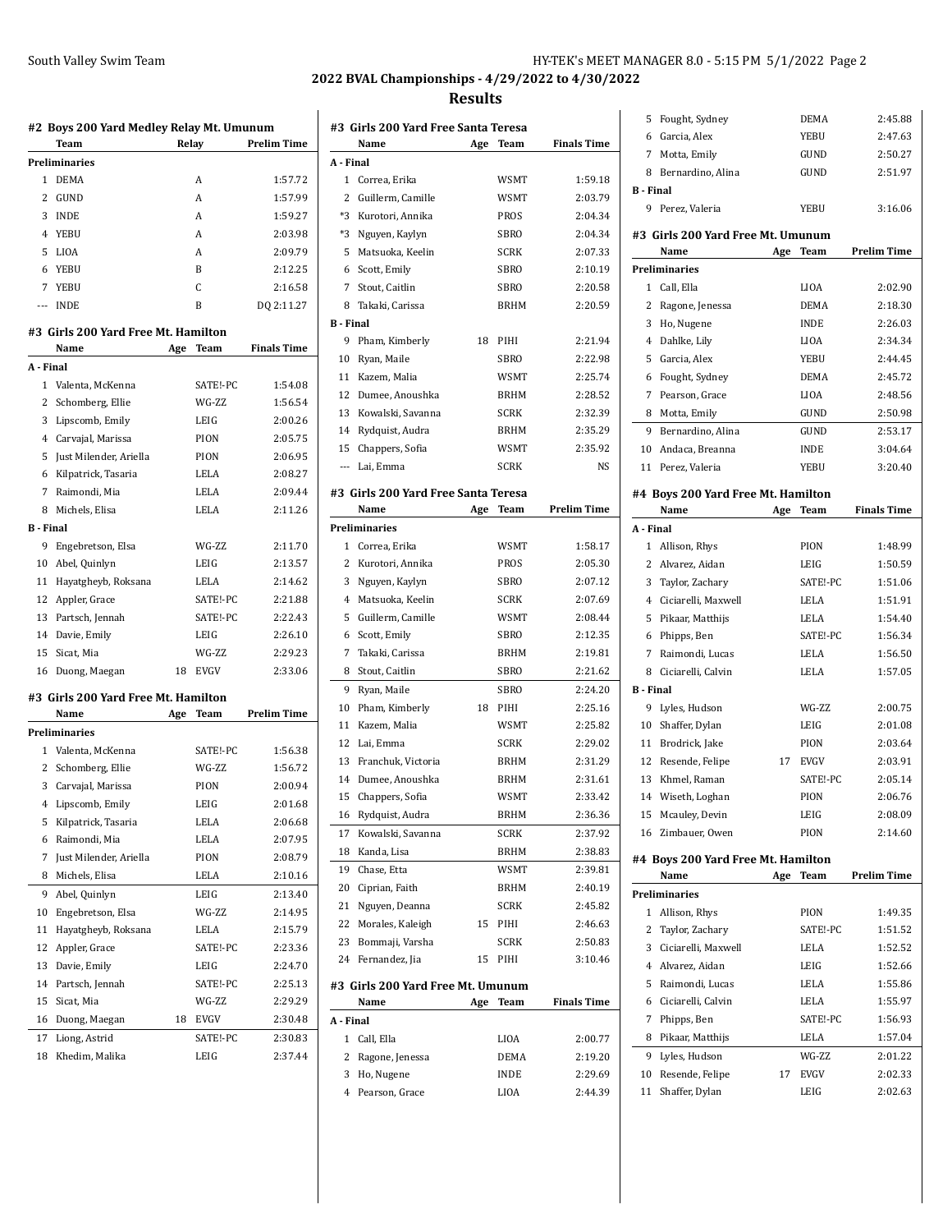# **2022 BVAL Championships - 4/29/2022 to 4/30/2022**

#### **Results**

|                  | Team<br><b>Preliminaries</b>        |     | Relay       | <b>Prelim Time</b> |
|------------------|-------------------------------------|-----|-------------|--------------------|
| 1                | <b>DEMA</b>                         |     | A           | 1:57.72            |
| 2                | GUND                                |     | A           | 1:57.99            |
| 3                | INDE                                |     | A           | 1:59.27            |
| 4                | YEBU                                |     | A           | 2:03.98            |
| 5                | LIOA                                |     | A           | 2:09.79            |
| 6                | YEBU                                |     | B           | 2:12.25            |
| 7                | YEBU                                |     | C           | 2:16.58            |
|                  | --- INDE                            |     | B           | DQ 2:11.27         |
|                  | #3 Girls 200 Yard Free Mt. Hamilton |     |             |                    |
|                  | Name                                | Age | Team        | <b>Finals Time</b> |
| A - Final        |                                     |     |             |                    |
| 1                | Valenta, McKenna                    |     | SATE!-PC    | 1:54.08            |
| 2                | Schomberg, Ellie                    |     | WG-ZZ       | 1:56.54            |
| 3                | Lipscomb, Emily                     |     | LEIG        | 2:00.26            |
|                  | 4 Carvajal, Marissa                 |     | PION        | 2:05.75            |
| 5                | Just Milender, Ariella              |     | PION        | 2:06.95            |
| 6                | Kilpatrick, Tasaria                 |     | LELA        | 2:08.27            |
| 7                | Raimondi, Mia                       |     | LELA        | 2:09.44            |
| 8                | Michels, Elisa                      |     | LELA        | 2:11.26            |
| <b>B</b> - Final |                                     |     |             |                    |
| 9                | Engebretson, Elsa                   |     | WG-ZZ       | 2:11.70            |
| 10               | Abel, Quinlyn                       |     | LEIG        | 2:13.57            |
| 11               | Hayatgheyb, Roksana                 |     | LELA        | 2:14.62            |
| 12               | Appler, Grace                       |     | SATE!-PC    | 2:21.88            |
| 13               | Partsch, Jennah                     |     | SATE!-PC    | 2:22.43            |
| 14               | Davie, Emily                        |     | LEIG        | 2:26.10            |
| 15               | Sicat, Mia                          |     | WG-ZZ       | 2:29.23            |
| 16               | Duong, Maegan                       | 18  | <b>EVGV</b> | 2:33.06            |
|                  | #3 Girls 200 Yard Free Mt. Hamilton |     |             |                    |
|                  | Name                                | Age | Team        | <b>Prelim Time</b> |
|                  | Preliminaries                       |     |             |                    |
| 1                | Valenta, McKenna                    |     | SATE!-PC    | 1:56.38            |
| 2                | Schomberg, Ellie                    |     | WG-ZZ       | 1:56.72            |
| 3                | Carvajal, Marissa                   |     | PION        | 2:00.94            |
| 4                | Lipscomb, Emily                     |     | LEIG        | 2:01.68            |
|                  | Kilpatrick, Tasaria                 |     | LELA        | 2:06.68            |
| 5                |                                     |     |             |                    |
| 6                | Raimondi, Mia                       |     | LELA        | 2:07.95            |
| 7                | Just Milender, Ariella              |     | PION        | 2:08.79            |
| 8                | Michels, Elisa                      |     | LELA        | 2:10.16            |
| 9                | Abel, Quinlyn                       |     | LEIG        | 2:13.40            |
| 10               | Engebretson, Elsa                   |     | WG-ZZ       | 2:14.95            |
| 11               | Hayatgheyb, Roksana                 |     | LELA        | 2:15.79            |
| 12               | Appler, Grace                       |     | SATE!-PC    | 2:23.36            |
| 13               | Davie, Emily                        |     | LEIG        | 2:24.70            |
| 14               | Partsch, Jennah                     |     | SATE!-PC    | 2:25.13            |
| 15               | Sicat, Mia                          |     | WG-ZZ       | 2:29.29            |
| 16               | Duong, Maegan                       | 18  | EVGV        | 2:30.48            |
| 17               | Liong, Astrid                       |     | SATE!-PC    | 2:30.83            |
| 18               | Khedim, Malika                      |     | LEIG        | 2:37.44            |

|                |                                      | Results |             |                    |
|----------------|--------------------------------------|---------|-------------|--------------------|
|                | #3 Girls 200 Yard Free Santa Teresa  |         |             |                    |
|                | Name                                 | Age     | Team        | <b>Finals Time</b> |
| A - Final      |                                      |         |             |                    |
|                | 1 Correa, Erika                      |         | WSMT        | 1:59.18            |
|                | 2 Guillerm, Camille                  |         | WSMT        | 2:03.79            |
|                | *3 Kurotori, Annika                  |         | PROS        | 2:04.34            |
| *3             | Nguyen, Kaylyn                       |         | SBRO        | 2:04.34            |
| 5              | Matsuoka, Keelin                     |         | <b>SCRK</b> | 2:07.33            |
| 6              | Scott, Emily                         |         | SBRO        | 2:10.19            |
| $\overline{7}$ | Stout, Caitlin                       |         | SBRO        | 2:20.58            |
| 8              | Takaki, Carissa                      |         | BRHM        | 2:20.59            |
| B - Final      |                                      |         |             |                    |
| 9              | Pham, Kimberly                       | 18      | PIHI        | 2:21.94            |
| 10             | Ryan, Maile                          |         | <b>SBRO</b> | 2:22.98            |
|                | 11 Kazem, Malia                      |         | WSMT        | 2:25.74            |
| 12             | Dumee, Anoushka                      |         | BRHM        | 2:28.52            |
|                |                                      |         |             |                    |
| 13             | Kowalski, Savanna                    |         | <b>SCRK</b> | 2:32.39            |
|                | 14 Rydquist, Audra                   |         | BRHM        | 2:35.29            |
| 15             | Chappers, Sofia                      |         | <b>WSMT</b> | 2:35.92            |
|                | --- Lai, Emma                        |         | <b>SCRK</b> | <b>NS</b>          |
|                | #3  Girls 200 Yard Free Santa Teresa |         |             |                    |
|                | Name                                 | Age     | Team        | <b>Prelim Time</b> |
|                | <b>Preliminaries</b>                 |         |             |                    |
|                | 1 Correa, Erika                      |         | <b>WSMT</b> | 1:58.17            |
| $\overline{2}$ | Kurotori, Annika                     |         | PROS        | 2:05.30            |
| 3              | Nguyen, Kaylyn                       |         | SBRO        | 2:07.12            |
| 4              | Matsuoka, Keelin                     |         | <b>SCRK</b> | 2:07.69            |
| 5              | Guillerm, Camille                    |         | WSMT        | 2:08.44            |
| 6              | Scott, Emily                         |         | SBRO        | 2:12.35            |
| 7              | Takaki, Carissa                      |         | BRHM        | 2:19.81            |
| 8              | Stout, Caitlin                       |         | <b>SBRO</b> | 2:21.62            |
| 9              | Ryan, Maile                          |         | <b>SBRO</b> | 2:24.20            |
|                |                                      |         |             |                    |
| 10             | Pham, Kimberly                       | 18      | PIHI        | 2:25.16            |
|                | 11 Kazem, Malia                      |         | WSMT        | 2:25.82            |
|                | 12 Lai. Emma                         |         | <b>SCRK</b> | 2:29.02            |
| 13             | Franchuk, Victoria                   |         | <b>BRHM</b> | 2:31.29            |
| 14             | Dumee, Anoushka                      |         | <b>BRHM</b> | 2:31.61            |
|                | 15 Chappers, Sofia                   |         | WSMT        | 2:33.42            |
| 16             | Rydquist, Audra                      |         | BRHM        | 2:36.36            |
| 17             | Kowalski, Savanna                    |         | SCRK        | 2:37.92            |
| 18             | Kanda, Lisa                          |         | BRHM        | 2:38.83            |
| 19             | Chase, Etta                          |         | <b>WSMT</b> | 2:39.81            |
| 20             | Ciprian, Faith                       |         | BRHM        | 2:40.19            |
| 21             | Nguyen, Deanna                       |         | <b>SCRK</b> | 2:45.82            |
| 22             | Morales, Kaleigh                     | 15      | PIHI        | 2:46.63            |
| 23             | Bommaji, Varsha                      |         | SCRK        | 2:50.83            |
| 24             | Fernandez, Jia                       | 15      | PIHI        | 3:10.46            |
|                |                                      |         |             |                    |
|                | #3 Girls 200 Yard Free Mt. Umunum    |         |             |                    |
|                | Name                                 | Age     | Team        | <b>Finals Time</b> |
| A - Final      |                                      |         |             |                    |
| $\mathbf{1}$   | Call, Ella                           |         | LIOA        | 2:00.77            |
| 2              | Ragone, Jenessa                      |         | DEMA        | 2:19.20            |
| 3              | Ho, Nugene                           |         | INDE        | 2:29.69            |
| 4              | Pearson, Grace                       |         | LIOA        | 2:44.39            |

| 5                | Fought, Sydney                     | DEMA        | 2:45.88            |
|------------------|------------------------------------|-------------|--------------------|
| 6                | Garcia, Alex                       | YEBU        | 2:47.63            |
| $7^{\circ}$      | Motta, Emily                       | GUND        | 2:50.27            |
| 8                | Bernardino, Alina                  | GUND        | 2:51.97            |
| <b>B</b> - Final |                                    |             |                    |
| 9                | Perez, Valeria                     | YEBU        | 3:16.06            |
|                  | #3 Girls 200 Yard Free Mt. Umunum  |             |                    |
|                  | Name<br>Age                        | Team        | <b>Prelim Time</b> |
|                  | Preliminaries                      |             |                    |
|                  | 1 Call. Ella                       | LIOA        | 2:02.90            |
| 2                | Ragone, Jenessa                    | <b>DEMA</b> | 2:18.30            |
| 3                | Ho, Nugene                         | <b>INDE</b> | 2:26.03            |
| 4                | Dahlke, Lily                       | LIOA        | 2:34.34            |
| 5                | Garcia, Alex                       | YEBU        | 2:44.45            |
| 6                | Fought, Sydney                     | <b>DEMA</b> | 2:45.72            |
| 7                | Pearson, Grace                     | LIOA        | 2:48.56            |
| 8                | Motta, Emily                       | GUND        | 2:50.98            |
| 9.               | Bernardino, Alina                  | GUND        | 2:53.17            |
| 10               | Andaca, Breanna                    | INDE        | 3:04.64            |
| 11               | Perez, Valeria                     | YEBU        | 3:20.40            |
|                  | #4 Boys 200 Yard Free Mt. Hamilton |             |                    |
|                  | Name<br>Age                        | Team        | <b>Finals Time</b> |
| A - Final        |                                    |             |                    |
|                  | 1 Allison, Rhys                    | PION        | 1:48.99            |
|                  | 2 Alvarez, Aidan                   | LEIG        | 1:50.59            |
| 3                | Taylor, Zachary                    | SATE!-PC    | 1:51.06            |
| $^{4}$           | Ciciarelli, Maxwell                | LELA        | 1:51.91            |
| 5                | Pikaar, Matthijs                   | LELA        | 1:54.40            |
| 6                | Phipps, Ben                        | SATE!-PC    | 1:56.34            |
| 7                | Raimondi, Lucas                    | LELA        | 1:56.50            |
| 8                | Ciciarelli, Calvin                 | LELA        | 1:57.05            |
| <b>B</b> - Final |                                    |             |                    |
| 9                | Lyles, Hudson                      | WG-ZZ       | 2:00.75            |
|                  | 10 Shaffer, Dylan                  | LEIG        | 2:01.08            |
| 11               | Brodrick, Jake                     | PION        | 2:03.64            |
| 12               | Resende, Felipe<br>17              |             |                    |
|                  |                                    | EVGV        | 2:03.91            |
| 13               | Khmel, Raman                       | SATE!-PC    | 2:05.14            |
| 14               | Wiseth, Loghan                     | PION        | 2:06.76            |
| 15               | Mcauley, Devin                     | LEIG        | 2:08.09            |
| 16               | Zimbauer, Owen                     | PION        | 2:14.60            |
|                  | #4 Boys 200 Yard Free Mt. Hamilton |             |                    |
|                  | Name<br>Age                        | Team        | Prelim Time        |
|                  | <b>Preliminaries</b>               |             |                    |
| 1                | Allison, Rhys                      | PION        | 1:49.35            |
| 2                | Taylor, Zachary                    | SATE!-PC    | 1:51.52            |
| 3                | Ciciarelli, Maxwell                | LELA        | 1:52.52            |
| $\overline{4}$   | Alvarez, Aidan                     | LEIG        | 1:52.66            |
| 5                | Raimondi, Lucas                    | <b>LELA</b> | 1:55.86            |
| 6                | Ciciarelli, Calvin                 | LELA        | 1:55.97            |
| 7                | Phipps, Ben                        | SATE!-PC    | 1:56.93            |
| 8                | Pikaar, Matthijs                   | LELA        | 1:57.04            |
| 9                | Lyles, Hudson                      | WG-ZZ       | 2:01.22            |
| 10               | Resende, Felipe<br>17              | EVGV        | 2:02.33            |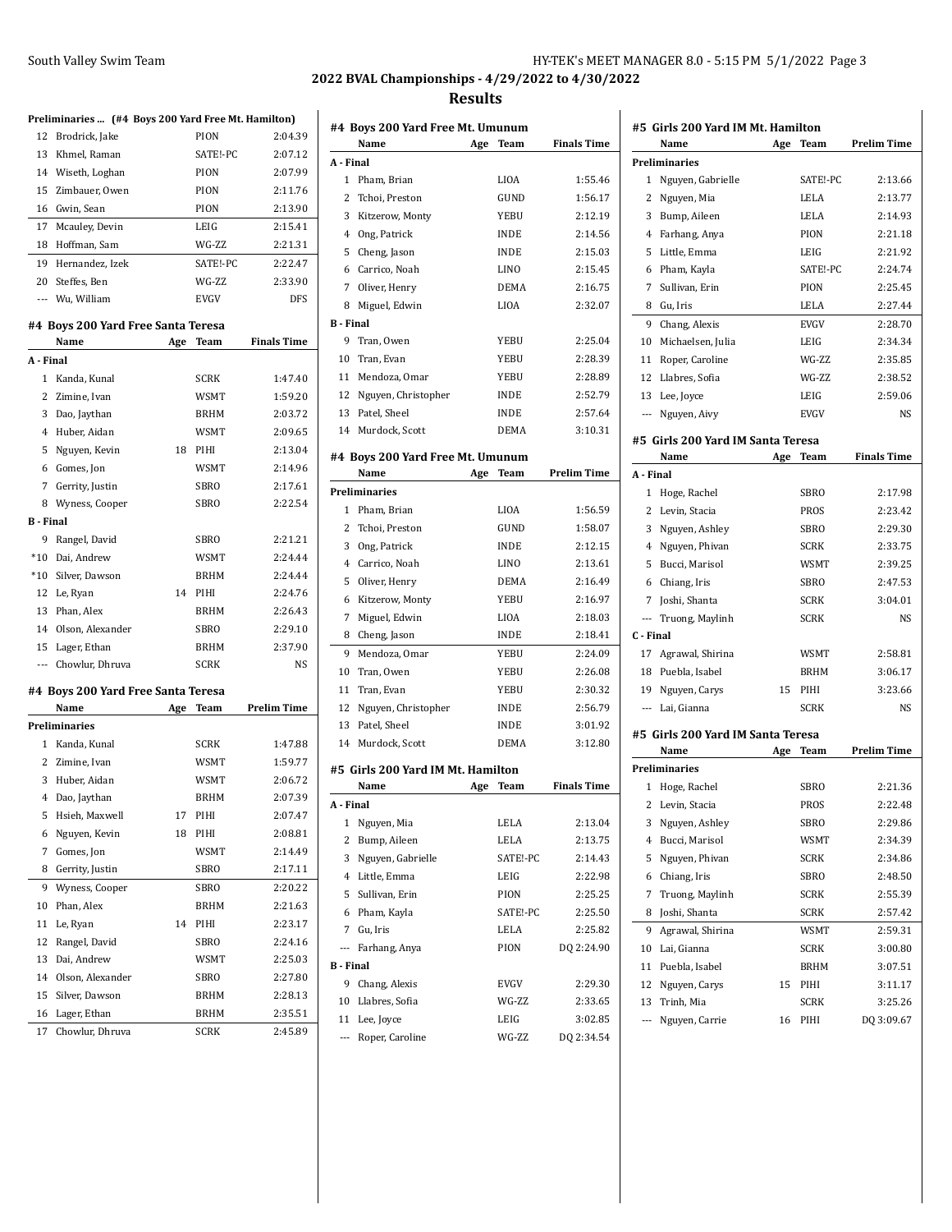### South Valley Swim Team

# **2022 BVAL Championships - 4/29/2022 to 4/30/2022**

#### **Results**

# **Preliminaries ... (#4 Boys 200 Yard Free Mt. Hamilton)**

|                  | Preliminaries  (#4 Boys 200 Yard Free Mt. Hamilton) |     |             |                    |
|------------------|-----------------------------------------------------|-----|-------------|--------------------|
| 12               | Brodrick, Jake                                      |     | PION        | 2:04.39            |
| 13               | Khmel, Raman                                        |     | SATE!-PC    | 2:07.12            |
|                  | 14 Wiseth, Loghan                                   |     | PION        | 2:07.99            |
| 15               | Zimbauer, Owen                                      |     | PION        | 2:11.76            |
| 16               | Gwin, Sean                                          |     | PION        | 2:13.90            |
| 17               | Mcauley, Devin                                      |     | LEIG        | 2:15.41            |
| 18               | Hoffman, Sam                                        |     | WG-ZZ       | 2:21.31            |
| 19               | Hernandez, Izek                                     |     | SATE!-PC    | 2:22.47            |
| 20               | Steffes, Ben                                        |     | WG-ZZ       | 2:33.90            |
|                  | --- Wu, William                                     |     | EVGV        | <b>DFS</b>         |
|                  |                                                     |     |             |                    |
|                  | #4 Boys 200 Yard Free Santa Teresa                  |     |             |                    |
|                  | Name                                                | Age | Team        | <b>Finals Time</b> |
| A - Final        |                                                     |     |             |                    |
| $\mathbf{1}$     | Kanda, Kunal                                        |     | SCRK        | 1:47.40            |
| 2                | Zimine, Ivan                                        |     | WSMT        | 1:59.20            |
| 3                | Dao, Jaythan                                        |     | BRHM        | 2:03.72            |
| 4                | Huber, Aidan                                        |     | WSMT        | 2:09.65            |
| 5                | Nguyen, Kevin                                       | 18  | PIHI        | 2:13.04            |
|                  | 6 Gomes, Jon                                        |     | WSMT        | 2:14.96            |
| $7\overline{ }$  | Gerrity, Justin                                     |     | SBRO        | 2:17.61            |
| 8                | Wyness, Cooper                                      |     | SBRO        | 2:22.54            |
| <b>B</b> - Final |                                                     |     |             |                    |
| 9                | Rangel, David                                       |     | SBRO        | 2:21.21            |
|                  | *10 Dai, Andrew                                     |     | WSMT        | 2:24.44            |
|                  | *10 Silver, Dawson                                  |     | BRHM        | 2:24.44            |
|                  | 12 Le, Ryan                                         | 14  | PIHI        | 2:24.76            |
|                  | 13 Phan, Alex                                       |     | <b>BRHM</b> | 2:26.43            |
|                  | 14 Olson, Alexander                                 |     | SBRO        | 2:29.10            |
| 15               | Lager, Ethan                                        |     | <b>BRHM</b> | 2:37.90            |
| $---$            | Chowlur, Dhruva                                     |     | SCRK        | NS                 |
|                  | #4  Boys 200 Yard Free Santa Teresa                 |     |             |                    |
|                  | Name                                                | Age | Team        | <b>Prelim Time</b> |
|                  | Preliminaries                                       |     |             |                    |
|                  | 1 Kanda, Kunal                                      |     | SCRK        | 1:47.88            |
|                  | 2 Zimine, Ivan                                      |     | WSMT        | 1:59.77            |
| 3                | Huber, Aidan                                        |     | WSMT        | 2:06.72            |
| 4                | Dao, Jaythan                                        |     | <b>BRHM</b> | 2:07.39            |
| 5                | Hsieh, Maxwell                                      | 17  | PIHI        | 2:07.47            |
| 6                | Nguyen, Kevin                                       | 18  | PIHI        | 2:08.81            |
| 7                | Gomes, Jon                                          |     | WSMT        | 2:14.49            |
| 8                | Gerrity, Justin                                     |     | SBRO        | 2:17.11            |
|                  |                                                     |     |             |                    |
| 9                | Wyness, Cooper                                      |     | SBRO        | 2:20.22            |
| 10               | Phan, Alex                                          |     | BRHM        | 2:21.63            |
| 11               | Le, Ryan                                            | 14  | PIHI        | 2:23.17            |
| 12               | Rangel, David                                       |     | SBRO        | 2:24.16            |
| 13               | Dai, Andrew                                         |     | WSMT        | 2:25.03            |
| 14               | Olson, Alexander                                    |     | SBRO        | 2:27.80            |
| 15               | Silver, Dawson                                      |     | BRHM        | 2:28.13            |
| 16               | Lager, Ethan                                        |     | BRHM        | 2:35.51            |
| 17               | Chowlur, Dhruva                                     |     | SCRK        | 2:45.89            |

|                                | Name                              | Age | Team          | <b>Finals Time</b>    |
|--------------------------------|-----------------------------------|-----|---------------|-----------------------|
| A - Final                      |                                   |     |               |                       |
| 1                              | Pham, Brian                       |     | LIOA          | 1:55.46               |
| 2                              | Tchoi, Preston                    |     | GUND          | 1:56.17               |
| 3                              | Kitzerow, Monty                   |     | YEBU          | 2:12.19               |
| 4                              | Ong, Patrick                      |     | <b>INDE</b>   | 2:14.56               |
| 5                              | Cheng, Jason                      |     | <b>INDE</b>   | 2:15.03               |
| 6                              | Carrico, Noah                     |     | <b>LINO</b>   | 2:15.45               |
| 7                              | Oliver, Henry                     |     | <b>DEMA</b>   | 2:16.75               |
| 8                              | Miguel, Edwin                     |     | <b>LIOA</b>   | 2:32.07               |
| <b>B</b> - Final               |                                   |     |               |                       |
| 9                              | Tran, Owen                        |     | YEBU          | 2:25.04               |
| 10                             | Tran, Evan                        |     | YEBU          | 2:28.39               |
| 11                             | Mendoza, Omar                     |     | YEBU          | 2:28.89               |
| 12                             | Nguyen, Christopher               |     | INDE          | 2:52.79               |
| 13                             | Patel, Sheel                      |     | <b>INDE</b>   | 2:57.64               |
|                                | 14 Murdock, Scott                 |     | DEMA          | 3:10.31               |
|                                | #4 Boys 200 Yard Free Mt. Umunum  |     |               |                       |
|                                | Name                              | Age | Team          | <b>Prelim Time</b>    |
|                                | Preliminaries                     |     |               |                       |
| 1                              | Pham, Brian                       |     | <b>LIOA</b>   | 1:56.59               |
| 2                              | Tchoi, Preston                    |     | GUND          | 1:58.07               |
| 3                              | Ong, Patrick                      |     | <b>INDE</b>   | 2:12.15               |
| 4                              | Carrico, Noah                     |     | LINO          | 2:13.61               |
| 5                              | Oliver, Henry                     |     | DEMA          | 2:16.49               |
| 6                              | Kitzerow, Monty                   |     | YEBU          | 2:16.97               |
| 7                              | Miguel, Edwin                     |     | LIOA          | 2:18.03               |
| 8                              | Cheng, Jason                      |     | <b>INDE</b>   | 2:18.41               |
| 9                              | Mendoza, Omar                     |     | <b>YEBU</b>   | 2:24.09               |
| 10                             | Tran, Owen                        |     | YEBU          | 2:26.08               |
| 11                             | Tran, Evan                        |     | YEBU          | 2:30.32               |
| 12                             | Nguyen, Christopher               |     | <b>INDE</b>   | 2:56.79               |
| 13                             | Patel, Sheel                      |     | <b>INDE</b>   | 3:01.92               |
|                                | 14 Murdock, Scott                 |     | <b>DEMA</b>   | 3:12.80               |
|                                | #5 Girls 200 Yard IM Mt. Hamilton |     |               |                       |
|                                | Name                              | Age | Team          | <b>Finals Time</b>    |
| A - Final                      |                                   |     |               |                       |
| 1                              | Nguyen, Mia                       |     | LELA          | 2:13.04               |
| 2                              | Bump, Aileen                      |     | LELA          | 2:13.75               |
| 3                              | Nguyen, Gabrielle                 |     | SATE!-PC      | 2:14.43               |
| 4                              | Little, Emma                      |     | LEIG          | 2:22.98               |
| 5                              | Sullivan, Erin                    |     | PION          | 2:25.25               |
| 6                              | Pham, Kayla                       |     | SATE!-PC      | 2:25.50               |
| $\overline{7}$                 | Gu, Iris                          |     | LELA          | 2:25.82               |
| ---                            | Farhang, Anya                     |     | PION          | DQ 2:24.90            |
| <b>B</b> - Final               |                                   |     |               |                       |
| 9                              | Chang, Alexis                     |     | <b>EVGV</b>   | 2:29.30               |
|                                | Llabres, Sofia                    |     | WG-ZZ         | 2:33.65               |
|                                |                                   |     |               |                       |
| 10                             |                                   |     |               |                       |
| 11<br>$\overline{\phantom{a}}$ | Lee, Joyce<br>Roper, Caroline     |     | LEIG<br>WG-ZZ | 3:02.85<br>DQ 2:34.54 |

|                | #5 Girls 200 Yard IM Mt. Hamilton<br>Name | Age | Team        | <b>Prelim Time</b> |
|----------------|-------------------------------------------|-----|-------------|--------------------|
|                | <b>Preliminaries</b>                      |     |             |                    |
| 1              | Nguyen, Gabrielle                         |     | SATE!-PC    | 2:13.66            |
| 2              | Nguyen, Mia                               |     | <b>LELA</b> | 2:13.77            |
| 3              | Bump, Aileen                              |     | <b>LELA</b> | 2:14.93            |
| 4              | Farhang, Anya                             |     | PION        | 2:21.18            |
| 5              | Little, Emma                              |     | LEIG        | 2:21.92            |
| 6              | Pham, Kayla                               |     | SATE!-PC    | 2:24.74            |
| 7              | Sullivan, Erin                            |     | PION        | 2:25.45            |
| 8              | Gu, Iris                                  |     | LELA        | 2:27.44            |
| 9              | Chang, Alexis                             |     | <b>EVGV</b> | 2:28.70            |
| 10             |                                           |     | LEIG        | 2:34.34            |
|                | Michaelsen, Julia                         |     | WG-ZZ       |                    |
| 11             | Roper, Caroline                           |     | WG-ZZ       | 2:35.85            |
| 12             | Llabres, Sofia                            |     |             | 2:38.52            |
| 13             | Lee, Joyce                                |     | LEIG        | 2:59.06            |
| ---            | Nguyen, Aivy                              |     | <b>EVGV</b> | NS                 |
|                | #5 Girls 200 Yard IM Santa Teresa         |     |             |                    |
|                | Name                                      | Age | Team        | <b>Finals Time</b> |
| A - Final      |                                           |     |             |                    |
| 1              | Hoge, Rachel                              |     | SBRO        | 2:17.98            |
| 2              | Levin, Stacia                             |     | PROS        | 2:23.42            |
| 3              | Nguyen, Ashley                            |     | <b>SBRO</b> | 2:29.30            |
| 4              | Nguyen, Phivan                            |     | <b>SCRK</b> | 2:33.75            |
| 5              | Bucci, Marisol                            |     | WSMT        | 2:39.25            |
| 6              | Chiang, Iris                              |     | <b>SBRO</b> | 2:47.53            |
| 7              | Joshi, Shanta                             |     | <b>SCRK</b> | 3:04.01            |
| $---$          | Truong, Maylinh                           |     | <b>SCRK</b> | NS                 |
| C - Final      |                                           |     |             |                    |
| 17             | Agrawal, Shirina                          |     | WSMT        | 2:58.81            |
| 18             | Puebla, Isabel                            |     | <b>BRHM</b> | 3:06.17            |
| 19             | Nguyen, Carys                             | 15  | PIHI        | 3:23.66            |
| $---$          | Lai, Gianna                               |     | <b>SCRK</b> | NS                 |
|                |                                           |     |             |                    |
|                | #5  Girls 200 Yard IM Santa Teresa        |     |             |                    |
|                | Name                                      | Age | Team        | Prelim Time        |
|                | Preliminaries                             |     |             |                    |
|                | 1 Hoge, Rachel                            |     | <b>SBRO</b> | 2:21.36            |
|                | 2 Levin, Stacia                           |     | <b>PROS</b> | 2:22.48            |
| 3              | Nguyen, Ashley                            |     | SBRO        | 2:29.86            |
| $\overline{4}$ | Bucci, Marisol                            |     | WSMT        | 2:34.39            |
| 5              | Nguyen, Phivan                            |     | SCRK        | 2:34.86            |
| 6              | Chiang, Iris                              |     | SBRO        | 2:48.50            |
| 7              | Truong, Maylinh                           |     | SCRK        | 2:55.39            |
| 8              | Joshi, Shanta                             |     | SCRK        | 2:57.42            |
| 9              | Agrawal, Shirina                          |     | WSMT        | 2:59.31            |
| 10             | Lai, Gianna                               |     | SCRK        | 3:00.80            |
| 11             | Puebla, Isabel                            |     | BRHM        | 3:07.51            |
| 12             | Nguyen, Carys                             | 15  | PIHI        | 3:11.17            |
| 13             | Trinh, Mia                                |     | <b>SCRK</b> | 3:25.26            |
|                | Nguyen, Carrie                            | 16  | PIHI        | DQ 3:09.67         |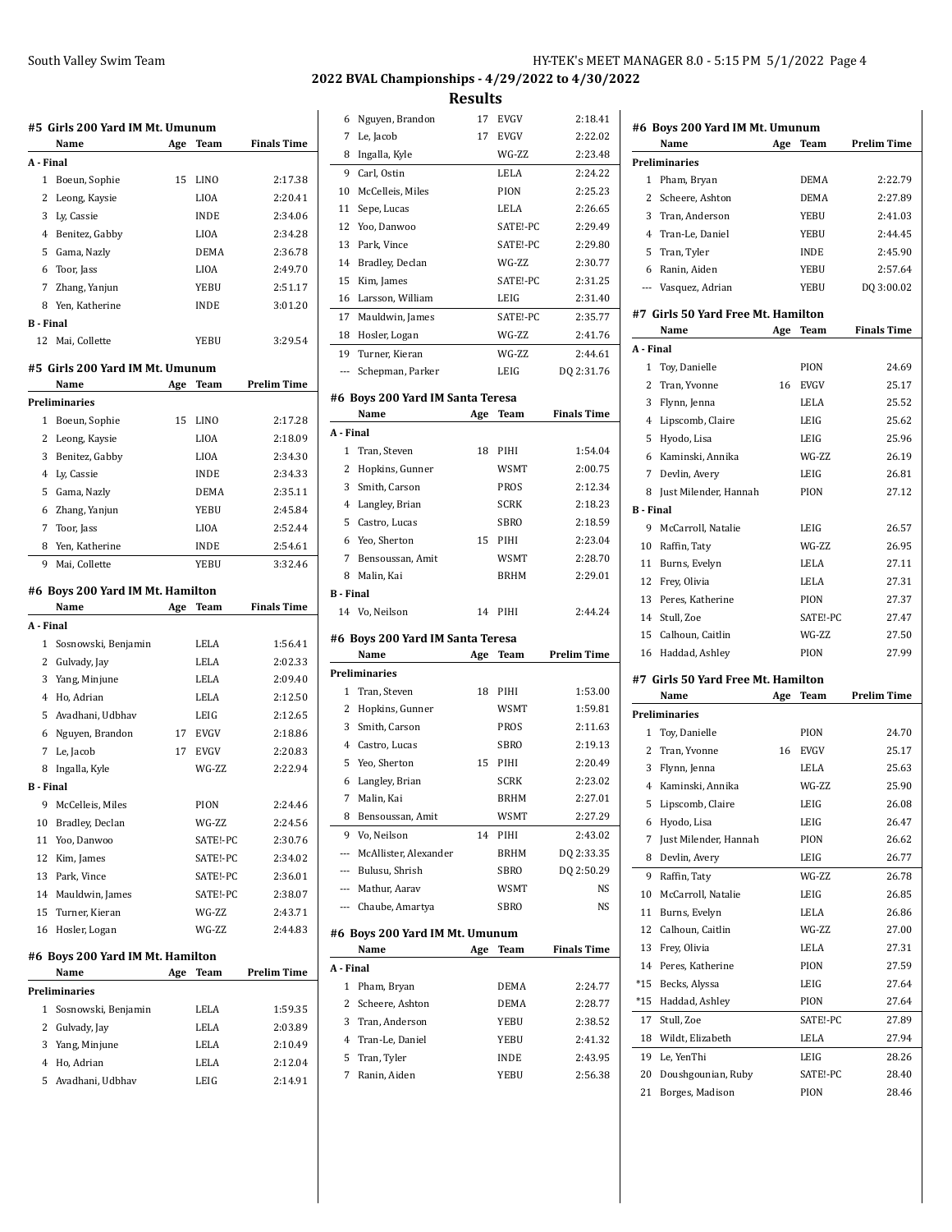**Results**

|                     | #5  Girls 200 Yard IM Mt. Umunum |     |                        |                    |
|---------------------|----------------------------------|-----|------------------------|--------------------|
|                     | Name                             | Age | Team                   | <b>Finals Time</b> |
| A - Final           |                                  |     |                        |                    |
| 1                   | Boeun, Sophie                    | 15  | LINO                   | 2:17.38            |
| 2                   | Leong, Kaysie                    |     | LIOA                   | 2:20.41            |
|                     | 3 Ly, Cassie                     |     | <b>INDE</b>            | 2:34.06            |
|                     | 4 Benitez, Gabby                 |     | LIOA                   | 2:34.28            |
|                     | 5 Gama, Nazly                    |     | DEMA                   | 2:36.78            |
| 6                   | Toor, Jass                       |     | LIOA                   | 2:49.70            |
|                     | 7 Zhang, Yanjun                  |     | YEBU                   | 2:51.17            |
|                     | 8 Yen, Katherine                 |     | <b>INDE</b>            | 3:01.20            |
| <b>B</b> - Final    |                                  |     |                        |                    |
|                     | 12 Mai, Collette                 |     | YEBU                   | 3:29.54            |
|                     | #5  Girls 200 Yard IM Mt. Umunum |     |                        |                    |
|                     | Name                             | Age | Team                   | <b>Prelim Time</b> |
|                     | Preliminaries                    |     |                        |                    |
| 1                   | Boeun, Sophie                    | 15  | <b>LINO</b>            | 2:17.28            |
| 2                   | Leong, Kaysie                    |     | <b>LIOA</b>            | 2:18.09            |
| 3                   | Benitez, Gabby                   |     | <b>LIOA</b>            | 2:34.30            |
|                     | 4 Ly, Cassie                     |     | <b>INDE</b>            | 2:34.33            |
| 5                   | Gama, Nazly                      |     | DEMA                   | 2:35.11            |
| 6                   | Zhang, Yanjun                    |     | YEBU                   | 2:45.84            |
| 7                   | Toor, Jass                       |     | LIOA                   | 2:52.44            |
| 8                   | Yen, Katherine                   |     | <b>INDE</b>            | 2:54.61            |
| 9                   | Mai, Collette                    |     | YEBU                   | 3:32.46            |
|                     |                                  |     |                        |                    |
|                     |                                  |     |                        |                    |
|                     | #6 Boys 200 Yard IM Mt. Hamilton |     |                        |                    |
|                     | Name                             | Age | Team                   | <b>Finals Time</b> |
| A - Final           |                                  |     |                        |                    |
| 1                   | Sosnowski, Benjamin              |     | LELA                   | 1:56.41            |
| 2                   | Gulvady, Jay                     |     | LELA                   | 2:02.33            |
| 3                   | Yang, Minjune                    |     | LELA                   | 2:09.40            |
| 4                   | Ho, Adrian                       |     | LELA                   | 2:12.50            |
| 5                   | Avadhani, Udbhav                 |     | LEIG                   | 2:12.65            |
| 6                   | Nguyen, Brandon                  |     | 17 EVGV<br><b>EVGV</b> | 2:18.86<br>2:20.83 |
|                     | 7 Le, Jacob                      | 17  |                        |                    |
| 8<br>B - Final      | Ingalla, Kyle                    |     | WG-ZZ                  | 2:22.94            |
|                     |                                  |     |                        |                    |
|                     | 9 McCelleis, Miles               |     | PION                   | 2:24.46            |
| 10<br>11            | Bradley, Declan                  |     | WG-ZZ                  | 2:24.56<br>2:30.76 |
| 12                  | Yoo, Danwoo                      |     | SATE!-PC<br>SATE!-PC   | 2:34.02            |
|                     | Kim, James                       |     | SATE!-PC               |                    |
| 13<br>14            | Park, Vince                      |     | SATE!-PC               | 2:36.01<br>2:38.07 |
|                     | Mauldwin, James                  |     |                        |                    |
| 15<br>16            | Turner, Kieran                   |     | WG-ZZ                  | 2:43.71            |
|                     | Hosler, Logan                    |     | WG-ZZ                  | 2:44.83            |
|                     | #6 Boys 200 Yard IM Mt. Hamilton |     |                        |                    |
|                     | Name                             | Age | Team                   | <b>Prelim Time</b> |
|                     | Preliminaries                    |     |                        |                    |
| 1                   | Sosnowski, Benjamin              |     | LELA                   | 1:59.35            |
| 2                   | Gulvady, Jay                     |     | LELA                   | 2:03.89            |
| 3                   | Yang, Minjune                    |     | LELA                   | 2:10.49            |
| $\overline{4}$<br>5 | Ho, Adrian<br>Avadhani, Udbhav   |     | LELA<br>LEIG           | 2:12.04<br>2:14.91 |

| 6  | Nguyen, Brandon  | 17 | <b>EVGV</b> | 2:18.41    |
|----|------------------|----|-------------|------------|
| 7  | Le, Jacob        | 17 | <b>EVGV</b> | 2:22.02    |
| 8  | Ingalla, Kyle    |    | WG-7.7.     | 2:23.48    |
| 9  | Carl, Ostin      |    | LELA        | 2:24.22    |
| 10 | McCelleis, Miles |    | PION        | 2:25.23    |
| 11 | Sepe, Lucas      |    | LELA        | 2:26.65    |
| 12 | Yoo, Danwoo      |    | SATE!-PC    | 2:29.49    |
| 13 | Park, Vince      |    | SATE!-PC    | 2:29.80    |
| 14 | Bradley, Declan  |    | WG-7.7.     | 2.30.77    |
| 15 | Kim, James       |    | SATE!-PC    | 2:31.25    |
| 16 | Larsson, William |    | LEIG        | 2:31.40    |
| 17 | Mauldwin, James  |    | SATE!-PC    | 2.35.77    |
| 18 | Hosler, Logan    |    | WG-ZZ       | 2:41.76    |
| 19 | Turner, Kieran   |    | WG-7.7.     | 2:44.61    |
|    | Schepman, Parker |    | LEIG        | DQ 2:31.76 |
|    |                  |    |             |            |

#### **#6 Boys 200 Yard IM Santa Teresa**

|           | Name              | Age | Team        | <b>Finals Time</b> |
|-----------|-------------------|-----|-------------|--------------------|
| A - Final |                   |     |             |                    |
|           | 1 Tran, Steven    | 18  | PIHI        | 1:54.04            |
|           | 2 Hopkins, Gunner |     | <b>WSMT</b> | 2:00.75            |
| 3         | Smith, Carson     |     | <b>PROS</b> | 2:12.34            |
| 4         | Langley, Brian    |     | <b>SCRK</b> | 2:18.23            |
| 5.        | Castro, Lucas     |     | <b>SBRO</b> | 2:18.59            |
|           | 6 Yeo, Sherton    | 15  | PIHI        | 2:23.04            |
| 7         | Bensoussan, Amit  |     | <b>WSMT</b> | 2:28.70            |
| 8         | Malin, Kai        |     | <b>BRHM</b> | 2:29.01            |
| B - Final |                   |     |             |                    |
|           | 14 Vo, Neilson    | 14  | PIHI        | 2:44.24            |

### **#6 Boys 200 Yard IM Santa Teresa**

|       | Name                  | Age | Team        | <b>Prelim Time</b> |
|-------|-----------------------|-----|-------------|--------------------|
|       | Preliminaries         |     |             |                    |
|       | 1 Tran, Steven        | 18  | PIHI        | 1:53.00            |
| 2     | Hopkins, Gunner       |     | <b>WSMT</b> | 1:59.81            |
| 3     | Smith, Carson         |     | <b>PROS</b> | 2:11.63            |
| 4     | Castro, Lucas         |     | <b>SBRO</b> | 2:19.13            |
| 5     | Yeo, Sherton          | 15  | PIHI        | 2:20.49            |
| 6     | Langley, Brian        |     | <b>SCRK</b> | 2:23.02            |
| 7     | Malin, Kai            |     | <b>BRHM</b> | 2:27.01            |
| 8     | Bensoussan, Amit      |     | <b>WSMT</b> | 2:27.29            |
| 9     | Vo, Neilson           | 14  | PIHI        | 2:43.02            |
|       | McAllister, Alexander |     | <b>BRHM</b> | DQ 2:33.35         |
| $---$ | Bulusu, Shrish        |     | <b>SBRO</b> | DQ 2:50.29         |
| $---$ | Mathur, Aarav         |     | WSMT        | <b>NS</b>          |
|       | Chaube, Amartya       |     | <b>SBRO</b> | <b>NS</b>          |
|       |                       |     |             |                    |

### **#6 Boys 200 Yard IM Mt. Umunum**

|           | Name              | Age | Team        | <b>Finals Time</b> |
|-----------|-------------------|-----|-------------|--------------------|
| A - Final |                   |     |             |                    |
|           | Pham, Bryan       |     | <b>DEMA</b> | 2:24.77            |
|           | 2 Scheere, Ashton |     | <b>DEMA</b> | 2:28.77            |
| 3         | Tran, Anderson    |     | YEBU        | 2:38.52            |
|           | 4 Tran-Le, Daniel |     | YEBU        | 2:41.32            |
|           | 5 Tran, Tyler     |     | <b>INDE</b> | 2:43.95            |
|           | Ranin, Aiden      |     | YEBU        | 2:56.38            |

|                          | #6 Boys 200 Yard IM Mt. Umunum             |     |                     |                    |
|--------------------------|--------------------------------------------|-----|---------------------|--------------------|
|                          | Name                                       | Age | Team                | <b>Prelim Time</b> |
|                          | <b>Preliminaries</b>                       |     |                     |                    |
| 1                        | Pham, Bryan                                |     | DEMA                | 2:22.79            |
| 2                        | Scheere, Ashton                            |     | DEMA                | 2:27.89            |
| 3                        | Tran, Anderson                             |     | YEBU                | 2:41.03            |
| 4                        | Tran-Le, Daniel                            |     | <b>YEBU</b>         | 2:44.45            |
| 5                        | Tran, Tyler                                |     | <b>INDE</b>         | 2:45.90            |
| 6                        | Ranin, Aiden                               |     | <b>YEBU</b>         | 2:57.64            |
| $\overline{\phantom{a}}$ | Vasquez, Adrian                            |     | YEBU                | DQ 3:00.02         |
|                          | #7 Girls 50 Yard Free Mt. Hamilton<br>Name | Age | Team                | <b>Finals Time</b> |
| A - Final                |                                            |     |                     |                    |
| 1                        | Toy, Danielle                              |     | PION                | 24.69              |
| 2                        | Tran, Yvonne                               | 16  | <b>EVGV</b>         | 25.17              |
| 3                        | Flynn, Jenna                               |     | LELA                | 25.52              |
|                          | 4 Lipscomb, Claire                         |     | LEIG                | 25.62              |
| 5                        | Hyodo, Lisa                                |     | LEIG                | 25.96              |
| 6                        | Kaminski, Annika                           |     | WG-ZZ               | 26.19              |
| 7                        | Devlin, Avery                              |     | LEIG                | 26.81              |
| 8                        | Just Milender, Hannah                      |     | PION                | 27.12              |
| <b>B</b> Final           |                                            |     |                     |                    |
| 9                        | McCarroll, Natalie                         |     |                     | 26.57              |
|                          |                                            |     | LEIG                |                    |
|                          | 10 Raffin, Taty                            |     | WG-ZZ               | 26.95              |
|                          | 11 Burns, Evelyn                           |     | LELA                | 27.11              |
|                          | 12 Frey, Olivia                            |     | LELA                | 27.31              |
| 13                       | Peres, Katherine                           |     | PION                | 27.37              |
| 14                       | Stull, Zoe                                 |     | SATE!-PC            | 27.47              |
| 15                       | Calhoun, Caitlin                           |     | WG-ZZ               | 27.50              |
|                          | 16 Haddad, Ashley                          |     | PION                | 27.99              |
|                          | #7 Girls 50 Yard Free Mt. Hamilton         |     |                     | <b>Prelim Time</b> |
|                          | Name<br>Preliminaries                      | Age | Team                |                    |
|                          |                                            |     | PION                |                    |
| 1                        | Toy, Danielle                              |     |                     | 24.70              |
| 2                        | Tran, Yvonne                               | 16  | <b>EVGV</b><br>LELA | 25.17              |
| 3                        | Flynn, Jenna                               |     |                     | 25.63              |
|                          | 4 Kaminski, Annika                         |     | WG-ZZ               | 25.90              |
| 5                        | Lipscomb, Claire                           |     | LEIG                | 26.08              |
| 6                        | Hyodo, Lisa                                |     | LEIG                | 26.47              |
| 7                        | Just Milender, Hannah                      |     | PION                | 26.62              |
| 8                        | Devlin, Avery                              |     | LEIG                | 26.77              |
| 9                        | Raffin, Taty                               |     | WG-ZZ               | 26.78              |
| 10                       | McCarroll, Natalie                         |     | LEIG                | 26.85              |
| 11                       | Burns, Evelyn                              |     | LELA                | 26.86              |
| 12                       | Calhoun, Caitlin                           |     | WG-ZZ               | 27.00              |
| 13                       | Frey, Olivia                               |     | LELA                | 27.31              |
| 14                       | Peres, Katherine                           |     | PION                | 27.59              |
| $*15$                    | Becks, Alyssa                              |     | LEIG                | 27.64              |
| *15                      | Haddad, Ashley                             |     | PION                | 27.64              |
| 17                       | Stull, Zoe                                 |     | SATE!-PC            | 27.89              |
| 18                       | Wildt, Elizabeth                           |     | LELA                | 27.94              |
| 19                       | Le, YenThi                                 |     | LEIG                | 28.26              |

 Doushgounian, Ruby SATE!-PC 28.40 21 Borges, Madison PION 28.46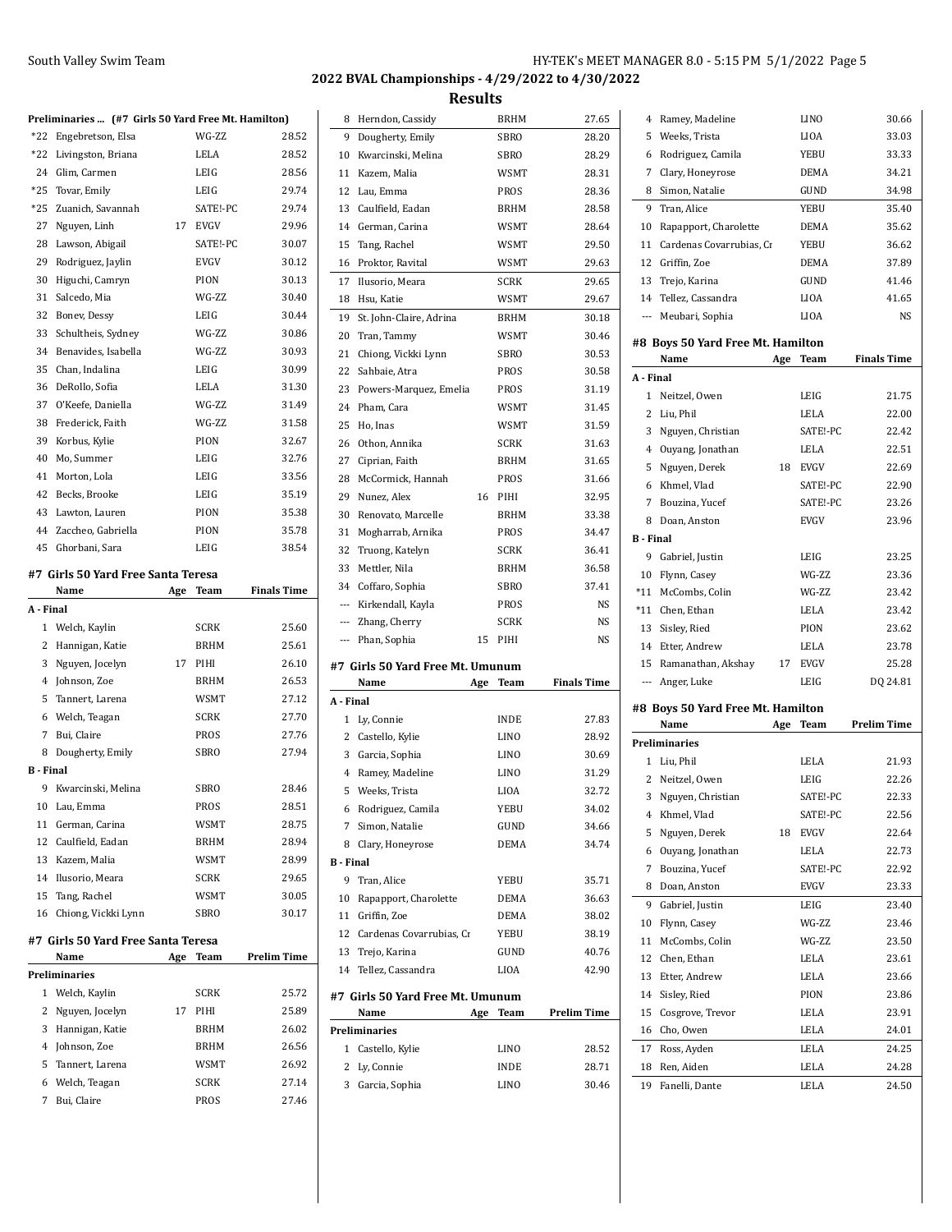|                  | Preliminaries  (#7 Girls 50 Yard Free Mt. Hamilton) |     |                     |                    |
|------------------|-----------------------------------------------------|-----|---------------------|--------------------|
| $*22$            | Engebretson, Elsa                                   |     | WG-ZZ               | 28.52              |
| *22              | Livingston, Briana                                  |     | LELA                | 28.52              |
| 24               | Glim, Carmen                                        |     | LEIG                | 28.56              |
| $*25$            | Tovar, Emily                                        |     | LEIG                | 29.74              |
| $*25$            | Zuanich, Savannah                                   |     | SATE!-PC            | 29.74              |
| 27               | Nguyen, Linh                                        | 17  | <b>EVGV</b>         | 29.96              |
| 28               | Lawson, Abigail                                     |     | SATE!-PC            | 30.07              |
| 29               | Rodriguez, Jaylin                                   |     | <b>EVGV</b>         | 30.12              |
| 30               |                                                     |     | PION                | 30.13              |
| 31               | Higuchi, Camryn<br>Salcedo, Mia                     |     | WG-ZZ               | 30.40              |
| 32               |                                                     |     | LEIG                | 30.44              |
| 33               | Bonev, Dessy                                        |     | WG-ZZ               | 30.86              |
|                  | Schultheis, Sydney                                  |     |                     |                    |
| 34               | Benavides, Isabella                                 |     | WG-ZZ               | 30.93              |
| 35               | Chan, Indalina                                      |     | LEIG                | 30.99              |
| 36               | DeRollo, Sofia                                      |     | LELA                | 31.30              |
| 37               | O'Keefe, Daniella                                   |     | WG-ZZ               | 31.49              |
| 38               | Frederick, Faith                                    |     | WG-ZZ               | 31.58              |
| 39               | Korbus, Kylie                                       |     | PION                | 32.67              |
| 40               | Mo, Summer                                          |     | LEIG                | 32.76              |
| 41               | Morton, Lola                                        |     | LEIG                | 33.56              |
| 42               | Becks, Brooke                                       |     | LEIG                | 35.19              |
| 43               | Lawton, Lauren                                      |     | PION                | 35.38              |
| 44               | Zaccheo, Gabriella                                  |     | PION                | 35.78              |
| 45               | Ghorbani, Sara                                      |     | LEIG                | 38.54              |
|                  | #7  Girls 50 Yard Free Santa Teresa                 |     |                     |                    |
|                  | Name                                                | Age | Team                | <b>Finals Time</b> |
|                  |                                                     |     |                     |                    |
| A - Final        |                                                     |     |                     |                    |
|                  | 1 Welch, Kaylin                                     |     | <b>SCRK</b>         | 25.60              |
|                  | 2 Hannigan, Katie                                   |     | <b>BRHM</b>         | 25.61              |
| 3                | Nguyen, Jocelyn                                     | 17  | PIHI                | 26.10              |
|                  | 4 Johnson, Zoe                                      |     | <b>BRHM</b>         | 26.53              |
| 5                | Tannert, Larena                                     |     | WSMT                | 27.12              |
| 6                | Welch, Teagan                                       |     | <b>SCRK</b>         | 27.70              |
|                  | 7 Bui, Claire                                       |     | PROS                | 27.76              |
| 8                | Dougherty, Emily                                    |     | <b>SBRO</b>         | 27.94              |
| <b>B</b> - Final |                                                     |     |                     |                    |
| 9                | Kwarcinski, Melina                                  |     | SBRO                | 28.46              |
| 10               | Lau, Emma                                           |     | PROS                | 28.51              |
| 11               | German, Carina                                      |     | WSMT                | 28.75              |
| 12               | Caulfield, Eadan                                    |     | <b>BRHM</b>         | 28.94              |
| 13               | Kazem, Malia                                        |     | <b>WSMT</b>         | 28.99              |
| 14               | Ilusorio, Meara                                     |     | <b>SCRK</b>         | 29.65              |
| 15               | Tang, Rachel                                        |     | WSMT                | 30.05              |
| 16               | Chiong, Vickki Lynn                                 |     | SBRO                | 30.17              |
|                  | #7  Girls 50 Yard Free Santa Teresa                 |     |                     |                    |
|                  | Name                                                | Age | Team                | <b>Prelim Time</b> |
|                  | Preliminaries                                       |     |                     |                    |
| 1                | Welch, Kaylin                                       |     | <b>SCRK</b>         | 25.72              |
| 2                | Nguyen, Jocelyn                                     | 17  | PIHI                | 25.89              |
| 3                | Hannigan, Katie                                     |     | BRHM                | 26.02              |
| 4                | Johnson, Zoe                                        |     | BRHM                | 26.56              |
| 5                | Tannert, Larena                                     |     | WSMT                | 26.92              |
| 6<br>7           | Welch, Teagan<br>Bui, Claire                        |     | <b>SCRK</b><br>PROS | 27.14<br>27.46     |

| 9 Dougherty, Emily<br>Kwarcinski, Melina<br>Kazem, Malia<br>12 Lau, Emma<br>Caulfield, Eadan<br>German, Carina<br>Tang, Rachel<br>16 Proktor, Ravital<br>17 Ilusorio, Meara<br>18 Hsu, Katie<br>St. John-Claire, Adrina<br>20 Tran, Tammy<br>Chiong, Vickki Lynn<br>22 Sahbaie, Atra<br>23 Powers-Marquez, Emelia<br>24 Pham, Cara<br>Ho, Inas<br>Othon, Annika<br>Ciprian, Faith<br>McCormick, Hannah<br>Nunez, Alex<br>Renovato, Marcelle | <b>SBRO</b><br><b>SBRO</b><br>WSMT<br>PROS<br><b>BRHM</b><br>WSMT<br>WSMT<br>WSMT<br><b>SCRK</b><br>WSMT<br>BRHM<br>WSMT<br>SBRO<br>PROS<br>PROS<br>WSMT<br>WSMT<br><b>SCRK</b><br><b>BRHM</b><br>PROS | 28.20<br>28.29<br>28.31<br>28.36<br>28.58<br>28.64<br>29.50<br>29.63<br>29.65<br>29.67<br>30.18<br>30.46<br>30.53<br>30.58<br>31.19<br>31.45<br>31.59<br>31.63<br>31.65 | 5<br>6<br>7<br>8<br>9<br>10<br>11<br>12<br>13<br>14<br>---<br>A - Final<br>2 | Weeks, Trista<br>Rodriguez, Camila<br>Clary, Honeyrose<br>Simon, Natalie<br>Tran, Alice<br>Rapapport, Charolette<br>Cardenas Covarrubias, Cr<br>Griffin, Zoe<br>Trejo, Karina<br>Tellez, Cassandra<br>Meubari, Sophia<br>#8 Boys 50 Yard Free Mt. Hamilton<br>Name | Age                                                                                               | LIOA<br>YEBU<br>DEMA<br>GUND<br>YEBU<br>DEMA<br>YEBU<br>DEMA<br>GUND<br>LIOA<br>LIOA | 33.03                                                                                                      |
|---------------------------------------------------------------------------------------------------------------------------------------------------------------------------------------------------------------------------------------------------------------------------------------------------------------------------------------------------------------------------------------------------------------------------------------------|--------------------------------------------------------------------------------------------------------------------------------------------------------------------------------------------------------|-------------------------------------------------------------------------------------------------------------------------------------------------------------------------|------------------------------------------------------------------------------|--------------------------------------------------------------------------------------------------------------------------------------------------------------------------------------------------------------------------------------------------------------------|---------------------------------------------------------------------------------------------------|--------------------------------------------------------------------------------------|------------------------------------------------------------------------------------------------------------|
|                                                                                                                                                                                                                                                                                                                                                                                                                                             |                                                                                                                                                                                                        |                                                                                                                                                                         |                                                                              |                                                                                                                                                                                                                                                                    |                                                                                                   |                                                                                      | 33.33<br>34.21<br>34.98<br>35.40<br>35.62<br>36.62<br>37.89<br>41.46<br>41.65<br><b>NS</b>                 |
|                                                                                                                                                                                                                                                                                                                                                                                                                                             |                                                                                                                                                                                                        |                                                                                                                                                                         |                                                                              |                                                                                                                                                                                                                                                                    |                                                                                                   |                                                                                      |                                                                                                            |
|                                                                                                                                                                                                                                                                                                                                                                                                                                             |                                                                                                                                                                                                        |                                                                                                                                                                         |                                                                              |                                                                                                                                                                                                                                                                    |                                                                                                   |                                                                                      |                                                                                                            |
|                                                                                                                                                                                                                                                                                                                                                                                                                                             |                                                                                                                                                                                                        |                                                                                                                                                                         |                                                                              |                                                                                                                                                                                                                                                                    |                                                                                                   |                                                                                      |                                                                                                            |
|                                                                                                                                                                                                                                                                                                                                                                                                                                             |                                                                                                                                                                                                        |                                                                                                                                                                         |                                                                              |                                                                                                                                                                                                                                                                    |                                                                                                   |                                                                                      |                                                                                                            |
|                                                                                                                                                                                                                                                                                                                                                                                                                                             |                                                                                                                                                                                                        |                                                                                                                                                                         |                                                                              |                                                                                                                                                                                                                                                                    |                                                                                                   |                                                                                      |                                                                                                            |
|                                                                                                                                                                                                                                                                                                                                                                                                                                             |                                                                                                                                                                                                        |                                                                                                                                                                         |                                                                              |                                                                                                                                                                                                                                                                    |                                                                                                   |                                                                                      |                                                                                                            |
|                                                                                                                                                                                                                                                                                                                                                                                                                                             |                                                                                                                                                                                                        |                                                                                                                                                                         |                                                                              |                                                                                                                                                                                                                                                                    |                                                                                                   |                                                                                      |                                                                                                            |
|                                                                                                                                                                                                                                                                                                                                                                                                                                             |                                                                                                                                                                                                        |                                                                                                                                                                         |                                                                              |                                                                                                                                                                                                                                                                    |                                                                                                   |                                                                                      |                                                                                                            |
|                                                                                                                                                                                                                                                                                                                                                                                                                                             |                                                                                                                                                                                                        |                                                                                                                                                                         |                                                                              |                                                                                                                                                                                                                                                                    |                                                                                                   |                                                                                      |                                                                                                            |
|                                                                                                                                                                                                                                                                                                                                                                                                                                             |                                                                                                                                                                                                        |                                                                                                                                                                         |                                                                              |                                                                                                                                                                                                                                                                    |                                                                                                   |                                                                                      |                                                                                                            |
|                                                                                                                                                                                                                                                                                                                                                                                                                                             |                                                                                                                                                                                                        |                                                                                                                                                                         |                                                                              |                                                                                                                                                                                                                                                                    |                                                                                                   |                                                                                      |                                                                                                            |
|                                                                                                                                                                                                                                                                                                                                                                                                                                             |                                                                                                                                                                                                        |                                                                                                                                                                         |                                                                              |                                                                                                                                                                                                                                                                    |                                                                                                   | Team                                                                                 | <b>Finals Time</b>                                                                                         |
|                                                                                                                                                                                                                                                                                                                                                                                                                                             |                                                                                                                                                                                                        |                                                                                                                                                                         |                                                                              |                                                                                                                                                                                                                                                                    |                                                                                                   |                                                                                      |                                                                                                            |
|                                                                                                                                                                                                                                                                                                                                                                                                                                             |                                                                                                                                                                                                        |                                                                                                                                                                         |                                                                              | 1 Neitzel, Owen                                                                                                                                                                                                                                                    |                                                                                                   | LEIG                                                                                 | 21.75                                                                                                      |
|                                                                                                                                                                                                                                                                                                                                                                                                                                             |                                                                                                                                                                                                        |                                                                                                                                                                         |                                                                              | Liu, Phil                                                                                                                                                                                                                                                          |                                                                                                   | LELA                                                                                 | 22.00                                                                                                      |
|                                                                                                                                                                                                                                                                                                                                                                                                                                             |                                                                                                                                                                                                        |                                                                                                                                                                         | 3                                                                            | Nguyen, Christian                                                                                                                                                                                                                                                  |                                                                                                   | SATE!-PC                                                                             | 22.42                                                                                                      |
|                                                                                                                                                                                                                                                                                                                                                                                                                                             |                                                                                                                                                                                                        |                                                                                                                                                                         | 4                                                                            | Ouyang, Jonathan                                                                                                                                                                                                                                                   |                                                                                                   | LELA                                                                                 | 22.51                                                                                                      |
|                                                                                                                                                                                                                                                                                                                                                                                                                                             |                                                                                                                                                                                                        |                                                                                                                                                                         | 5                                                                            | Nguyen, Derek                                                                                                                                                                                                                                                      |                                                                                                   | 18 EVGV                                                                              | 22.69                                                                                                      |
|                                                                                                                                                                                                                                                                                                                                                                                                                                             |                                                                                                                                                                                                        | 31.66                                                                                                                                                                   | 6                                                                            | Khmel, Vlad                                                                                                                                                                                                                                                        |                                                                                                   | SATE!-PC                                                                             | 22.90                                                                                                      |
|                                                                                                                                                                                                                                                                                                                                                                                                                                             | 16 PIHI                                                                                                                                                                                                | 32.95                                                                                                                                                                   | 7                                                                            | Bouzina, Yucef                                                                                                                                                                                                                                                     |                                                                                                   |                                                                                      | 23.26                                                                                                      |
|                                                                                                                                                                                                                                                                                                                                                                                                                                             | <b>BRHM</b>                                                                                                                                                                                            | 33.38                                                                                                                                                                   | 8                                                                            | Doan, Anston                                                                                                                                                                                                                                                       |                                                                                                   | SATE!-PC<br>EVGV                                                                     | 23.96                                                                                                      |
| Mogharrab, Arnika                                                                                                                                                                                                                                                                                                                                                                                                                           | PROS                                                                                                                                                                                                   | 34.47                                                                                                                                                                   | <b>B</b> - Final                                                             |                                                                                                                                                                                                                                                                    |                                                                                                   |                                                                                      |                                                                                                            |
| 32 Truong, Katelyn                                                                                                                                                                                                                                                                                                                                                                                                                          | <b>SCRK</b>                                                                                                                                                                                            | 36.41                                                                                                                                                                   |                                                                              | 9 Gabriel, Justin                                                                                                                                                                                                                                                  |                                                                                                   | LEIG                                                                                 | 23.25                                                                                                      |
| Mettler, Nila                                                                                                                                                                                                                                                                                                                                                                                                                               | BRHM                                                                                                                                                                                                   | 36.58                                                                                                                                                                   |                                                                              |                                                                                                                                                                                                                                                                    |                                                                                                   | WG-ZZ                                                                                | 23.36                                                                                                      |
| Coffaro, Sophia                                                                                                                                                                                                                                                                                                                                                                                                                             | SBRO                                                                                                                                                                                                   | 37.41                                                                                                                                                                   |                                                                              | 10 Flynn, Casey                                                                                                                                                                                                                                                    |                                                                                                   | WG-ZZ                                                                                | 23.42                                                                                                      |
| Kirkendall, Kayla                                                                                                                                                                                                                                                                                                                                                                                                                           | PROS                                                                                                                                                                                                   | NS                                                                                                                                                                      |                                                                              | *11 McCombs, Colin                                                                                                                                                                                                                                                 |                                                                                                   |                                                                                      |                                                                                                            |
| Zhang, Cherry                                                                                                                                                                                                                                                                                                                                                                                                                               | <b>SCRK</b>                                                                                                                                                                                            | NS                                                                                                                                                                      |                                                                              | *11 Chen, Ethan                                                                                                                                                                                                                                                    |                                                                                                   | LELA<br>PION                                                                         | 23.42<br>23.62                                                                                             |
| Phan, Sophia                                                                                                                                                                                                                                                                                                                                                                                                                                | 15 PIHI                                                                                                                                                                                                | NS                                                                                                                                                                      |                                                                              | 13 Sisley, Ried<br>14 Etter, Andrew                                                                                                                                                                                                                                |                                                                                                   | LELA                                                                                 | 23.78                                                                                                      |
|                                                                                                                                                                                                                                                                                                                                                                                                                                             |                                                                                                                                                                                                        |                                                                                                                                                                         | 15                                                                           | Ramanathan, Akshay                                                                                                                                                                                                                                                 |                                                                                                   | 17 EVGV                                                                              | 25.28                                                                                                      |
| #7 Girls 50 Yard Free Mt. Umunum<br>Name                                                                                                                                                                                                                                                                                                                                                                                                    | Age Team                                                                                                                                                                                               | <b>Finals Time</b>                                                                                                                                                      |                                                                              | --- Anger, Luke                                                                                                                                                                                                                                                    |                                                                                                   | LEIG                                                                                 | DQ 24.81                                                                                                   |
|                                                                                                                                                                                                                                                                                                                                                                                                                                             |                                                                                                                                                                                                        |                                                                                                                                                                         |                                                                              |                                                                                                                                                                                                                                                                    |                                                                                                   |                                                                                      |                                                                                                            |
| 1 Ly, Connie                                                                                                                                                                                                                                                                                                                                                                                                                                | <b>INDE</b>                                                                                                                                                                                            | 27.83                                                                                                                                                                   |                                                                              | #8 Boys 50 Yard Free Mt. Hamilton<br>Name                                                                                                                                                                                                                          |                                                                                                   | Team                                                                                 | <b>Prelim Time</b>                                                                                         |
| 2 Castello, Kylie                                                                                                                                                                                                                                                                                                                                                                                                                           | LINO                                                                                                                                                                                                   | 28.92                                                                                                                                                                   |                                                                              | Preliminaries                                                                                                                                                                                                                                                      | Age                                                                                               |                                                                                      |                                                                                                            |
| 3 Garcia, Sophia                                                                                                                                                                                                                                                                                                                                                                                                                            | LINO                                                                                                                                                                                                   | 30.69                                                                                                                                                                   |                                                                              | 1 Liu, Phil                                                                                                                                                                                                                                                        |                                                                                                   | LELA                                                                                 | 21.93                                                                                                      |
| 4 Ramey, Madeline                                                                                                                                                                                                                                                                                                                                                                                                                           | LINO                                                                                                                                                                                                   | 31.29                                                                                                                                                                   | 2                                                                            | Neitzel, Owen                                                                                                                                                                                                                                                      |                                                                                                   | LEIG                                                                                 | 22.26                                                                                                      |
| 5 Weeks, Trista                                                                                                                                                                                                                                                                                                                                                                                                                             | LIOA                                                                                                                                                                                                   | 32.72                                                                                                                                                                   | 3                                                                            |                                                                                                                                                                                                                                                                    |                                                                                                   | SATE!-PC                                                                             | 22.33                                                                                                      |
| 6 Rodriguez, Camila                                                                                                                                                                                                                                                                                                                                                                                                                         | YEBU                                                                                                                                                                                                   | 34.02                                                                                                                                                                   | 4                                                                            | Nguyen, Christian<br>Khmel, Vlad                                                                                                                                                                                                                                   |                                                                                                   |                                                                                      |                                                                                                            |
| 7 Simon, Natalie                                                                                                                                                                                                                                                                                                                                                                                                                            | GUND                                                                                                                                                                                                   | 34.66                                                                                                                                                                   |                                                                              | Nguyen, Derek                                                                                                                                                                                                                                                      |                                                                                                   | SATE!-PC                                                                             | 22.56                                                                                                      |
| 8 Clary, Honeyrose                                                                                                                                                                                                                                                                                                                                                                                                                          | DEMA                                                                                                                                                                                                   | 34.74                                                                                                                                                                   | 5                                                                            |                                                                                                                                                                                                                                                                    |                                                                                                   | 18 EVGV                                                                              | 22.64                                                                                                      |
|                                                                                                                                                                                                                                                                                                                                                                                                                                             |                                                                                                                                                                                                        |                                                                                                                                                                         | 6                                                                            | Ouyang, Jonathan                                                                                                                                                                                                                                                   |                                                                                                   | LELA                                                                                 | 22.73                                                                                                      |
| 9 Tran, Alice                                                                                                                                                                                                                                                                                                                                                                                                                               | YEBU                                                                                                                                                                                                   | 35.71                                                                                                                                                                   | 7                                                                            | Bouzina, Yucef                                                                                                                                                                                                                                                     |                                                                                                   | SATE!-PC                                                                             | 22.92                                                                                                      |
|                                                                                                                                                                                                                                                                                                                                                                                                                                             |                                                                                                                                                                                                        |                                                                                                                                                                         |                                                                              |                                                                                                                                                                                                                                                                    |                                                                                                   |                                                                                      | 23.33                                                                                                      |
|                                                                                                                                                                                                                                                                                                                                                                                                                                             |                                                                                                                                                                                                        |                                                                                                                                                                         |                                                                              |                                                                                                                                                                                                                                                                    |                                                                                                   |                                                                                      | 23.40                                                                                                      |
| Rapapport, Charolette                                                                                                                                                                                                                                                                                                                                                                                                                       |                                                                                                                                                                                                        |                                                                                                                                                                         |                                                                              |                                                                                                                                                                                                                                                                    |                                                                                                   |                                                                                      | 23.46                                                                                                      |
| Griffin, Zoe                                                                                                                                                                                                                                                                                                                                                                                                                                |                                                                                                                                                                                                        |                                                                                                                                                                         |                                                                              |                                                                                                                                                                                                                                                                    |                                                                                                   |                                                                                      | 23.50                                                                                                      |
| Cardenas Covarrubias, Cr                                                                                                                                                                                                                                                                                                                                                                                                                    |                                                                                                                                                                                                        |                                                                                                                                                                         |                                                                              |                                                                                                                                                                                                                                                                    |                                                                                                   |                                                                                      | 23.61                                                                                                      |
| Trejo, Karina                                                                                                                                                                                                                                                                                                                                                                                                                               |                                                                                                                                                                                                        |                                                                                                                                                                         | 13                                                                           |                                                                                                                                                                                                                                                                    |                                                                                                   | LELA                                                                                 | 23.66                                                                                                      |
| 14 Tellez, Cassandra                                                                                                                                                                                                                                                                                                                                                                                                                        |                                                                                                                                                                                                        |                                                                                                                                                                         | 14                                                                           | Sisley, Ried                                                                                                                                                                                                                                                       |                                                                                                   | PION                                                                                 | 23.86                                                                                                      |
|                                                                                                                                                                                                                                                                                                                                                                                                                                             | Team                                                                                                                                                                                                   | <b>Prelim Time</b>                                                                                                                                                      | 15                                                                           | Cosgrove, Trevor                                                                                                                                                                                                                                                   |                                                                                                   | LELA                                                                                 | 23.91                                                                                                      |
| Name                                                                                                                                                                                                                                                                                                                                                                                                                                        |                                                                                                                                                                                                        |                                                                                                                                                                         | 16                                                                           | Cho, Owen                                                                                                                                                                                                                                                          |                                                                                                   | LELA                                                                                 | 24.01                                                                                                      |
| Preliminaries                                                                                                                                                                                                                                                                                                                                                                                                                               |                                                                                                                                                                                                        |                                                                                                                                                                         | 17                                                                           | Ross, Ayden                                                                                                                                                                                                                                                        |                                                                                                   | LELA                                                                                 | 24.25                                                                                                      |
| 1 Castello, Kylie                                                                                                                                                                                                                                                                                                                                                                                                                           | LINO                                                                                                                                                                                                   |                                                                                                                                                                         |                                                                              |                                                                                                                                                                                                                                                                    |                                                                                                   |                                                                                      | 24.28                                                                                                      |
|                                                                                                                                                                                                                                                                                                                                                                                                                                             |                                                                                                                                                                                                        | DEMA<br>DEMA<br>YEBU<br>GUND<br>LIOA<br>#7 Girls 50 Yard Free Mt. Umunum<br>Age                                                                                         | 36.63<br>38.02<br>38.19<br>40.76<br>42.90<br>28.52                           | 8<br>9<br>10<br>11<br>12                                                                                                                                                                                                                                           | Doan, Anston<br>Gabriel, Justin<br>Flynn, Casey<br>McCombs, Colin<br>Chen, Ethan<br>Etter, Andrew |                                                                                      | <b>EVGV</b><br>LEIG<br>WG-ZZ<br>WG-ZZ<br>LELA<br>2 Ly, Connie<br>INDE<br>28.71<br>Ren, Aiden<br>LELA<br>18 |

| 4                | катеу, мадение                            |     | LINU        | 30.OO              |
|------------------|-------------------------------------------|-----|-------------|--------------------|
| 5                | Weeks, Trista                             |     | LIOA        | 33.03              |
| 6                | Rodriguez, Camila                         |     | YEBU        | 33.33              |
| 7                | Clary, Honeyrose                          |     | DEMA        | 34.21              |
| 8                | Simon, Natalie                            |     | GUND        | 34.98              |
| 9                | Tran, Alice                               |     | YEBU        | 35.40              |
| 10               | Rapapport, Charolette                     |     | DEMA        | 35.62              |
| 11               | Cardenas Covarrubias, Cr                  |     | YEBU        | 36.62              |
| 12               | Griffin, Zoe                              |     | DEMA        | 37.89              |
| 13               | Trejo, Karina                             |     | GUND        | 41.46              |
| 14               | Tellez, Cassandra                         |     | <b>LIOA</b> | 41.65              |
|                  | --- Meubari, Sophia                       |     | LIOA        | NS                 |
|                  |                                           |     |             |                    |
|                  | #8 Boys 50 Yard Free Mt. Hamilton<br>Name | Age | Team        | <b>Finals Time</b> |
| A - Final        |                                           |     |             |                    |
|                  | 1 Neitzel, Owen                           |     | LEIG        | 21.75              |
|                  | 2 Liu, Phil                               |     | LELA        | 22.00              |
|                  | 3 Nguyen, Christian                       |     | SATE!-PC    | 22.42              |
|                  |                                           |     | LELA        | 22.51              |
|                  | 4 Ouyang, Jonathan                        |     | <b>EVGV</b> | 22.69              |
|                  | 5 Nguyen, Derek                           | 18  |             |                    |
|                  | 6 Khmel, Vlad                             |     | SATE!-PC    | 22.90              |
| $7^{\circ}$      | Bouzina, Yucef                            |     | SATE!-PC    | 23.26              |
| 8                | Doan, Anston                              |     | <b>EVGV</b> | 23.96              |
| <b>B</b> - Final |                                           |     |             |                    |
|                  | 9 Gabriel, Justin                         |     | LEIG        | 23.25              |
|                  | 10 Flynn, Casey                           |     | WG-ZZ       | 23.36              |
|                  | *11 McCombs, Colin                        |     | WG-ZZ       | 23.42              |
|                  | *11 Chen, Ethan                           |     | LELA        | 23.42              |
|                  | 13 Sisley, Ried                           |     | PION        | 23.62              |
|                  | 14 Etter, Andrew                          |     | LELA        | 23.78              |
|                  | 15 Ramanathan, Akshay                     | 17  | EVGV        | 25.28              |
|                  | --- Anger, Luke                           |     | LEIG        | DQ 24.81           |
|                  | #8 Boys 50 Yard Free Mt. Hamilton         |     |             |                    |
|                  | Name                                      | Age | Team        | <b>Prelim Time</b> |
|                  | <b>Preliminaries</b>                      |     |             |                    |
|                  | 1 Liu, Phil                               |     | LELA        | 21.93              |
|                  | 2 Neitzel, Owen                           |     | LEIG        | 22.26              |
|                  | 3 Nguyen, Christian                       |     | SATE!-PC    | 22.33              |
|                  | 4 Khmel, Vlad                             |     | SATE!-PC    | 22.56              |
| 5                | Nguyen, Derek                             | 18  | EVGV        | 22.64              |
| 6                | Ouyang, Jonathan                          |     | LELA        | 22.73              |
| 7                | Bouzina, Yucef                            |     | SATE!-PC    | 22.92              |
| 8                |                                           |     |             |                    |
|                  | Doan, Anston                              |     | EVGV        | 23.33              |
| 9                | Gabriel, Justin                           |     | LEIG        | 23.40              |
| 10               | Flynn, Casey                              |     | WG-ZZ       | 23.46              |
| 11               | McCombs, Colin                            |     | WG-ZZ       | 23.50              |
| 12               | Chen, Ethan                               |     | LELA        | 23.61              |
| 13               | Etter, Andrew                             |     | LELA        | 23.66              |
| 14               | Sisley, Ried                              |     | PION        | 23.86              |
| 15               | Cosgrove, Trevor                          |     | LELA        | 23.91              |
| 16               | Cho, Owen                                 |     | LELA        | 24.01              |
| 17               | Ross, Ayden                               |     | LELA        | 24.25              |
| 18               | Ren, Aiden                                |     | LELA        | 24.28              |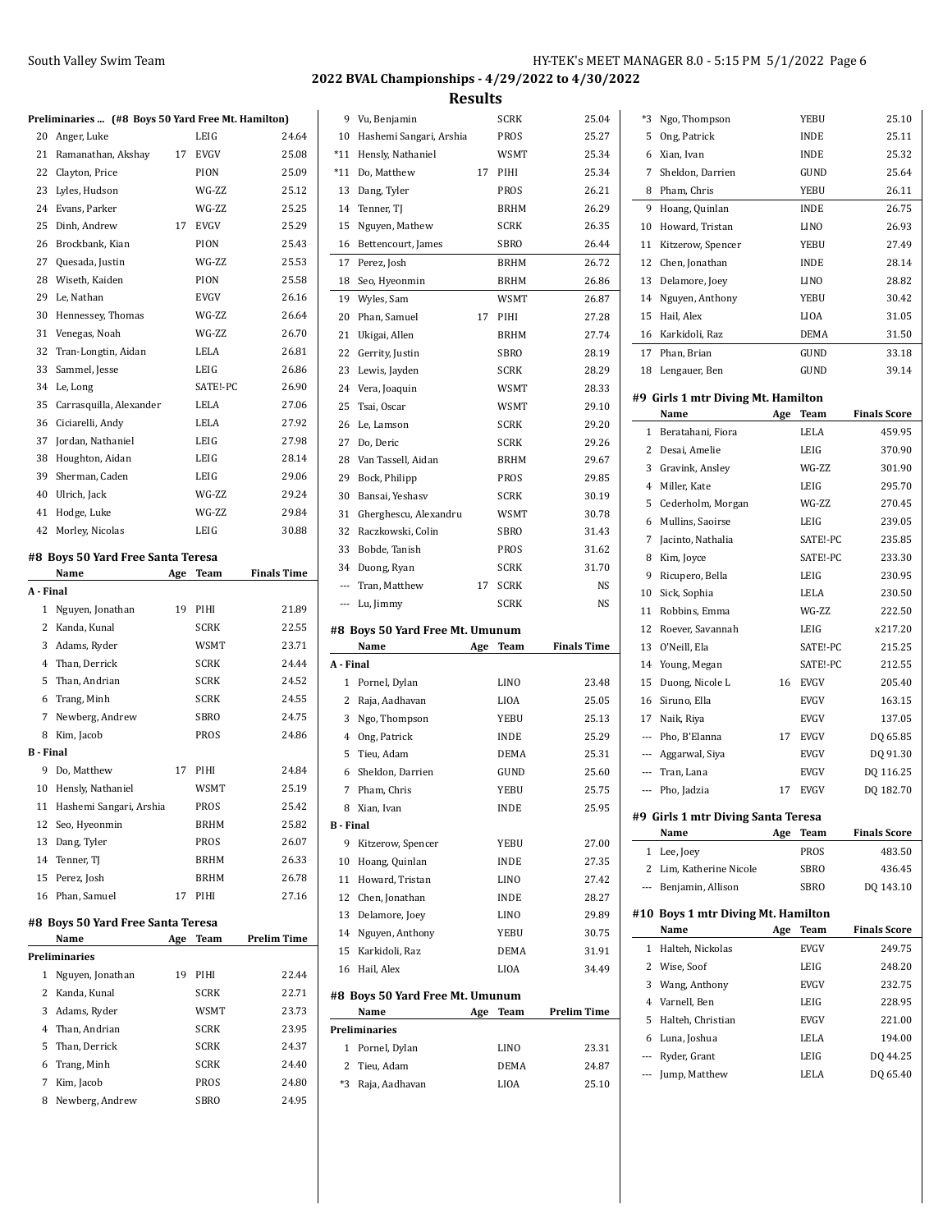**Results**

| Preliminaries  (#8 Boys 50 Yard Free Mt. Hamilton) |  |  |  |  |  |
|----------------------------------------------------|--|--|--|--|--|
|----------------------------------------------------|--|--|--|--|--|

|           | Preliminaries  (#8 Boys 50 Yard Free Mt. Hamilton) |     |             |                    |
|-----------|----------------------------------------------------|-----|-------------|--------------------|
| 20        | Anger, Luke                                        |     | LEIG        | 24.64              |
|           | 21 Ramanathan, Akshay 17                           |     | <b>EVGV</b> | 25.08              |
|           | 22 Clayton, Price                                  |     | PION        | 25.09              |
|           | 23 Lyles, Hudson                                   |     | WG-ZZ       | 25.12              |
|           | 24 Evans, Parker                                   |     | WG-ZZ       | 25.25              |
| 25        | Dinh, Andrew                                       | 17  | <b>EVGV</b> | 25.29              |
| 26        | Brockbank, Kian                                    |     | PION        | 25.43              |
|           | 27 Quesada, Justin                                 |     | WG-ZZ       | 25.53              |
| 28        | Wiseth, Kaiden                                     |     | PION        | 25.58              |
| 29        | Le, Nathan                                         |     | <b>EVGV</b> | 26.16              |
| 30        | Hennessey, Thomas                                  |     | WG-ZZ       | 26.64              |
|           | 31 Venegas, Noah                                   |     | WG-ZZ       | 26.70              |
| 32        | Tran-Longtin, Aidan                                |     | LELA        | 26.81              |
| 33        | Sammel, Jesse                                      |     | LEIG        | 26.86              |
|           | 34 Le, Long                                        |     | SATE!-PC    | 26.90              |
| 35        | Carrasquilla, Alexander                            |     | LELA        | 27.06              |
| 36        | Ciciarelli, Andy                                   |     | LELA        | 27.92              |
|           | 37 Jordan, Nathaniel                               |     | LEIG        | 27.98              |
| 38        | Houghton, Aidan                                    |     | LEIG        | 28.14              |
| 39        | Sherman, Caden                                     |     | LEIG        | 29.06              |
|           | 40 Ulrich, Jack                                    |     | WG-ZZ       | 29.24              |
|           | 41 Hodge, Luke                                     |     | WG-ZZ       | 29.84              |
| 42        | Morley, Nicolas                                    |     | LEIG        | 30.88              |
|           | #8  Boys 50 Yard Free Santa Teresa                 |     |             |                    |
|           | Name                                               | Age | Team        | <b>Finals Time</b> |
| A - Final |                                                    |     |             |                    |
|           | 1 Nguyen, Jonathan                                 | 19  | PIHI        | 21.89              |
|           | 2 Kanda, Kunal                                     |     | <b>SCRK</b> | 22.55              |
|           | 3 Adams, Ryder                                     |     | <b>WSMT</b> | 23.71              |
|           | 4 Than, Derrick                                    |     | <b>SCRK</b> | 24.44              |
|           | 5 Than, Andrian                                    |     | <b>SCRK</b> | 24.52              |
|           | 6 Trang, Minh                                      |     | <b>SCRK</b> | 24.55              |
|           | 7 Newberg, Andrew                                  |     | SBRO        | 24.75              |
| 8         | Kim, Jacob                                         |     | PROS        | 24.86              |
| B - Final |                                                    |     |             |                    |
| 9         | Do, Matthew                                        | 17  | PIHI        | 24.84              |
|           | 10 Hensly, Nathaniel                               |     | <b>WSMT</b> | 25.19              |
|           | 11 Hashemi Sangari, Arshia                         |     | PROS        | 25.42              |
|           | 12 Seo, Hyeonmin                                   |     | <b>BRHM</b> | 25.82              |
|           | 13 Dang, Tyler                                     |     | PROS        | 26.07              |
| 14        | Tenner, TJ                                         |     | <b>BRHM</b> | 26.33              |
|           |                                                    |     |             |                    |

### **#8 Boys 50 Yard Free Santa Teresa Name Age Team Prelim Time Preliminaries** Nguyen, Jonathan 19 PIHI 22.44 Kanda, Kunal SCRK 22.71 Adams, Ryder WSMT 23.73 Than, Andrian SCRK 23.95 Than, Derrick SCRK 24.37 Trang, Minh SCRK 24.40 Kim, Jacob PROS 24.80 Newberg, Andrew SBRO 24.95

 Perez, Josh BRHM 26.78 Phan, Samuel 17 PIHI 27.16

| 9                        | Vu, Benjamin                     |     | <b>SCRK</b>  | 25.04              |
|--------------------------|----------------------------------|-----|--------------|--------------------|
| 10                       | Hashemi Sangari, Arshia          |     | PROS         | 25.27              |
| $*11$                    | Hensly, Nathaniel                |     | <b>WSMT</b>  | 25.34              |
| *11                      | Do, Matthew                      | 17  | PIHI         | 25.34              |
| 13                       | Dang, Tyler                      |     | <b>PROS</b>  | 26.21              |
| 14                       | Tenner, TJ                       |     | <b>BRHM</b>  | 26.29              |
| 15                       | Nguyen, Mathew                   |     | <b>SCRK</b>  | 26.35              |
| 16                       | Bettencourt, James               |     | SBRO         | 26.44              |
| 17                       | Perez, Josh                      |     | <b>BRHM</b>  | 26.72              |
| 18                       | Seo, Hyeonmin                    |     | <b>BRHM</b>  | 26.86              |
| 19                       | Wyles, Sam                       |     | WSMT         | 26.87              |
| 20                       | Phan, Samuel                     | 17  | PIHI         | 27.28              |
| 21                       | Ukigai, Allen                    |     | <b>BRHM</b>  | 27.74              |
| 22                       | Gerrity, Justin                  |     | SBRO         | 28.19              |
| 23                       | Lewis, Jayden                    |     | <b>SCRK</b>  | 28.29              |
| 24                       | Vera, Joaquin                    |     | WSMT         | 28.33              |
| 25                       | Tsai, Oscar                      |     | WSMT         | 29.10              |
| 26                       | Le, Lamson                       |     | <b>SCRK</b>  | 29.20              |
| 27                       | Do, Deric                        |     | <b>SCRK</b>  | 29.26              |
| 28                       | Van Tassell, Aidan               |     | <b>BRHM</b>  | 29.67              |
| 29                       | Bock, Philipp                    |     | PROS         | 29.85              |
| 30                       | Bansai, Yeshasv                  |     | <b>SCRK</b>  | 30.19              |
| 31                       | Gherghescu, Alexandru            |     | <b>WSMT</b>  | 30.78              |
| 32                       | Raczkowski, Colin                |     | SBRO         | 31.43              |
| 33                       | Bobde, Tanish                    |     | <b>PROS</b>  | 31.62              |
| 34                       | Duong, Ryan                      |     | <b>SCRK</b>  | 31.70              |
| $\overline{\phantom{a}}$ | Tran, Matthew                    | 17  | <b>SCRK</b>  | NS                 |
|                          | Lu, Jimmy                        |     | <b>SCRK</b>  | NS                 |
| ---                      |                                  |     |              |                    |
|                          |                                  |     |              |                    |
|                          | #8  Boys 50 Yard Free Mt. Umunum |     |              |                    |
|                          | Name                             | Age | Team         | <b>Finals Time</b> |
| A - Final                |                                  |     |              |                    |
| 1                        | Pornel, Dylan                    |     | LINO         | 23.48              |
| 2                        | Raja, Aadhavan                   |     | LIOA         | 25.05              |
| 3                        | Ngo, Thompson                    |     | YEBU         | 25.13              |
|                          | 4 Ong, Patrick                   |     | <b>INDE</b>  | 25.29              |
| 5                        | Tieu, Adam                       |     | DEMA         | 25.31              |
| 6                        | Sheldon, Darrien                 |     | GUND         | 25.60              |
| 7                        | Pham, Chris                      |     | YEBU         | 25.75              |
|                          | 8 Xian, Ivan                     |     | INDE         | 25.95              |
|                          |                                  |     |              |                    |
| B - Final<br>9           | Kitzerow, Spencer                |     | YEBU         | 27.00              |
| 10                       | Hoang, Quinlan                   |     | INDE         | 27.35              |
| 11                       | Howard, Tristan                  |     | LINO         | 27.42              |
| 12                       | Chen, Jonathan                   |     | <b>INDE</b>  | 28.27              |
| 13                       | Delamore, Joey                   |     | <b>LINO</b>  | 29.89              |
| 14                       | Nguyen, Anthony                  |     | <b>YEBU</b>  | 30.75              |
| 15                       | Karkidoli, Raz                   |     | DEMA         | 31.91              |
| 16                       | Hail, Alex                       |     | LIOA         | 34.49              |
|                          | #8  Boys 50 Yard Free Mt. Umunum |     |              |                    |
|                          | Name                             | Age | Team         | <b>Prelim Time</b> |
|                          | Preliminaries                    |     |              |                    |
| 1                        | Pornel, Dylan                    |     | LINO         | 23.31              |
| 2                        | Tieu, Adam<br>*3 Raja, Aadhavan  |     | DEMA<br>LIOA | 24.87<br>25.10     |

| *3             | Ngo, Thompson                              |     | YEBU        | 25.10               |
|----------------|--------------------------------------------|-----|-------------|---------------------|
| 5              | Ong, Patrick                               |     | <b>INDE</b> | 25.11               |
| 6              | Xian, Ivan                                 |     | <b>INDE</b> | 25.32               |
| 7              | Sheldon, Darrien                           |     | GUND        | 25.64               |
| 8              | Pham, Chris                                |     | YEBU        | 26.11               |
| 9              | Hoang, Quinlan                             |     | <b>INDE</b> | 26.75               |
| 10             | Howard, Tristan                            |     | LINO        | 26.93               |
| 11             | Kitzerow, Spencer                          |     | YEBU        | 27.49               |
| 12             | Chen, Jonathan                             |     | <b>INDE</b> | 28.14               |
| 13             | Delamore, Joev                             |     | <b>LINO</b> | 28.82               |
| 14             | Nguyen, Anthony                            |     | YEBU        | 30.42               |
| 15             | Hail, Alex                                 |     | LIOA        | 31.05               |
| 16             | Karkidoli, Raz                             |     | DEMA        | 31.50               |
|                | 17 Phan, Brian                             |     | GUND        | 33.18               |
| 18             | Lengauer, Ben                              |     | GUND        | 39.14               |
|                |                                            |     |             |                     |
|                | #9 Girls 1 mtr Diving Mt. Hamilton<br>Name |     | Team        | <b>Finals Score</b> |
| 1              | Beratahani, Fiora                          | Age | LELA        | 459.95              |
|                | 2 Desai, Amelie                            |     | LEIG        | 370.90              |
| 3              | Gravink, Ansley                            |     | WG-7.7.     | 301.90              |
| $\overline{4}$ | Miller, Kate                               |     | LEIG        | 295.70              |
| 5              | Cederholm, Morgan                          |     | WG-ZZ       | 270.45              |
| 6              |                                            |     | LEIG        | 239.05              |
| 7              | Mullins, Saoirse                           |     | SATE!-PC    | 235.85              |
| 8              | Jacinto, Nathalia                          |     | SATE!-PC    | 233.30              |
| 9              | Kim, Joyce                                 |     | LEIG        | 230.95              |
| 10             | Ricupero, Bella<br>Sick, Sophia            |     | LELA        | 230.50              |
| 11             | Robbins, Emma                              |     | WG-ZZ       | 222.50              |
| 12             | Roever, Savannah                           |     | LEIG        | x217.20             |
| 13             | O'Neill, Ela                               |     | SATE!-PC    | 215.25              |
| 14             | Young, Megan                               |     | SATE!-PC    | 212.55              |
| 15             |                                            | 16  | <b>EVGV</b> | 205.40              |
| 16             | Duong, Nicole L<br>Siruno, Ella            |     | <b>EVGV</b> | 163.15              |
| 17             | Naik, Riya                                 |     | <b>EVGV</b> | 137.05              |
|                | --- Pho, B'Elanna                          | 17  | <b>EVGV</b> | DQ 65.85            |
|                | --- Aggarwal, Siya                         |     | <b>EVGV</b> | DQ 91.30            |
|                | --- Tran, Lana                             |     | <b>EVGV</b> | DQ 116.25           |
| $\overline{a}$ | Pho, Jadzia                                | 17  | EVGV        | DQ 182.70           |
|                |                                            |     |             |                     |
|                | #9 Girls 1 mtr Diving Santa Teresa         |     |             |                     |
|                | Name                                       | Age | Team        | <b>Finals Score</b> |
| 1              | Lee, Joey                                  |     | PROS        | 483.50              |
| 2              | Lim, Katherine Nicole                      |     | SBRO        | 436.45              |
| ---            | Benjamin, Allison                          |     | SBRO        | DQ 143.10           |
|                | #10 Boys 1 mtr Diving Mt. Hamilton         |     |             |                     |
|                | Name                                       | Age | Team        | <b>Finals Score</b> |
|                | 1 Halteh, Nickolas                         |     | <b>EVGV</b> | 249.75              |
| 2              | Wise, Soof                                 |     | LEIG        | 248.20              |
| 3              | Wang, Anthony                              |     | <b>EVGV</b> | 232.75              |
| 4              | Varnell, Ben                               |     | LEIG        | 228.95              |
|                | $H_0$ $H_0$ $h_0$ $h_1$                    |     | EVICVI      | 221.00              |

| 3 Wang, Anthony     | <b>EVGV</b> | 232.75   |
|---------------------|-------------|----------|
| 4 Varnell, Ben      | LEIG        | 228.95   |
| 5 Halteh, Christian | <b>EVGV</b> | 221.00   |
| 6 Luna, Joshua      | LELA        | 194.00   |
| --- Ryder, Grant    | LEIG        | DO 44.25 |
| --- Jump, Matthew   | LELA        | DO 65.40 |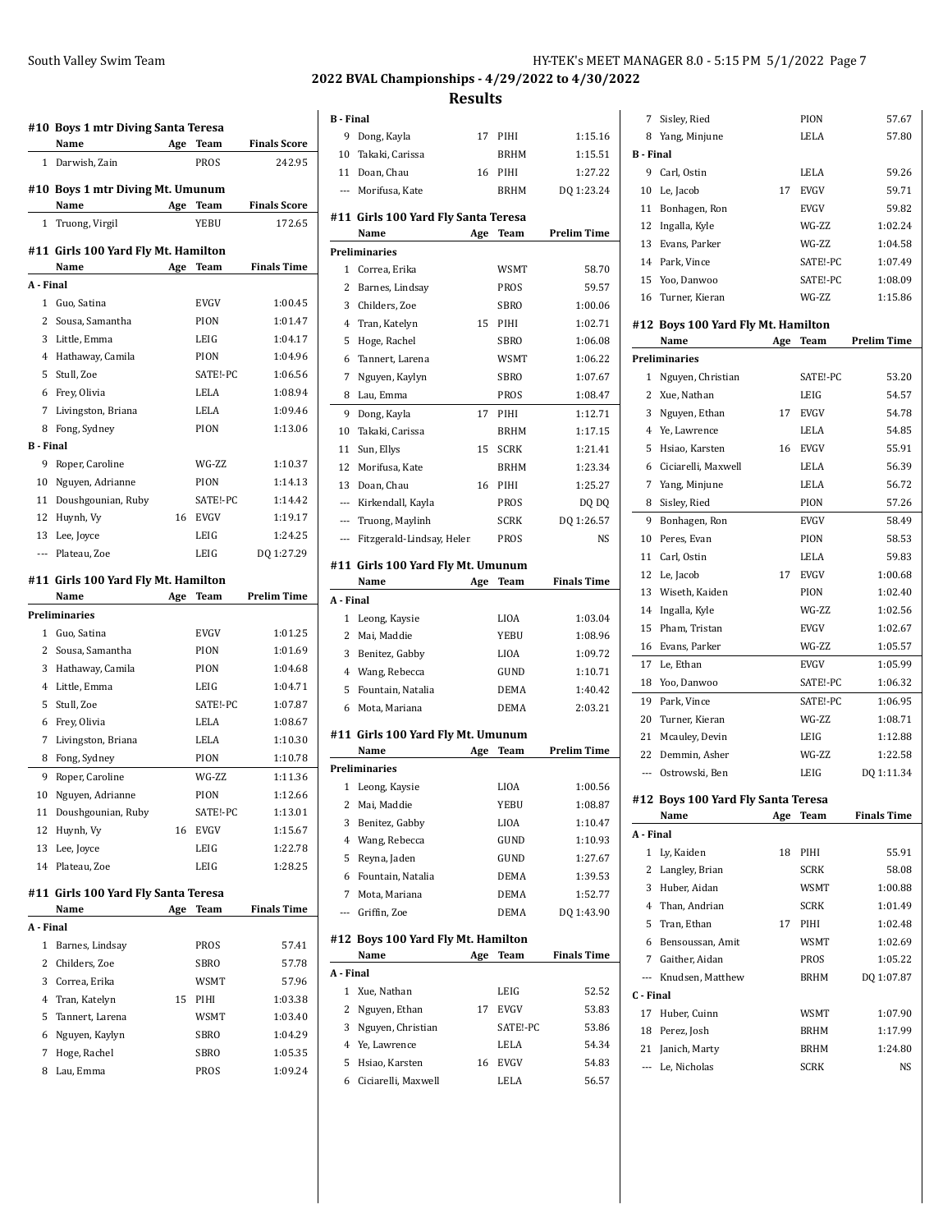|                  | #10 Boys 1 mtr Diving Santa Teresa          |     |              |                               |
|------------------|---------------------------------------------|-----|--------------|-------------------------------|
|                  | Name                                        | Age | Team         | <b>Finals Score</b>           |
| $\mathbf{1}$     | Darwish, Zain                               |     | PROS         | 242.95                        |
|                  | #10 Boys 1 mtr Diving Mt. Umunum            |     |              |                               |
| 1                | Name                                        | Age | Team<br>YEBU | <b>Finals Score</b><br>172.65 |
|                  | Truong, Virgil                              |     |              |                               |
|                  | #11 Girls 100 Yard Fly Mt. Hamilton<br>Name | Age | Team         | <b>Finals Time</b>            |
| A - Final        |                                             |     |              |                               |
| 1                | Guo, Satina                                 |     | <b>EVGV</b>  | 1:00.45                       |
| 2                | Sousa, Samantha                             |     | PION         | 1:01.47                       |
| 3                | Little, Emma                                |     | LEIG         | 1:04.17                       |
| 4                | Hathaway, Camila                            |     | PION         | 1:04.96                       |
| 5                | Stull, Zoe                                  |     | SATE!-PC     | 1:06.56                       |
| 6                | Frey, Olivia                                |     | LELA         | 1:08.94                       |
| 7                | Livingston, Briana                          |     | LELA         | 1:09.46                       |
| 8                | Fong, Sydney                                |     | PION         | 1:13.06                       |
| <b>B</b> - Final |                                             |     |              |                               |
| 9                | Roper, Caroline                             |     | WG-ZZ        | 1:10.37                       |
| 10               | Nguyen, Adrianne                            |     | PION         | 1:14.13                       |
| 11               | Doushgounian, Ruby                          |     | SATE!-PC     | 1:14.42                       |
| 12               | Huynh, Vy                                   | 16  | <b>EVGV</b>  | 1:19.17                       |
| 13               | Lee, Joyce                                  |     | LEIG         | 1:24.25                       |
| ---              | Plateau, Zoe                                |     | LEIG         | DQ 1:27.29                    |
|                  |                                             |     |              |                               |
|                  | #11  Girls 100 Yard Fly Mt. Hamilton        |     |              |                               |
|                  | Name                                        | Age | Team         | <b>Prelim Time</b>            |
|                  | <b>Preliminaries</b>                        |     |              |                               |
| $\mathbf{1}$     | Guo, Satina                                 |     | <b>EVGV</b>  | 1:01.25                       |
| 2                | Sousa, Samantha                             |     | PION         | 1:01.69                       |
| 3                | Hathaway, Camila                            |     | PION         | 1:04.68                       |
| 4                | Little, Emma                                |     | LEIG         | 1:04.71                       |
| 5                | Stull, Zoe                                  |     | SATE!-PC     | 1:07.87                       |
| 6                | Frey, Olivia                                |     | LELA         | 1:08.67                       |
| 7                | Livingston, Briana                          |     | LELA         | 1:10.30                       |
| 8                | Fong, Sydney                                |     | PION         | 1:10.78                       |
| 9                |                                             |     |              |                               |
|                  | Roper, Caroline                             |     | WG-ZZ        | 1:11.36                       |
| 10               | Nguyen, Adrianne                            |     | PION         | 1:12.66                       |
| 11               | Doushgounian, Ruby                          |     | SATE!-PC     | 1:13.01                       |
| 12               | Huynh, Vy                                   | 16  | <b>EVGV</b>  | 1:15.67                       |
| 13               | Lee, Joyce                                  |     | LEIG         | 1:22.78                       |
| 14               | Plateau, Zoe                                |     | LEIG         | 1:28.25                       |
|                  | #11 Girls 100 Yard Fly Santa Teresa         |     |              |                               |
|                  | Name                                        | Age | Team         | <b>Finals Time</b>            |
| A - Final        |                                             |     |              |                               |
| 1                | Barnes, Lindsay                             |     | PROS         | 57.41                         |
| 2                | Childers, Zoe                               |     | SBRO         | 57.78                         |
| 3                | Correa, Erika                               |     | <b>WSMT</b>  | 57.96                         |
| 4                | Tran, Katelyn                               | 15  | PIHI         | 1:03.38                       |
| 5                | Tannert, Larena                             |     | WSMT         | 1:03.40                       |
| 6                | Nguyen, Kaylyn                              |     | SBRO         | 1:04.29                       |
| 7                | Hoge, Rachel                                |     | SBRO         | 1:05.35                       |

|                  |                                      | <b>Results</b> |             |                    |
|------------------|--------------------------------------|----------------|-------------|--------------------|
| <b>B</b> - Final |                                      |                |             |                    |
| 9                | Dong, Kayla                          | 17             | PIHI        | 1:15.16            |
|                  | 10 Takaki, Carissa                   |                | BRHM        | 1:15.51            |
|                  | 11 Doan, Chau                        | 16             | PIHI        | 1:27.22            |
|                  | --- Morifusa, Kate                   |                | <b>BRHM</b> | DQ 1:23.24         |
|                  |                                      |                |             |                    |
|                  | #11  Girls 100 Yard Fly Santa Teresa |                |             |                    |
|                  | Name                                 | Age            | Team        | Prelim Time        |
|                  | <b>Preliminaries</b>                 |                |             |                    |
| 1                | Correa. Erika                        |                | <b>WSMT</b> | 58.70              |
| 2                | Barnes, Lindsay                      |                | PROS        | 59.57              |
| 3                | Childers, Zoe                        |                | <b>SBRO</b> | 1:00.06            |
| 4                | Tran, Katelyn                        | 15             | PIHI        | 1:02.71            |
| 5                | Hoge, Rachel                         |                | <b>SBRO</b> | 1:06.08            |
| 6                | Tannert, Larena                      |                | <b>WSMT</b> | 1:06.22            |
| 7                | Nguyen, Kaylyn                       |                | SBRO        | 1:07.67            |
| 8                | Lau, Emma                            |                | PROS        | 1:08.47            |
| 9                | Dong, Kayla                          | 17             | PIHI        | 1:12.71            |
| 10               | Takaki, Carissa                      |                | <b>BRHM</b> | 1:17.15            |
| 11               | Sun, Ellys                           | 15             | <b>SCRK</b> | 1:21.41            |
| 12               | Morifusa, Kate                       |                | BRHM        | 1:23.34            |
| 13               | Doan, Chau                           | 16             | PIHI        | 1:25.27            |
| $---$            | Kirkendall, Kayla                    |                | PROS        | DQ DQ              |
| $---$            | Truong, Maylinh                      |                | SCRK        | DQ 1:26.57         |
| $---$            | Fitzgerald-Lindsay, Helen            |                | PROS        | <b>NS</b>          |
|                  |                                      |                |             |                    |
|                  |                                      |                |             |                    |
|                  | #11 Girls 100 Yard Fly Mt. Umunum    |                |             |                    |
|                  | Name                                 | Age            | Team        | <b>Finals Time</b> |
| A - Final        |                                      |                |             |                    |
| 1                | Leong, Kaysie                        |                | LIOA        | 1:03.04            |
| 2                | Mai, Maddie                          |                | YEBU        | 1:08.96            |
| 3                | Benitez, Gabby                       |                | LIOA        | 1:09.72            |
| 4                | Wang, Rebecca                        |                | GUND        | 1:10.71            |
| 5                | Fountain, Natalia                    |                | DEMA        | 1:40.42            |
| 6                | Mota, Mariana                        |                | DEMA        | 2:03.21            |
|                  | #11 Girls 100 Yard Fly Mt. Umunum    |                |             |                    |
|                  | Name                                 | Age            | Team        | <b>Prelim Time</b> |
|                  | <b>Preliminaries</b>                 |                |             |                    |
|                  | 1 Leong, Kaysie                      |                | LIOA        | 1:00.56            |
| 2                | Mai, Maddie                          |                | YEBU        | 1:08.87            |
| 3                | Benitez, Gabby                       |                | LIOA        | 1:10.47            |
| 4                | Wang, Rebecca                        |                | GUND        | 1:10.93            |
| 5                | Reyna, Jaden                         |                | GUND        | 1:27.67            |
| 6                | Fountain, Natalia                    |                | <b>DEMA</b> |                    |
| 7                |                                      |                | DEMA        | 1:39.53<br>1:52.77 |
| $---$            | Mota, Mariana                        |                | <b>DEMA</b> |                    |
|                  | Griffin, Zoe                         |                |             | DQ 1:43.90         |
|                  | #12 Boys 100 Yard Fly Mt. Hamilton   |                |             |                    |
|                  | Name                                 | Age            | Team        | <b>Finals Time</b> |
| A - Final        |                                      |                |             |                    |
| $\mathbf{1}$     | Xue, Nathan                          |                | LEIG        | 52.52              |
| 2                | Nguyen, Ethan                        | 17             | EVGV        | 53.83              |

 Ye, Lawrence LELA 54.34 Hsiao, Karsten 16 EVGV 54.83 Ciciarelli, Maxwell LELA 56.57

#### South Valley Swim Team HY-TEK's MEET MANAGER 8.0 - 5:15 PM 5/1/2022 Page 7 **2022 BVAL Championships - 4/29/2022 to 4/30/2022**

| 7                | Sisley, Ried                               |     | PION        | 57.67              |
|------------------|--------------------------------------------|-----|-------------|--------------------|
| 8                | Yang, Minjune                              |     | LELA        | 57.80              |
| <b>B</b> - Final |                                            |     |             |                    |
| 9                | Carl, Ostin                                |     | <b>LELA</b> | 59.26              |
| 10               | Le, Jacob                                  | 17  | <b>EVGV</b> | 59.71              |
| 11               | Bonhagen, Ron                              |     | <b>EVGV</b> | 59.82              |
| 12               | Ingalla, Kyle                              |     | WG-7.7.     | 1:02.24            |
| 13               | Evans, Parker                              |     | WG-ZZ       | 1:04.58            |
| 14               | Park, Vince                                |     | SATE!-PC    | 1:07.49            |
| 15               | Yoo, Danwoo                                |     | SATE!-PC    | 1:08.09            |
| 16               | Turner, Kieran                             |     | WG-ZZ       | 1:15.86            |
|                  |                                            |     |             |                    |
|                  | #12 Boys 100 Yard Fly Mt. Hamilton<br>Name |     | Team        | <b>Prelim Time</b> |
|                  | <b>Preliminaries</b>                       | Age |             |                    |
|                  |                                            |     |             |                    |
| 1<br>2           | Nguyen, Christian                          |     | SATE!-PC    | 53.20              |
|                  | Xue, Nathan                                |     | LEIG        | 54.57              |
| 3                | Nguyen, Ethan                              | 17  | <b>EVGV</b> | 54.78              |
| 4                | Ye, Lawrence                               |     | LELA        | 54.85              |
| 5                | Hsiao, Karsten                             | 16  | <b>EVGV</b> | 55.91              |
| 6                | Ciciarelli, Maxwell                        |     | <b>LELA</b> | 56.39              |
| 7                | Yang, Minjune                              |     | LELA        | 56.72              |
| 8                | Sisley, Ried                               |     | PION        | 57.26              |
| 9                | Bonhagen, Ron                              |     | <b>EVGV</b> | 58.49              |
| 10               | Peres, Evan                                |     | PION        | 58.53              |
| 11               | Carl. Ostin                                |     | LELA        | 59.83              |
| 12               | Le, Jacob                                  | 17  | <b>EVGV</b> | 1:00.68            |
| 13               | Wiseth, Kaiden                             |     | PION        | 1:02.40            |
| 14               | Ingalla, Kyle                              |     | WG-ZZ       | 1:02.56            |
| 15               | Pham, Tristan                              |     | <b>EVGV</b> | 1:02.67            |
| 16               | Evans, Parker                              |     | WG-ZZ       | 1:05.57            |
| 17               | Le, Ethan                                  |     | EVGV        | 1:05.99            |
| 18               | Yoo, Danwoo                                |     | SATE!-PC    | 1:06.32            |
| 19               | Park, Vince                                |     | SATE!-PC    | 1:06.95            |
| 20               | Turner, Kieran                             |     | WG-ZZ       | 1:08.71            |
| 21               | Mcauley, Devin                             |     | LEIG        | 1:12.88            |

# **#12 Boys 100 Yard Fly Santa Teresa**

22 Demmin, Asher WG-ZZ 1:22.58 --- Ostrowski, Ben LEIG DQ 1:11.34

|           | Name             | Age | Team        | <b>Finals Time</b> |
|-----------|------------------|-----|-------------|--------------------|
| A Final   |                  |     |             |                    |
| 1         | Ly, Kaiden       | 18  | PIHI        | 55.91              |
| 2         | Langley, Brian   |     | <b>SCRK</b> | 58.08              |
| 3         | Huber, Aidan     |     | <b>WSMT</b> | 1:00.88            |
| 4         | Than, Andrian    |     | <b>SCRK</b> | 1:01.49            |
| 5         | Tran, Ethan      | 17  | PIHI        | 1:02.48            |
| 6         | Bensoussan, Amit |     | <b>WSMT</b> | 1:02.69            |
| 7         | Gaither, Aidan   |     | PROS        | 1:05.22            |
| $---$     | Knudsen, Matthew |     | <b>BRHM</b> | DQ 1:07.87         |
| C - Final |                  |     |             |                    |
| 17        | Huber, Cuinn     |     | <b>WSMT</b> | 1:07.90            |
| 18        | Perez, Josh      |     | <b>BRHM</b> | 1:17.99            |
| 21        | Janich, Marty    |     | <b>BRHM</b> | 1:24.80            |
| $---$     | Le, Nicholas     |     | <b>SCRK</b> | NS                 |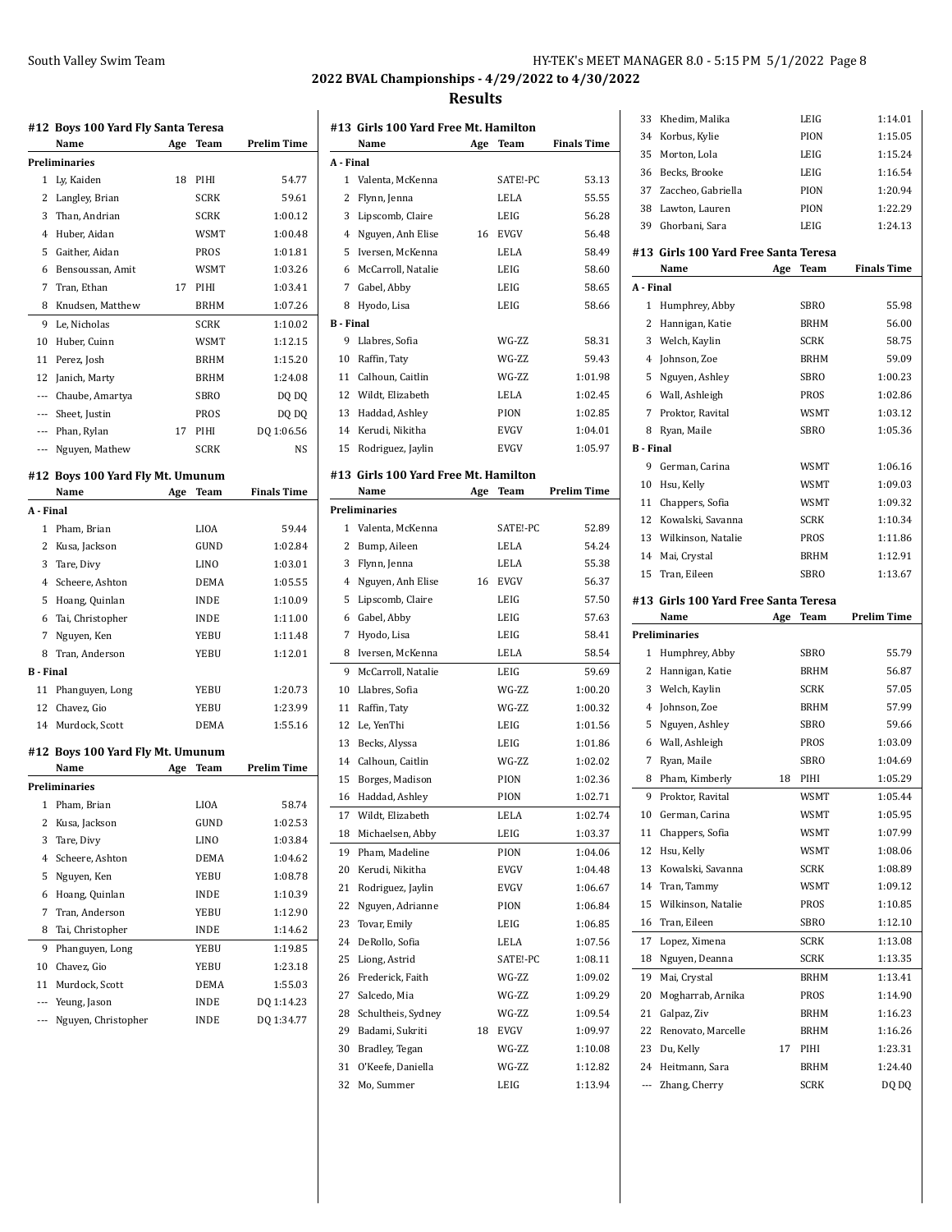# **2022 BVAL Championships - 4/29/2022 to 4/30/2022**

|                  | #12 Boys 100 Yard Fly Santa Teresa<br>Name | Age | Team         | <b>Prelim Time</b>                  |
|------------------|--------------------------------------------|-----|--------------|-------------------------------------|
|                  | Preliminaries                              |     |              |                                     |
| 1                | Ly, Kaiden                                 | 18  | PIHI         | 54.77                               |
|                  | 2 Langley, Brian                           |     | <b>SCRK</b>  | 59.61                               |
| 3                | Than. Andrian                              |     | <b>SCRK</b>  | 1:00.12                             |
|                  | 4 Huber, Aidan                             |     | <b>WSMT</b>  | 1:00.48                             |
|                  | 5 Gaither, Aidan                           |     | PROS         | 1:01.81                             |
|                  | 6 Bensoussan, Amit                         |     | <b>WSMT</b>  | 1:03.26                             |
| 7                | Tran, Ethan                                | 17  | PIHI         | 1:03.41                             |
|                  | 8 Knudsen, Matthew                         |     | <b>BRHM</b>  | 1:07.26                             |
| 9                | Le, Nicholas                               |     | <b>SCRK</b>  | 1:10.02                             |
| 10               | Huber, Cuinn                               |     | WSMT         | 1:12.15                             |
| 11               | Perez, Josh                                |     | <b>BRHM</b>  | 1:15.20                             |
|                  | 12 Janich, Marty                           |     | <b>BRHM</b>  | 1:24.08                             |
|                  | --- Chaube, Amartya                        |     | <b>SBRO</b>  | DQ DQ                               |
|                  | --- Sheet, Justin                          |     | <b>PROS</b>  | DQ DQ                               |
|                  | --- Phan, Rylan                            | 17  | PIHI         | DQ 1:06.56                          |
|                  |                                            |     | <b>SCRK</b>  | NS                                  |
|                  | --- Nguyen, Mathew                         |     |              |                                     |
|                  | #12 Boys 100 Yard Fly Mt. Umunum           |     |              |                                     |
|                  | Name                                       | Age | Team         | <b>Finals Time</b>                  |
| A - Final        |                                            |     |              |                                     |
|                  | 1 Pham, Brian                              |     | LIOA         | 59.44                               |
|                  | 2 Kusa, Jackson                            |     | GUND         | 1:02.84                             |
|                  | 3 Tare, Divy                               |     | LINO         | 1:03.01                             |
|                  | 4 Scheere, Ashton                          |     | <b>DEMA</b>  | 1:05.55                             |
|                  | 5 Hoang, Quinlan                           |     | INDE         | 1:10.09                             |
|                  | 6 Tai, Christopher                         |     | <b>INDE</b>  | 1:11.00                             |
| 7                | Nguyen, Ken                                |     | YEBU         | 1:11.48                             |
| 8                | Tran, Anderson                             |     | YEBU         | 1:12.01                             |
| <b>B</b> - Final |                                            |     |              |                                     |
| 11               | Phanguyen, Long                            |     | YEBU         | 1:20.73                             |
|                  | 12 Chavez. Gio                             |     | YEBU         | 1:23.99                             |
|                  | 14 Murdock, Scott                          |     | DEMA         | 1:55.16                             |
|                  | #12 Boys 100 Yard Fly Mt. Umunum           |     |              |                                     |
|                  | Name                                       | Age | Team         | <b>Prelim Time</b>                  |
|                  | Preliminaries                              |     |              |                                     |
| 1                | Pham, Brian                                |     | LIOA         | 58.74                               |
| 2                | Kusa, Jackson                              |     | GUND         | 1:02.53                             |
| 3                | Tare, Divy                                 |     | LINO         | 1:03.84                             |
| 4                | Scheere, Ashton                            |     | DEMA         | 1:04.62                             |
| 5                | Nguyen, Ken                                |     | YEBU         | 1:08.78                             |
| 6                | Hoang, Quinlan                             |     | <b>INDE</b>  | 1:10.39                             |
| 7                | Tran, Anderson                             |     | YEBU         | 1:12.90                             |
| 8                | Tai, Christopher                           |     | INDE         | 1:14.62                             |
| 9                |                                            |     |              |                                     |
|                  | Phanguyen, Long                            |     | YEBU         | 1:19.85                             |
|                  | Chavez, Gio                                |     | YEBU         | 1:23.18                             |
| 10               |                                            |     |              |                                     |
| 11               | Murdock, Scott                             |     | DEMA         |                                     |
| ---<br>---       | Yeung, Jason<br>Nguyen, Christopher        |     | INDE<br>INDE | 1:55.03<br>DQ 1:14.23<br>DQ 1:34.77 |

|                  | #13  Girls 100 Yard Free Mt. Hamilton<br>Name | Age | Team        | <b>Finals Time</b> |
|------------------|-----------------------------------------------|-----|-------------|--------------------|
| A - Final        |                                               |     |             |                    |
| 1                | Valenta, McKenna                              |     | SATE!-PC    | 53.13              |
| 2                | Flynn, Jenna                                  |     | LELA        | 55.55              |
| 3                | Lipscomb, Claire                              |     | LEIG        | 56.28              |
| 4                | Nguyen, Anh Elise                             | 16  | EVGV        | 56.48              |
| 5                | Iversen, McKenna                              |     | LELA        | 58.49              |
| 6                | McCarroll, Natalie                            |     | LEIG        | 58.60              |
| 7                | Gabel, Abby                                   |     | LEIG        | 58.65              |
| 8                |                                               |     | LEIG        | 58.66              |
| <b>B</b> - Final | Hyodo, Lisa                                   |     |             |                    |
| 9                | Llabres, Sofia                                |     | WG-ZZ       | 58.31              |
|                  |                                               |     | WG-ZZ       | 59.43              |
| 11               | 10 Raffin, Taty                               |     | WG-ZZ       |                    |
| 12               | Calhoun, Caitlin                              |     | LELA        | 1:01.98<br>1:02.45 |
|                  | Wildt, Elizabeth                              |     |             |                    |
| 13               | Haddad, Ashley                                |     | PION        | 1:02.85            |
| 14               | Kerudi, Nikitha                               |     | EVGV        | 1:04.01            |
| 15               | Rodriguez, Jaylin                             |     | <b>EVGV</b> | 1:05.97            |
|                  | #13 Girls 100 Yard Free Mt. Hamilton          |     |             |                    |
|                  | Name                                          | Age | Team        | Prelim Time        |
|                  | Preliminaries                                 |     |             |                    |
| 1                | Valenta, McKenna                              |     | SATE!-PC    | 52.89              |
|                  | 2 Bump, Aileen                                |     | LELA        | 54.24              |
| 3                | Flynn, Jenna                                  |     | LELA        | 55.38              |
| 4                | Nguyen, Anh Elise                             | 16  | <b>EVGV</b> | 56.37              |
| 5                | Lipscomb, Claire                              |     | LEIG        | 57.50              |
| 6                | Gabel, Abby                                   |     | LEIG        | 57.63              |
| 7                | Hyodo, Lisa                                   |     | LEIG        | 58.41              |
| 8                | Iversen, McKenna                              |     | LELA        | 58.54              |
| 9                | McCarroll, Natalie                            |     | LEIG        | 59.69              |
| 10               | Llabres, Sofia                                |     | WG-ZZ       | 1:00.20            |
| 11               | Raffin, Taty                                  |     | WG-ZZ       | 1:00.32            |
| 12               | Le, YenThi                                    |     | LEIG        | 1:01.56            |
| 13               | Becks, Alyssa                                 |     | LEIG        | 1:01.86            |
| 14               | Calhoun, Caitlin                              |     | WG-ZZ       | 1:02.02            |
| 15               | Borges, Madison                               |     | PION        | 1:02.36            |
| 16               | Haddad, Ashley                                |     | PION        | 1:02.71            |
| 17               | Wildt, Elizabeth                              |     | LELA        | 1:02.74            |
| 18               | Michaelsen, Abby                              |     | LEIG        | 1:03.37            |
| 19               | Pham, Madeline                                |     | PION        | 1:04.06            |
| 20               | Kerudi, Nikitha                               |     | EVGV        | 1:04.48            |
| 21               | Rodriguez, Jaylin                             |     | <b>EVGV</b> | 1:06.67            |
| 22               | Nguyen, Adrianne                              |     | PION        | 1:06.84            |
| 23               | Tovar, Emily                                  |     | LEIG        | 1:06.85            |
| 24               | DeRollo, Sofia                                |     | LELA        | 1:07.56            |
| 25               | Liong, Astrid                                 |     | SATE!-PC    | 1:08.11            |
| 26               | Frederick, Faith                              |     | WG-ZZ       | 1:09.02            |
| 27               | Salcedo, Mia                                  |     | WG-ZZ       | 1:09.29            |
| 28               | Schultheis, Sydney                            |     | WG-ZZ       | 1:09.54            |
| 29               | Badami, Sukriti                               | 18  | EVGV        | 1:09.97            |
| 30               | Bradley, Tegan                                |     | WG-ZZ       | 1:10.08            |
| 31               | O'Keefe, Daniella                             |     | WG-ZZ       | 1:12.82            |
| 32               | Mo, Summer                                    |     | LEIG        | 1:13.94            |
|                  |                                               |     |             |                    |

| 33               | Khedim, Malika                        |     | LEIG         | 1:14.01            |
|------------------|---------------------------------------|-----|--------------|--------------------|
| 34               | Korbus, Kylie                         |     | PION         | 1:15.05            |
| 35               | Morton, Lola                          |     | LEIG         | 1:15.24            |
| 36               | Becks, Brooke                         |     | LEIG         | 1:16.54            |
| 37               | Zaccheo, Gabriella                    |     | PION         | 1:20.94            |
| 38               | Lawton, Lauren                        |     | PION         | 1:22.29            |
| 39               | Ghorbani, Sara                        |     | LEIG         | 1:24.13            |
|                  | #13  Girls 100 Yard Free Santa Teresa |     |              |                    |
|                  | Name                                  | Age | <b>Team</b>  | <b>Finals Time</b> |
| A - Final        |                                       |     |              |                    |
| 1                | Humphrey, Abby                        |     | SBRO         | 55.98              |
| 2                | Hannigan, Katie                       |     | <b>BRHM</b>  | 56.00              |
| 3                | Welch, Kaylin                         |     | <b>SCRK</b>  | 58.75              |
| 4                | Johnson, Zoe                          |     | <b>BRHM</b>  | 59.09              |
| 5                | Nguyen, Ashley                        |     | SBRO         | 1:00.23            |
|                  | 6 Wall, Ashleigh                      |     | PROS         | 1:02.86            |
| 7                | Proktor, Ravital                      |     | WSMT         | 1:03.12            |
| 8                | Ryan, Maile                           |     | SBRO         | 1:05.36            |
| <b>B</b> - Final |                                       |     |              |                    |
|                  | 9 German, Carina                      |     | WSMT         | 1:06.16            |
| 10               | Hsu, Kelly                            |     | WSMT         | 1:09.03            |
| 11               | Chappers, Sofia                       |     | WSMT         | 1:09.32            |
| 12               | Kowalski, Savanna                     |     | <b>SCRK</b>  | 1:10.34            |
| 13               | Wilkinson, Natalie                    |     | PROS         | 1:11.86            |
| 14               | Mai, Crystal                          |     | <b>BRHM</b>  | 1:12.91            |
| 15               | Tran, Eileen                          |     | SBRO         | 1:13.67            |
|                  | #13  Girls 100 Yard Free Santa Teresa |     |              |                    |
|                  |                                       |     |              |                    |
|                  | Name                                  | Age | <b>Team</b>  | <b>Prelim Time</b> |
|                  | Preliminaries                         |     |              |                    |
| 1                | Humphrey, Abby                        |     | SBRO         | 55.79              |
| 2                | Hannigan, Katie                       |     | <b>BRHM</b>  | 56.87              |
| 3                | Welch, Kaylin                         |     | <b>SCRK</b>  | 57.05              |
| 4                | Johnson, Zoe                          |     | <b>BRHM</b>  | 57.99              |
| 5                | Nguyen, Ashley                        |     | SBRO         | 59.66              |
| 6                | Wall, Ashleigh                        |     | PROS         | 1:03.09            |
| 7                | Ryan, Maile                           |     | <b>SBRO</b>  | 1:04.69            |
| 8                | Pham, Kimberly                        | 18  | PIHI         | 1:05.29            |
| 9                | Proktor, Ravital                      |     | <b>WSMT</b>  | 1:05.44            |
| 10               | German, Carina                        |     | WSMT         | 1:05.95            |
| 11               | Chappers, Sofia                       |     | WSMT         | 1:07.99            |
| 12               | Hsu, Kelly                            |     | <b>WSMT</b>  | 1:08.06            |
| 13               | Kowalski, Savanna                     |     | <b>SCRK</b>  | 1:08.89            |
| 14               | Tran, Tammy                           |     | <b>WSMT</b>  | 1:09.12            |
| 15               | Wilkinson, Natalie                    |     | <b>PROS</b>  | 1:10.85            |
| 16               | Tran, Eileen                          |     | SBRO         | 1:12.10            |
| 17               | Lopez, Ximena                         |     | SCRK         | 1:13.08            |
| 18               | Nguyen, Deanna                        |     | SCRK         | 1:13.35            |
| 19               | Mai, Crystal                          |     | BRHM         | 1:13.41            |
| 20               | Mogharrab, Arnika                     |     | PROS         | 1:14.90            |
| 21               | Galpaz, Ziv                           |     | BRHM         | 1:16.23            |
| 22               | Renovato, Marcelle                    |     | BRHM         | 1:16.26            |
| 23               | Du, Kelly                             | 17  | PIHI         | 1:23.31            |
| 24<br>---        | Heitmann, Sara<br>Zhang, Cherry       |     | BRHM<br>SCRK | 1:24.40<br>DQ DQ   |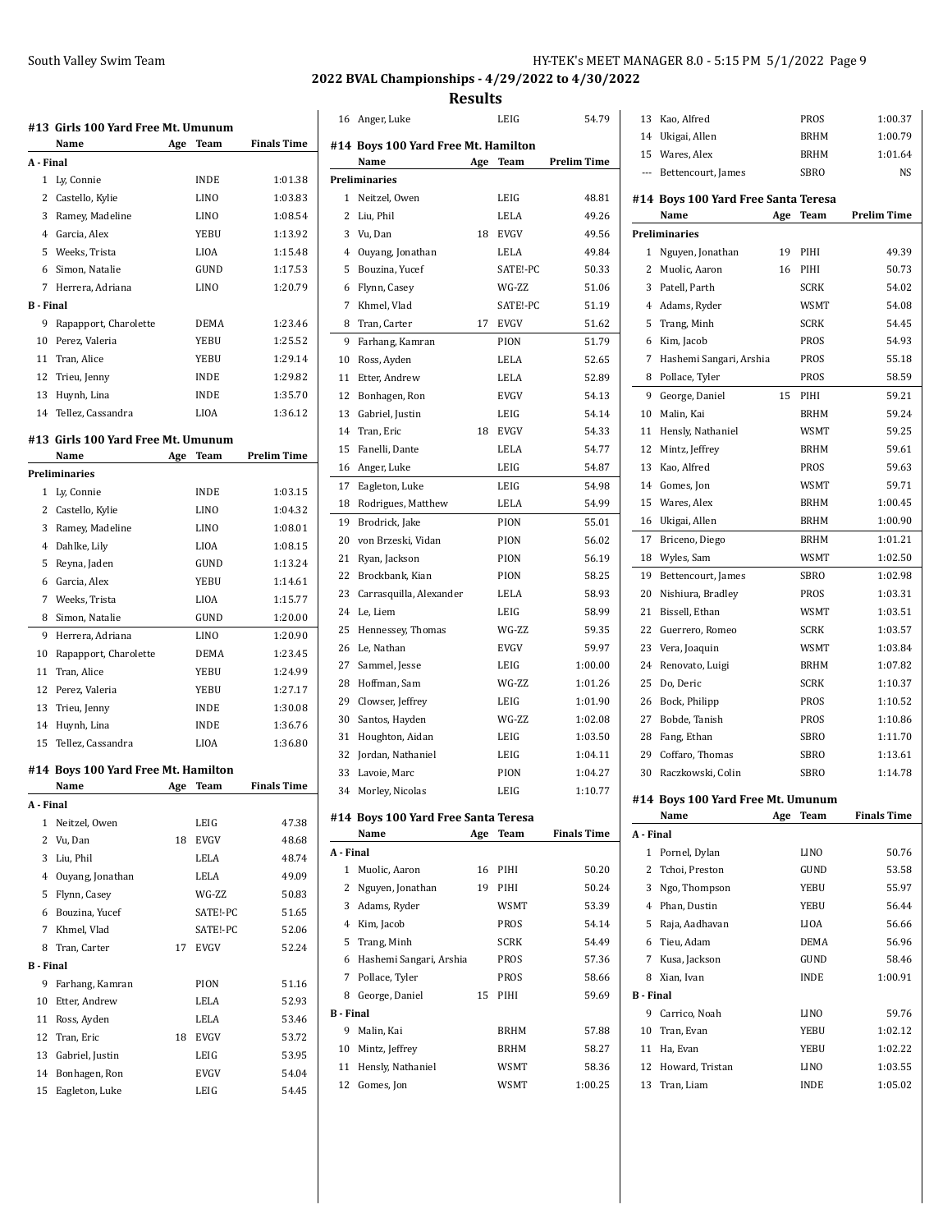## **2022 BVAL Championships - 4/29/2022 to 4/30/2022**

**Results**

| <b>Finals Time</b><br>Name<br>Age<br>Team<br>A - Final<br>1<br>Ly, Connie<br>INDE<br>1:01.38<br>2<br>Castello, Kylie<br>LINO<br>1:03.83<br>3<br>Ramey, Madeline<br>LINO<br>1:08.54<br>Garcia, Alex<br>4<br>YEBU<br>1:13.92<br>Weeks, Trista<br>5<br>LIOA<br>1:15.48<br>6<br>Simon, Natalie<br>GUND<br>1:17.53<br>7<br>Herrera, Adriana<br><b>LINO</b><br>1:20.79<br><b>B</b> - Final<br>9<br>Rapapport, Charolette<br>DEMA<br>1:23.46<br>10<br>Perez, Valeria<br>1:25.52<br>YEBU<br>11<br>Tran, Alice<br>YEBU<br>1:29.14<br>12<br>Trieu, Jenny<br><b>INDE</b><br>1:29.82<br>13<br>Huynh, Lina<br>INDE<br>1:35.70<br>14<br>Tellez, Cassandra<br>LIOA<br>1:36.12<br>#13 Girls 100 Yard Free Mt. Umunum<br><b>Prelim Time</b><br>Name<br>Age<br>Team<br><b>Preliminaries</b><br>Ly, Connie<br><b>INDE</b><br>1:03.15<br>1<br>2<br>Castello, Kylie<br>1:04.32<br>LINO<br>3<br>Ramey, Madeline<br>LINO<br>1:08.01<br>4<br>Dahlke, Lily<br>LIOA<br>1:08.15<br>5<br>Reyna, Jaden<br>GUND<br>1:13.24<br>6<br>Garcia, Alex<br>YEBU<br>1:14.61<br>7<br>Weeks, Trista<br>LIOA<br>1:15.77<br>Simon, Natalie<br>8<br>GUND<br>1:20.00<br>9<br>Herrera, Adriana<br>1:20.90<br>LINO<br>10<br>Rapapport, Charolette<br>DEMA<br>1:23.45<br>11<br>Tran, Alice<br>YEBU<br>1:24.99<br>12<br>Perez, Valeria<br>YEBU<br>1:27.17<br>13<br>Trieu, Jenny<br>INDE<br>1:30.08<br>14<br>Huynh, Lina<br><b>INDE</b><br>1:36.76<br>15<br>Tellez, Cassandra<br>LIOA<br>1:36.80<br>#14 Boys 100 Yard Free Mt. Hamilton<br>Age<br>Finals Time<br>Name<br>Team<br>A - Final<br>Neitzel, Owen<br>LEIG<br>1<br>47.38<br>2<br>Vu, Dan<br>18<br>EVGV<br>48.68<br>3<br>Liu, Phil<br>LELA<br>48.74<br>Ouyang, Jonathan<br>4<br>LELA<br>49.09<br>WG-ZZ<br>5<br>Flynn, Casey<br>50.83<br>6<br>Bouzina, Yucef<br>SATE!-PC<br>51.65<br>7<br>Khmel, Vlad<br>SATE!-PC<br>52.06<br>Tran, Carter<br><b>EVGV</b><br>8<br>17<br>52.24<br><b>B</b> - Final<br>9<br>Farhang, Kamran<br>PION<br>51.16<br>10<br>Etter, Andrew<br>LELA<br>52.93<br>LELA<br>11<br>Ross, Ayden<br>53.46<br>Tran, Eric<br>53.72<br>12<br>18<br>EVGV<br>13<br>Gabriel, Justin<br>LEIG<br>53.95<br>14<br>Bonhagen, Ron<br>EVGV<br>54.04<br>15<br>Eagleton, Luke<br>LEIG<br>54.45 | #13  Girls 100 Yard Free Mt. Umunum |  |  |
|-----------------------------------------------------------------------------------------------------------------------------------------------------------------------------------------------------------------------------------------------------------------------------------------------------------------------------------------------------------------------------------------------------------------------------------------------------------------------------------------------------------------------------------------------------------------------------------------------------------------------------------------------------------------------------------------------------------------------------------------------------------------------------------------------------------------------------------------------------------------------------------------------------------------------------------------------------------------------------------------------------------------------------------------------------------------------------------------------------------------------------------------------------------------------------------------------------------------------------------------------------------------------------------------------------------------------------------------------------------------------------------------------------------------------------------------------------------------------------------------------------------------------------------------------------------------------------------------------------------------------------------------------------------------------------------------------------------------------------------------------------------------------------------------------------------------------------------------------------------------------------------------------------------------------------------------------------------------------------------------------------------------------------------------------------------------------------------------------------------------------------------------------------------------------------------------------------|-------------------------------------|--|--|
|                                                                                                                                                                                                                                                                                                                                                                                                                                                                                                                                                                                                                                                                                                                                                                                                                                                                                                                                                                                                                                                                                                                                                                                                                                                                                                                                                                                                                                                                                                                                                                                                                                                                                                                                                                                                                                                                                                                                                                                                                                                                                                                                                                                                     |                                     |  |  |
|                                                                                                                                                                                                                                                                                                                                                                                                                                                                                                                                                                                                                                                                                                                                                                                                                                                                                                                                                                                                                                                                                                                                                                                                                                                                                                                                                                                                                                                                                                                                                                                                                                                                                                                                                                                                                                                                                                                                                                                                                                                                                                                                                                                                     |                                     |  |  |
|                                                                                                                                                                                                                                                                                                                                                                                                                                                                                                                                                                                                                                                                                                                                                                                                                                                                                                                                                                                                                                                                                                                                                                                                                                                                                                                                                                                                                                                                                                                                                                                                                                                                                                                                                                                                                                                                                                                                                                                                                                                                                                                                                                                                     |                                     |  |  |
|                                                                                                                                                                                                                                                                                                                                                                                                                                                                                                                                                                                                                                                                                                                                                                                                                                                                                                                                                                                                                                                                                                                                                                                                                                                                                                                                                                                                                                                                                                                                                                                                                                                                                                                                                                                                                                                                                                                                                                                                                                                                                                                                                                                                     |                                     |  |  |
|                                                                                                                                                                                                                                                                                                                                                                                                                                                                                                                                                                                                                                                                                                                                                                                                                                                                                                                                                                                                                                                                                                                                                                                                                                                                                                                                                                                                                                                                                                                                                                                                                                                                                                                                                                                                                                                                                                                                                                                                                                                                                                                                                                                                     |                                     |  |  |
|                                                                                                                                                                                                                                                                                                                                                                                                                                                                                                                                                                                                                                                                                                                                                                                                                                                                                                                                                                                                                                                                                                                                                                                                                                                                                                                                                                                                                                                                                                                                                                                                                                                                                                                                                                                                                                                                                                                                                                                                                                                                                                                                                                                                     |                                     |  |  |
|                                                                                                                                                                                                                                                                                                                                                                                                                                                                                                                                                                                                                                                                                                                                                                                                                                                                                                                                                                                                                                                                                                                                                                                                                                                                                                                                                                                                                                                                                                                                                                                                                                                                                                                                                                                                                                                                                                                                                                                                                                                                                                                                                                                                     |                                     |  |  |
|                                                                                                                                                                                                                                                                                                                                                                                                                                                                                                                                                                                                                                                                                                                                                                                                                                                                                                                                                                                                                                                                                                                                                                                                                                                                                                                                                                                                                                                                                                                                                                                                                                                                                                                                                                                                                                                                                                                                                                                                                                                                                                                                                                                                     |                                     |  |  |
|                                                                                                                                                                                                                                                                                                                                                                                                                                                                                                                                                                                                                                                                                                                                                                                                                                                                                                                                                                                                                                                                                                                                                                                                                                                                                                                                                                                                                                                                                                                                                                                                                                                                                                                                                                                                                                                                                                                                                                                                                                                                                                                                                                                                     |                                     |  |  |
|                                                                                                                                                                                                                                                                                                                                                                                                                                                                                                                                                                                                                                                                                                                                                                                                                                                                                                                                                                                                                                                                                                                                                                                                                                                                                                                                                                                                                                                                                                                                                                                                                                                                                                                                                                                                                                                                                                                                                                                                                                                                                                                                                                                                     |                                     |  |  |
|                                                                                                                                                                                                                                                                                                                                                                                                                                                                                                                                                                                                                                                                                                                                                                                                                                                                                                                                                                                                                                                                                                                                                                                                                                                                                                                                                                                                                                                                                                                                                                                                                                                                                                                                                                                                                                                                                                                                                                                                                                                                                                                                                                                                     |                                     |  |  |
|                                                                                                                                                                                                                                                                                                                                                                                                                                                                                                                                                                                                                                                                                                                                                                                                                                                                                                                                                                                                                                                                                                                                                                                                                                                                                                                                                                                                                                                                                                                                                                                                                                                                                                                                                                                                                                                                                                                                                                                                                                                                                                                                                                                                     |                                     |  |  |
|                                                                                                                                                                                                                                                                                                                                                                                                                                                                                                                                                                                                                                                                                                                                                                                                                                                                                                                                                                                                                                                                                                                                                                                                                                                                                                                                                                                                                                                                                                                                                                                                                                                                                                                                                                                                                                                                                                                                                                                                                                                                                                                                                                                                     |                                     |  |  |
|                                                                                                                                                                                                                                                                                                                                                                                                                                                                                                                                                                                                                                                                                                                                                                                                                                                                                                                                                                                                                                                                                                                                                                                                                                                                                                                                                                                                                                                                                                                                                                                                                                                                                                                                                                                                                                                                                                                                                                                                                                                                                                                                                                                                     |                                     |  |  |
|                                                                                                                                                                                                                                                                                                                                                                                                                                                                                                                                                                                                                                                                                                                                                                                                                                                                                                                                                                                                                                                                                                                                                                                                                                                                                                                                                                                                                                                                                                                                                                                                                                                                                                                                                                                                                                                                                                                                                                                                                                                                                                                                                                                                     |                                     |  |  |
|                                                                                                                                                                                                                                                                                                                                                                                                                                                                                                                                                                                                                                                                                                                                                                                                                                                                                                                                                                                                                                                                                                                                                                                                                                                                                                                                                                                                                                                                                                                                                                                                                                                                                                                                                                                                                                                                                                                                                                                                                                                                                                                                                                                                     |                                     |  |  |
|                                                                                                                                                                                                                                                                                                                                                                                                                                                                                                                                                                                                                                                                                                                                                                                                                                                                                                                                                                                                                                                                                                                                                                                                                                                                                                                                                                                                                                                                                                                                                                                                                                                                                                                                                                                                                                                                                                                                                                                                                                                                                                                                                                                                     |                                     |  |  |
|                                                                                                                                                                                                                                                                                                                                                                                                                                                                                                                                                                                                                                                                                                                                                                                                                                                                                                                                                                                                                                                                                                                                                                                                                                                                                                                                                                                                                                                                                                                                                                                                                                                                                                                                                                                                                                                                                                                                                                                                                                                                                                                                                                                                     |                                     |  |  |
|                                                                                                                                                                                                                                                                                                                                                                                                                                                                                                                                                                                                                                                                                                                                                                                                                                                                                                                                                                                                                                                                                                                                                                                                                                                                                                                                                                                                                                                                                                                                                                                                                                                                                                                                                                                                                                                                                                                                                                                                                                                                                                                                                                                                     |                                     |  |  |
|                                                                                                                                                                                                                                                                                                                                                                                                                                                                                                                                                                                                                                                                                                                                                                                                                                                                                                                                                                                                                                                                                                                                                                                                                                                                                                                                                                                                                                                                                                                                                                                                                                                                                                                                                                                                                                                                                                                                                                                                                                                                                                                                                                                                     |                                     |  |  |
|                                                                                                                                                                                                                                                                                                                                                                                                                                                                                                                                                                                                                                                                                                                                                                                                                                                                                                                                                                                                                                                                                                                                                                                                                                                                                                                                                                                                                                                                                                                                                                                                                                                                                                                                                                                                                                                                                                                                                                                                                                                                                                                                                                                                     |                                     |  |  |
|                                                                                                                                                                                                                                                                                                                                                                                                                                                                                                                                                                                                                                                                                                                                                                                                                                                                                                                                                                                                                                                                                                                                                                                                                                                                                                                                                                                                                                                                                                                                                                                                                                                                                                                                                                                                                                                                                                                                                                                                                                                                                                                                                                                                     |                                     |  |  |
|                                                                                                                                                                                                                                                                                                                                                                                                                                                                                                                                                                                                                                                                                                                                                                                                                                                                                                                                                                                                                                                                                                                                                                                                                                                                                                                                                                                                                                                                                                                                                                                                                                                                                                                                                                                                                                                                                                                                                                                                                                                                                                                                                                                                     |                                     |  |  |
|                                                                                                                                                                                                                                                                                                                                                                                                                                                                                                                                                                                                                                                                                                                                                                                                                                                                                                                                                                                                                                                                                                                                                                                                                                                                                                                                                                                                                                                                                                                                                                                                                                                                                                                                                                                                                                                                                                                                                                                                                                                                                                                                                                                                     |                                     |  |  |
|                                                                                                                                                                                                                                                                                                                                                                                                                                                                                                                                                                                                                                                                                                                                                                                                                                                                                                                                                                                                                                                                                                                                                                                                                                                                                                                                                                                                                                                                                                                                                                                                                                                                                                                                                                                                                                                                                                                                                                                                                                                                                                                                                                                                     |                                     |  |  |
|                                                                                                                                                                                                                                                                                                                                                                                                                                                                                                                                                                                                                                                                                                                                                                                                                                                                                                                                                                                                                                                                                                                                                                                                                                                                                                                                                                                                                                                                                                                                                                                                                                                                                                                                                                                                                                                                                                                                                                                                                                                                                                                                                                                                     |                                     |  |  |
|                                                                                                                                                                                                                                                                                                                                                                                                                                                                                                                                                                                                                                                                                                                                                                                                                                                                                                                                                                                                                                                                                                                                                                                                                                                                                                                                                                                                                                                                                                                                                                                                                                                                                                                                                                                                                                                                                                                                                                                                                                                                                                                                                                                                     |                                     |  |  |
|                                                                                                                                                                                                                                                                                                                                                                                                                                                                                                                                                                                                                                                                                                                                                                                                                                                                                                                                                                                                                                                                                                                                                                                                                                                                                                                                                                                                                                                                                                                                                                                                                                                                                                                                                                                                                                                                                                                                                                                                                                                                                                                                                                                                     |                                     |  |  |
|                                                                                                                                                                                                                                                                                                                                                                                                                                                                                                                                                                                                                                                                                                                                                                                                                                                                                                                                                                                                                                                                                                                                                                                                                                                                                                                                                                                                                                                                                                                                                                                                                                                                                                                                                                                                                                                                                                                                                                                                                                                                                                                                                                                                     |                                     |  |  |
|                                                                                                                                                                                                                                                                                                                                                                                                                                                                                                                                                                                                                                                                                                                                                                                                                                                                                                                                                                                                                                                                                                                                                                                                                                                                                                                                                                                                                                                                                                                                                                                                                                                                                                                                                                                                                                                                                                                                                                                                                                                                                                                                                                                                     |                                     |  |  |
|                                                                                                                                                                                                                                                                                                                                                                                                                                                                                                                                                                                                                                                                                                                                                                                                                                                                                                                                                                                                                                                                                                                                                                                                                                                                                                                                                                                                                                                                                                                                                                                                                                                                                                                                                                                                                                                                                                                                                                                                                                                                                                                                                                                                     |                                     |  |  |
|                                                                                                                                                                                                                                                                                                                                                                                                                                                                                                                                                                                                                                                                                                                                                                                                                                                                                                                                                                                                                                                                                                                                                                                                                                                                                                                                                                                                                                                                                                                                                                                                                                                                                                                                                                                                                                                                                                                                                                                                                                                                                                                                                                                                     |                                     |  |  |
|                                                                                                                                                                                                                                                                                                                                                                                                                                                                                                                                                                                                                                                                                                                                                                                                                                                                                                                                                                                                                                                                                                                                                                                                                                                                                                                                                                                                                                                                                                                                                                                                                                                                                                                                                                                                                                                                                                                                                                                                                                                                                                                                                                                                     |                                     |  |  |
|                                                                                                                                                                                                                                                                                                                                                                                                                                                                                                                                                                                                                                                                                                                                                                                                                                                                                                                                                                                                                                                                                                                                                                                                                                                                                                                                                                                                                                                                                                                                                                                                                                                                                                                                                                                                                                                                                                                                                                                                                                                                                                                                                                                                     |                                     |  |  |
|                                                                                                                                                                                                                                                                                                                                                                                                                                                                                                                                                                                                                                                                                                                                                                                                                                                                                                                                                                                                                                                                                                                                                                                                                                                                                                                                                                                                                                                                                                                                                                                                                                                                                                                                                                                                                                                                                                                                                                                                                                                                                                                                                                                                     |                                     |  |  |
|                                                                                                                                                                                                                                                                                                                                                                                                                                                                                                                                                                                                                                                                                                                                                                                                                                                                                                                                                                                                                                                                                                                                                                                                                                                                                                                                                                                                                                                                                                                                                                                                                                                                                                                                                                                                                                                                                                                                                                                                                                                                                                                                                                                                     |                                     |  |  |
|                                                                                                                                                                                                                                                                                                                                                                                                                                                                                                                                                                                                                                                                                                                                                                                                                                                                                                                                                                                                                                                                                                                                                                                                                                                                                                                                                                                                                                                                                                                                                                                                                                                                                                                                                                                                                                                                                                                                                                                                                                                                                                                                                                                                     |                                     |  |  |
|                                                                                                                                                                                                                                                                                                                                                                                                                                                                                                                                                                                                                                                                                                                                                                                                                                                                                                                                                                                                                                                                                                                                                                                                                                                                                                                                                                                                                                                                                                                                                                                                                                                                                                                                                                                                                                                                                                                                                                                                                                                                                                                                                                                                     |                                     |  |  |
|                                                                                                                                                                                                                                                                                                                                                                                                                                                                                                                                                                                                                                                                                                                                                                                                                                                                                                                                                                                                                                                                                                                                                                                                                                                                                                                                                                                                                                                                                                                                                                                                                                                                                                                                                                                                                                                                                                                                                                                                                                                                                                                                                                                                     |                                     |  |  |
|                                                                                                                                                                                                                                                                                                                                                                                                                                                                                                                                                                                                                                                                                                                                                                                                                                                                                                                                                                                                                                                                                                                                                                                                                                                                                                                                                                                                                                                                                                                                                                                                                                                                                                                                                                                                                                                                                                                                                                                                                                                                                                                                                                                                     |                                     |  |  |
|                                                                                                                                                                                                                                                                                                                                                                                                                                                                                                                                                                                                                                                                                                                                                                                                                                                                                                                                                                                                                                                                                                                                                                                                                                                                                                                                                                                                                                                                                                                                                                                                                                                                                                                                                                                                                                                                                                                                                                                                                                                                                                                                                                                                     |                                     |  |  |
|                                                                                                                                                                                                                                                                                                                                                                                                                                                                                                                                                                                                                                                                                                                                                                                                                                                                                                                                                                                                                                                                                                                                                                                                                                                                                                                                                                                                                                                                                                                                                                                                                                                                                                                                                                                                                                                                                                                                                                                                                                                                                                                                                                                                     |                                     |  |  |
|                                                                                                                                                                                                                                                                                                                                                                                                                                                                                                                                                                                                                                                                                                                                                                                                                                                                                                                                                                                                                                                                                                                                                                                                                                                                                                                                                                                                                                                                                                                                                                                                                                                                                                                                                                                                                                                                                                                                                                                                                                                                                                                                                                                                     |                                     |  |  |
|                                                                                                                                                                                                                                                                                                                                                                                                                                                                                                                                                                                                                                                                                                                                                                                                                                                                                                                                                                                                                                                                                                                                                                                                                                                                                                                                                                                                                                                                                                                                                                                                                                                                                                                                                                                                                                                                                                                                                                                                                                                                                                                                                                                                     |                                     |  |  |
|                                                                                                                                                                                                                                                                                                                                                                                                                                                                                                                                                                                                                                                                                                                                                                                                                                                                                                                                                                                                                                                                                                                                                                                                                                                                                                                                                                                                                                                                                                                                                                                                                                                                                                                                                                                                                                                                                                                                                                                                                                                                                                                                                                                                     |                                     |  |  |
|                                                                                                                                                                                                                                                                                                                                                                                                                                                                                                                                                                                                                                                                                                                                                                                                                                                                                                                                                                                                                                                                                                                                                                                                                                                                                                                                                                                                                                                                                                                                                                                                                                                                                                                                                                                                                                                                                                                                                                                                                                                                                                                                                                                                     |                                     |  |  |
|                                                                                                                                                                                                                                                                                                                                                                                                                                                                                                                                                                                                                                                                                                                                                                                                                                                                                                                                                                                                                                                                                                                                                                                                                                                                                                                                                                                                                                                                                                                                                                                                                                                                                                                                                                                                                                                                                                                                                                                                                                                                                                                                                                                                     |                                     |  |  |
|                                                                                                                                                                                                                                                                                                                                                                                                                                                                                                                                                                                                                                                                                                                                                                                                                                                                                                                                                                                                                                                                                                                                                                                                                                                                                                                                                                                                                                                                                                                                                                                                                                                                                                                                                                                                                                                                                                                                                                                                                                                                                                                                                                                                     |                                     |  |  |
|                                                                                                                                                                                                                                                                                                                                                                                                                                                                                                                                                                                                                                                                                                                                                                                                                                                                                                                                                                                                                                                                                                                                                                                                                                                                                                                                                                                                                                                                                                                                                                                                                                                                                                                                                                                                                                                                                                                                                                                                                                                                                                                                                                                                     |                                     |  |  |
|                                                                                                                                                                                                                                                                                                                                                                                                                                                                                                                                                                                                                                                                                                                                                                                                                                                                                                                                                                                                                                                                                                                                                                                                                                                                                                                                                                                                                                                                                                                                                                                                                                                                                                                                                                                                                                                                                                                                                                                                                                                                                                                                                                                                     |                                     |  |  |
|                                                                                                                                                                                                                                                                                                                                                                                                                                                                                                                                                                                                                                                                                                                                                                                                                                                                                                                                                                                                                                                                                                                                                                                                                                                                                                                                                                                                                                                                                                                                                                                                                                                                                                                                                                                                                                                                                                                                                                                                                                                                                                                                                                                                     |                                     |  |  |

| 16               | Anger, Luke                         |     | LEIG        | 54.79              |
|------------------|-------------------------------------|-----|-------------|--------------------|
|                  | #14 Bovs 100 Yard Free Mt. Hamilton |     |             |                    |
|                  | Name                                | Age | Team        | <b>Prelim Time</b> |
|                  | <b>Preliminaries</b>                |     |             |                    |
| 1                | Neitzel. Owen                       |     | LEIG        | 48.81              |
| 2                | Liu, Phil                           |     | LELA        | 49.26              |
| 3                | Vu, Dan                             | 18  | <b>EVGV</b> | 49.56              |
| 4                | Ouyang, Jonathan                    |     | LELA        | 49.84              |
| 5                | Bouzina, Yucef                      |     | SATE!-PC    | 50.33              |
| 6                | Flynn, Casey                        |     | WG-ZZ       | 51.06              |
| 7                | Khmel, Vlad                         |     | SATE!-PC    | 51.19              |
| 8                | Tran, Carter                        | 17  | <b>EVGV</b> | 51.62              |
| 9                | Farhang, Kamran                     |     | PION        | 51.79              |
| 10               | Ross, Ayden                         |     | LELA        | 52.65              |
| 11               | Etter, Andrew                       |     | LELA        | 52.89              |
| 12               | Bonhagen, Ron                       |     | <b>EVGV</b> | 54.13              |
| 13               | Gabriel, Justin                     |     | LEIG        | 54.14              |
| 14               | Tran, Eric                          | 18  | <b>EVGV</b> | 54.33              |
| 15               | Fanelli, Dante                      |     | LELA        | 54.77              |
| 16               | Anger, Luke                         |     | LEIG        | 54.87              |
| 17               | Eagleton, Luke                      |     | LEIG        | 54.98              |
| 18               | Rodrigues, Matthew                  |     | LELA        | 54.99              |
| 19               | Brodrick, Jake                      |     | PION        | 55.01              |
| 20               | von Brzeski, Vidan                  |     | PION        | 56.02              |
| 21               | Ryan, Jackson                       |     | PION        | 56.19              |
| 22               | Brockbank, Kian                     |     | PION        | 58.25              |
| 23               | Carrasquilla, Alexander             |     | LELA        | 58.93              |
| 24               | Le, Liem                            |     | LEIG        | 58.99              |
| 25               | Hennessey, Thomas                   |     | WG-ZZ       | 59.35              |
| 26               | Le, Nathan                          |     | <b>EVGV</b> | 59.97              |
| 27               | Sammel, Jesse                       |     | LEIG        | 1:00.00            |
| 28               | Hoffman, Sam                        |     | WG-ZZ       | 1:01.26            |
| 29               | Clowser, Jeffrey                    |     | LEIG        | 1:01.90            |
| 30               | Santos, Hayden                      |     | WG-ZZ       | 1:02.08            |
| 31               | Houghton, Aidan                     |     | LEIG        | 1:03.50            |
| 32               | Jordan, Nathaniel                   |     | LEIG        | 1:04.11            |
| 33               | Lavoie, Marc                        |     | PION        | 1:04.27            |
| 34               | Morley, Nicolas                     |     | LEIG        | 1:10.77            |
|                  |                                     |     |             |                    |
|                  | #14 Boys 100 Yard Free Santa Teresa |     |             |                    |
|                  | Name                                | Age | <b>Team</b> | <b>Finals Time</b> |
| A - Final        |                                     |     |             |                    |
| 1                | Muolic, Aaron                       | 16  | PIHI        | 50.20              |
| 2                | Nguyen, Jonathan                    | 19  | PIHI        | 50.24              |
| 3                | Adams, Ryder                        |     | <b>WSMT</b> | 53.39              |
| $\overline{4}$   | Kim, Jacob                          |     | PROS        | 54.14              |
| 5                | Trang, Minh                         |     | <b>SCRK</b> | 54.49              |
| 6                | Hashemi Sangari, Arshia             |     | PROS        | 57.36              |
| 7                | Pollace, Tyler                      |     | PROS        | 58.66              |
| 8                | George, Daniel                      | 15  | PIHI        | 59.69              |
| <b>B</b> - Final |                                     |     |             |                    |
| 9                | Malin, Kai                          |     | <b>BRHM</b> | 57.88              |
| 10               | Mintz, Jeffrey                      |     | <b>BRHM</b> | 58.27              |
| 11               | Hensly, Nathaniel                   |     | WSMT        | 58.36              |
| 12               | Gomes, Jon                          |     | WSMT        | 1:00.25            |
|                  |                                     |     |             |                    |

| 13                       | Kao, Alfred                               |     | PROS        | 1:00.37            |
|--------------------------|-------------------------------------------|-----|-------------|--------------------|
| 14                       | Ukigai, Allen                             |     | BRHM        | 1:00.79            |
| 15                       | Wares, Alex                               |     | <b>BRHM</b> | 1:01.64            |
| $\overline{\phantom{a}}$ | Bettencourt, James                        |     | <b>SBRO</b> | <b>NS</b>          |
|                          |                                           |     |             |                    |
|                          | #14 Boys 100 Yard Free Santa Teresa       |     |             |                    |
|                          | Name                                      | Age | Team        | <b>Prelim Time</b> |
|                          | <b>Preliminaries</b>                      |     |             |                    |
| 1                        | Nguyen, Jonathan                          | 19  | PIHI        | 49.39              |
| 2                        | Muolic, Aaron                             | 16  | PIHI        | 50.73              |
| 3                        | Patell, Parth                             |     | <b>SCRK</b> | 54.02              |
| 4                        | Adams, Ryder                              |     | WSMT        | 54.08              |
| 5                        | Trang, Minh                               |     | <b>SCRK</b> | 54.45              |
| 6                        | Kim, Jacob                                |     | PROS        | 54.93              |
| 7                        | Hashemi Sangari, Arshia                   |     | PROS        | 55.18              |
| 8                        | Pollace, Tyler                            |     | PROS        | 58.59              |
| 9                        | George, Daniel                            | 15  | PIHI        | 59.21              |
| 10                       | Malin, Kai                                |     | <b>BRHM</b> | 59.24              |
| 11                       | Hensly, Nathaniel                         |     | WSMT        | 59.25              |
| 12                       | Mintz, Jeffrey                            |     | <b>BRHM</b> | 59.61              |
| 13                       | Kao, Alfred                               |     | PROS        | 59.63              |
| 14                       | Gomes, Jon                                |     | <b>WSMT</b> | 59.71              |
| 15                       | Wares, Alex                               |     | <b>BRHM</b> | 1:00.45            |
| 16                       | Ukigai, Allen                             |     | BRHM        | 1:00.90            |
| 17                       | Briceno, Diego                            |     | BRHM        | 1:01.21            |
| 18                       | Wyles, Sam                                |     | WSMT        | 1:02.50            |
| 19                       | Bettencourt, James                        |     | SBRO        | 1:02.98            |
| 20                       | Nishiura, Bradley                         |     | PROS        | 1:03.31            |
| 21                       | Bissell, Ethan                            |     | WSMT        | 1:03.51            |
| 22                       | Guerrero, Romeo                           |     | <b>SCRK</b> | 1:03.57            |
| 23                       | Vera, Joaquin                             |     | WSMT        | 1:03.84            |
| 24                       | Renovato, Luigi                           |     | BRHM        | 1:07.82            |
| 25                       | Do, Deric                                 |     | <b>SCRK</b> | 1:10.37            |
| 26                       | Bock, Philipp                             |     | PROS        | 1:10.52            |
| 27                       | Bobde, Tanish                             |     | PROS        | 1:10.86            |
| 28                       | Fang, Ethan                               |     | SBRO        | 1:11.70            |
| 29                       | Coffaro, Thomas                           |     | <b>SBRO</b> | 1:13.61            |
| 30                       | Raczkowski, Colin                         |     | SBRO        | 1:14.78            |
|                          |                                           |     |             |                    |
|                          | #14 Boys 100 Yard Free Mt. Umunum<br>Name | Age | Team        | <b>Finals Time</b> |
| A - Final                |                                           |     |             |                    |
| 1                        | Pornel, Dylan                             |     | LINO        | 50.76              |
| 2                        | Tchoi, Preston                            |     | GUND        | 53.58              |
| 3                        | Ngo, Thompson                             |     | YEBU        | 55.97              |
| $^{4}$                   | Phan, Dustin                              |     | YEBU        | 56.44              |
| 5                        | Raja, Aadhavan                            |     | <b>LIOA</b> | 56.66              |
| 6                        | Tieu, Adam                                |     | DEMA        | 56.96              |
| 7                        | Kusa, Jackson                             |     | GUND        | 58.46              |
| 8                        | Xian, Ivan                                |     | INDE        | 1:00.91            |
| <b>B</b> - Final         |                                           |     |             |                    |
| 9                        | Carrico, Noah                             |     | LINO        | 59.76              |
| 10                       | Tran, Evan                                |     | YEBU        | 1:02.12            |
| 11                       | Ha, Evan                                  |     | YEBU        | 1:02.22            |
| 12                       | Howard, Tristan                           |     | LINO        | 1:03.55            |
|                          |                                           |     |             |                    |
| 13                       | Tran, Liam                                |     | INDE        | 1:05.02            |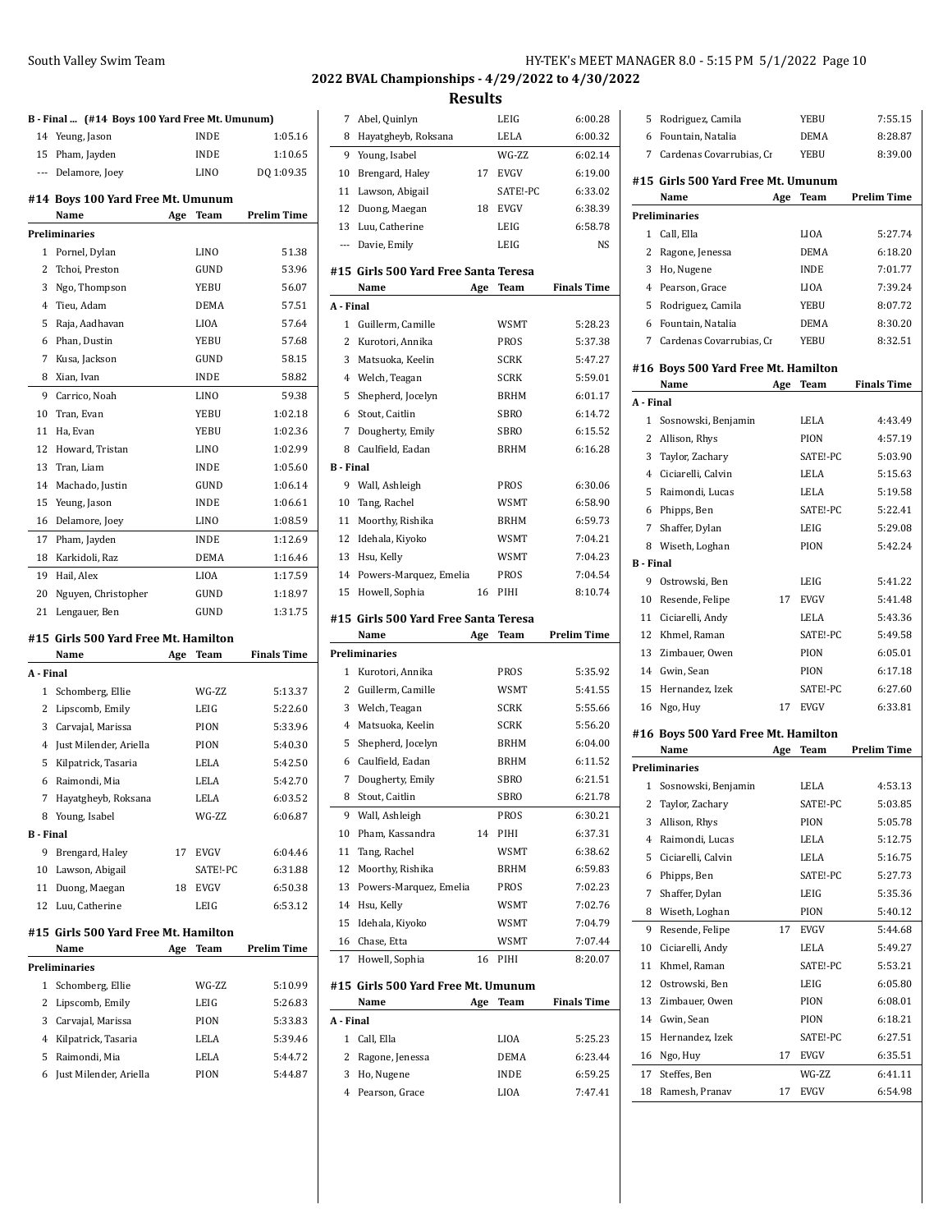### South Valley Swim Team

| HY-TEK's MEET MANAGER 8.0 - 5:15 PM 5/1/2022 Page 10 |
|------------------------------------------------------|
|------------------------------------------------------|

# **2022 BVAL Championships - 4/29/2022 to 4/30/2022**

|                  | B - Final  (#14 Boys 100 Yard Free Mt. Umunum) |     |                     |                    |
|------------------|------------------------------------------------|-----|---------------------|--------------------|
| 14               | Yeung, Jason                                   |     | INDE                | 1:05.16            |
| 15               | Pham, Jayden                                   |     | INDE                | 1:10.65            |
|                  | --- Delamore, Joey                             |     | LINO                | DQ 1:09.35         |
|                  |                                                |     |                     |                    |
|                  | #14 Boys 100 Yard Free Mt. Umunum<br>Name      | Age | Team                | <b>Prelim Time</b> |
|                  | <b>Preliminaries</b>                           |     |                     |                    |
| 1                | Pornel, Dylan                                  |     | LINO                | 51.38              |
| 2                | Tchoi, Preston                                 |     | GUND                | 53.96              |
| 3                | Ngo, Thompson                                  |     | YEBU                | 56.07              |
| 4                | Tieu, Adam                                     |     | <b>DEMA</b>         | 57.51              |
| 5                | Raja, Aadhavan                                 |     | <b>LIOA</b>         | 57.64              |
| 6                | Phan, Dustin                                   |     | YEBU                | 57.68              |
| 7                | Kusa, Jackson                                  |     | GUND                | 58.15              |
| 8                | Xian, Ivan                                     |     | INDE                | 58.82              |
| 9                | Carrico, Noah                                  |     | LINO                | 59.38              |
| 10               | Tran, Evan                                     |     | <b>YEBU</b>         | 1:02.18            |
| 11               | Ha. Evan                                       |     | YEBU                | 1:02.36            |
| 12               | Howard, Tristan                                |     | LINO                | 1:02.99            |
| 13               | Tran, Liam                                     |     | <b>INDE</b>         | 1:05.60            |
| 14               | Machado, Justin                                |     | GUND                | 1:06.14            |
|                  |                                                |     |                     | 1:06.61            |
| 15               | Yeung, Jason                                   |     | INDE<br><b>LINO</b> |                    |
| 16               | Delamore, Joey                                 |     |                     | 1:08.59            |
| 17               | Pham, Jayden                                   |     | <b>INDE</b>         | 1:12.69            |
| 18               | Karkidoli, Raz                                 |     | DEMA                | 1:16.46            |
| 19               | Hail, Alex                                     |     | LIOA                | 1:17.59            |
| 20               | Nguyen, Christopher                            |     | GUND                | 1:18.97            |
| 21               | Lengauer, Ben                                  |     | GUND                | 1:31.75            |
|                  |                                                |     |                     |                    |
|                  | #15 Girls 500 Yard Free Mt. Hamilton           |     |                     |                    |
|                  | Name                                           | Age | Team                | <b>Finals Time</b> |
| A - Final        |                                                |     |                     |                    |
| $\mathbf{1}$     | Schomberg, Ellie                               |     | WG-ZZ               | 5:13.37            |
| 2                | Lipscomb, Emily                                |     | LEIG                | 5:22.60            |
| 3                | Carvajal, Marissa                              |     | PION                | 5:33.96            |
| 4                | Just Milender, Ariella                         |     | PION                | 5:40.30            |
| 5                | Kilpatrick, Tasaria                            |     | LELA                | 5:42.50            |
| 6                | Raimondi, Mia                                  |     | LELA                | 5:42.70            |
| 7                | Hayatgheyb, Roksana                            |     | LELA                | 6:03.52            |
|                  | 8 Young, Isabel                                |     | WG-ZZ               | 6:06.87            |
| <b>B</b> - Final |                                                |     |                     |                    |
| 9                | Brengard, Haley                                | 17  | EVGV                | 6:04.46            |
| 10               | Lawson, Abigail                                |     | SATE!-PC            | 6:31.88            |
| 11               | Duong, Maegan                                  | 18  | EVGV                | 6:50.38            |
| 12               | Luu, Catherine                                 |     | LEIG                | 6:53.12            |
|                  | #15 Girls 500 Yard Free Mt. Hamilton           |     |                     |                    |
|                  | Name                                           | Age | Team                | <b>Prelim Time</b> |
|                  | Preliminaries                                  |     |                     |                    |
| 1                | Schomberg, Ellie                               |     | WG-ZZ               | 5:10.99            |
| 2                | Lipscomb, Emily                                |     | LEIG                | 5:26.83            |
| 3                | Carvajal, Marissa                              |     | PION                | 5:33.83            |
| 4                | Kilpatrick, Tasaria                            |     | LELA                | 5:39.46            |
| 5                | Raimondi, Mia                                  |     | LELA                | 5:44.72            |
| 6                | Just Milender, Ariella                         |     | PION                | 5:44.87            |

| 7                | Abel, Quinlyn                              |     | LEIG        | 6:00.28            |
|------------------|--------------------------------------------|-----|-------------|--------------------|
| 8                | Hayatgheyb, Roksana                        |     | LELA        | 6:00.32            |
| 9                | Young, Isabel                              |     | WG-ZZ       | 6:02.14            |
| 10               | Brengard, Haley                            | 17  | EVGV        | 6:19.00            |
| 11               | Lawson, Abigail                            |     | SATE!-PC    | 6:33.02            |
| 12               | Duong, Maegan                              | 18  | <b>EVGV</b> | 6:38.39            |
| 13               | Luu, Catherine                             |     | LEIG        | 6:58.78            |
| $\overline{a}$   | Davie, Emily                               |     | LEIG        | NS                 |
|                  |                                            |     |             |                    |
|                  | #15 Girls 500 Yard Free Santa Teresa       |     |             |                    |
|                  | Name                                       | Age | <b>Team</b> | <b>Finals Time</b> |
| A - Final        |                                            |     |             |                    |
| $\mathbf{1}$     | Guillerm, Camille                          |     | <b>WSMT</b> | 5:28.23            |
| $\overline{c}$   | Kurotori, Annika                           |     | PROS        | 5:37.38            |
| 3                | Matsuoka, Keelin                           |     | <b>SCRK</b> | 5:47.27            |
| 4                | Welch, Teagan                              |     | <b>SCRK</b> | 5:59.01            |
| 5                | Shepherd, Jocelyn                          |     | <b>BRHM</b> | 6:01.17            |
| 6                | Stout, Caitlin                             |     | <b>SBRO</b> | 6:14.72            |
| 7                | Dougherty, Emily                           |     | SBRO        | 6:15.52            |
| 8                | Caulfield, Eadan                           |     | <b>BRHM</b> | 6:16.28            |
| <b>B</b> - Final |                                            |     |             |                    |
| 9                | Wall, Ashleigh                             |     | <b>PROS</b> | 6:30.06            |
| 10               | Tang, Rachel                               |     | WSMT        | 6.58.90            |
| 11               | Moorthy, Rishika                           |     | BRHM        | 6.59.73            |
| 12               | Idehala, Kiyoko                            |     | WSMT        | 7:04.21            |
| 13               | Hsu, Kelly                                 |     | WSMT        | 7:04.23            |
| 14               | Powers-Marquez, Emelia                     |     | PROS        | 7:04.54            |
| 15               | Howell, Sophia                             | 16  | PIHI        | 8:10.74            |
|                  |                                            |     |             |                    |
|                  | #15 Girls 500 Yard Free Santa Teresa       |     |             |                    |
|                  | Name                                       | Age | <b>Team</b> | <b>Prelim Time</b> |
|                  | Preliminaries                              |     |             |                    |
| $\mathbf{1}$     | Kurotori, Annika                           |     | PROS        | 5:35.92            |
| 2                | Guillerm, Camille                          |     | WSMT        | 5:41.55            |
| 3                | Welch, Teagan                              |     | <b>SCRK</b> | 5:55.66            |
| 4                | Matsuoka, Keelin                           |     | <b>SCRK</b> | 5:56.20            |
| 5                | Shepherd, Jocelyn                          |     | BRHM        | 6:04.00            |
| 6                | Caulfield, Eadan                           |     | <b>BRHM</b> | 6:11.52            |
| 7                | Dougherty, Emily                           |     | <b>SBRO</b> | 6:21.51            |
| 8                | Stout, Caitlin                             |     | SBRO        | 6:21.78            |
| 9                | Wall, Ashleigh                             |     | PROS        | 6:30.21            |
| 10               | Pham, Kassandra                            | 14  | PIHI        | 6:37.31            |
| 11               | Tang, Rachel                               |     | WSMT        | 6:38.62            |
| 12               | Moorthy, Rishika                           |     | BRHM        | 6:59.83            |
| 13               | Powers-Marquez, Emelia                     |     | PROS        | 7:02.23            |
| 14               | Hsu, Kelly                                 |     | WSMT        | 7:02.76            |
| 15               | Idehala, Kiyoko                            |     | <b>WSMT</b> | 7:04.79            |
| 16               | Chase, Etta                                |     | <b>WSMT</b> | 7:07.44            |
| 17               | Howell, Sophia                             | 16  | PIHI        | 8:20.07            |
|                  |                                            |     |             |                    |
|                  | #15 Girls 500 Yard Free Mt. Umunum<br>Name | Age | Team        | <b>Finals Time</b> |
| A - Final        |                                            |     |             |                    |
| 1                | Call, Ella                                 |     | LIOA        | 5:25.23            |
| 2                | Ragone, Jenessa                            |     | DEMA        | 6:23.44            |
| 3                | Ho, Nugene                                 |     | INDE        | 6:59.25            |

| 5                       | Rodriguez, Camila                   |      | YEBU        | 7:55.15            |  |  |
|-------------------------|-------------------------------------|------|-------------|--------------------|--|--|
|                         | 6 Fountain, Natalia                 | DEMA | 8:28.87     |                    |  |  |
|                         | 7 Cardenas Covarrubias, Cr          |      | YEBU        | 8:39.00            |  |  |
|                         | #15 Girls 500 Yard Free Mt. Umunum  |      |             |                    |  |  |
|                         | Name                                |      |             | <b>Prelim Time</b> |  |  |
|                         |                                     | Age  | Team        |                    |  |  |
| 1                       | Preliminaries<br>Call, Ella         |      | <b>LIOA</b> | 5:27.74            |  |  |
| 2                       | Ragone, Jenessa                     |      | DEMA        | 6:18.20            |  |  |
| 3                       | Ho, Nugene                          |      | <b>INDE</b> | 7:01.77            |  |  |
| 4                       | Pearson, Grace                      |      | LIOA        | 7:39.24            |  |  |
| 5                       | Rodriguez, Camila                   |      | YEBU        | 8:07.72            |  |  |
| 6                       | Fountain, Natalia                   |      | <b>DEMA</b> | 8:30.20            |  |  |
| $7^{\circ}$             | Cardenas Covarrubias, Cr            |      | YEBU        | 8:32.51            |  |  |
|                         |                                     |      |             |                    |  |  |
|                         | #16 Boys 500 Yard Free Mt. Hamilton |      |             |                    |  |  |
|                         | Name                                | Age  | Team        | <b>Finals Time</b> |  |  |
| A - Final               |                                     |      |             |                    |  |  |
| 1                       | Sosnowski, Benjamin                 |      | LELA        | 4:43.49            |  |  |
| 2                       | Allison, Rhys                       |      | PION        | 4:57.19            |  |  |
| 3                       | Taylor, Zachary                     |      | SATE!-PC    | 5:03.90            |  |  |
| 4                       | Ciciarelli, Calvin                  |      | LELA        | 5:15.63            |  |  |
| 5                       | Raimondi, Lucas                     |      | <b>LELA</b> | 5:19.58            |  |  |
| 6                       | Phipps, Ben                         |      | SATE!-PC    | 5:22.41            |  |  |
| 7                       | Shaffer, Dylan                      |      | LEIG        | 5:29.08            |  |  |
| 8                       | Wiseth, Loghan                      |      | PION        | 5:42.24            |  |  |
| <b>B</b> - Final        |                                     |      |             |                    |  |  |
| 9                       | Ostrowski, Ben                      |      | LEIG        | 5:41.22            |  |  |
| 10                      | Resende, Felipe                     | 17   | <b>EVGV</b> | 5:41.48            |  |  |
| 11                      | Ciciarelli, Andy                    |      | LELA        | 5:43.36            |  |  |
| 12                      | Khmel, Raman                        |      | SATE!-PC    | 5:49.58            |  |  |
| 13                      | Zimbauer, Owen                      |      | PION        | 6:05.01            |  |  |
|                         | 14 Gwin, Sean                       |      | PION        | 6:17.18            |  |  |
| 15                      | Hernandez, Izek                     |      | SATE!-PC    | 6:27.60            |  |  |
| 16                      | Ngo, Huy                            | 17   | EVGV        | 6:33.81            |  |  |
|                         | #16 Boys 500 Yard Free Mt. Hamilton |      |             |                    |  |  |
|                         | Name                                | Age  | Team        | <b>Prelim Time</b> |  |  |
|                         | Preliminaries                       |      |             |                    |  |  |
| 1                       | Sosnowski, Benjamin                 |      | LELA        | 4:53.13            |  |  |
| $\overline{\mathbf{c}}$ | Taylor, Zachary                     |      | SATE!-PC    | 5:03.85            |  |  |
| 3                       | Allison, Rhys                       |      | PION        | 5:05.78            |  |  |
| $\overline{4}$          | Raimondi, Lucas                     |      | LELA        | 5:12.75            |  |  |
| 5                       | Ciciarelli, Calvin                  |      | LELA        | 5:16.75            |  |  |
| 6                       | Phipps, Ben                         |      | SATE!-PC    | 5:27.73            |  |  |
| 7                       | Shaffer, Dylan                      |      | LEIG        | 5:35.36            |  |  |
| 8                       | Wiseth, Loghan                      |      | PION        | 5:40.12            |  |  |
| 9                       | Resende, Felipe                     | 17   | EVGV        | 5:44.68            |  |  |
| 10                      | Ciciarelli, Andy                    |      | LELA        | 5:49.27            |  |  |
| 11                      | Khmel, Raman                        |      | SATE!-PC    | 5:53.21            |  |  |
| 12                      | Ostrowski, Ben                      |      | LEIG        | 6:05.80            |  |  |
| 13                      | Zimbauer, Owen                      |      | PION        | 6:08.01            |  |  |
| 14                      | Gwin, Sean                          |      | PION        | 6:18.21            |  |  |
| 15                      | Hernandez, Izek                     |      | SATE!-PC    | 6:27.51            |  |  |
| 16                      | Ngo, Huy                            | 17   | EVGV        | 6:35.51            |  |  |
| 17                      | Steffes, Ben                        |      | WG-ZZ       | 6:41.11            |  |  |
| 18                      | Ramesh, Pranav                      | 17   | EVGV        | 6:54.98            |  |  |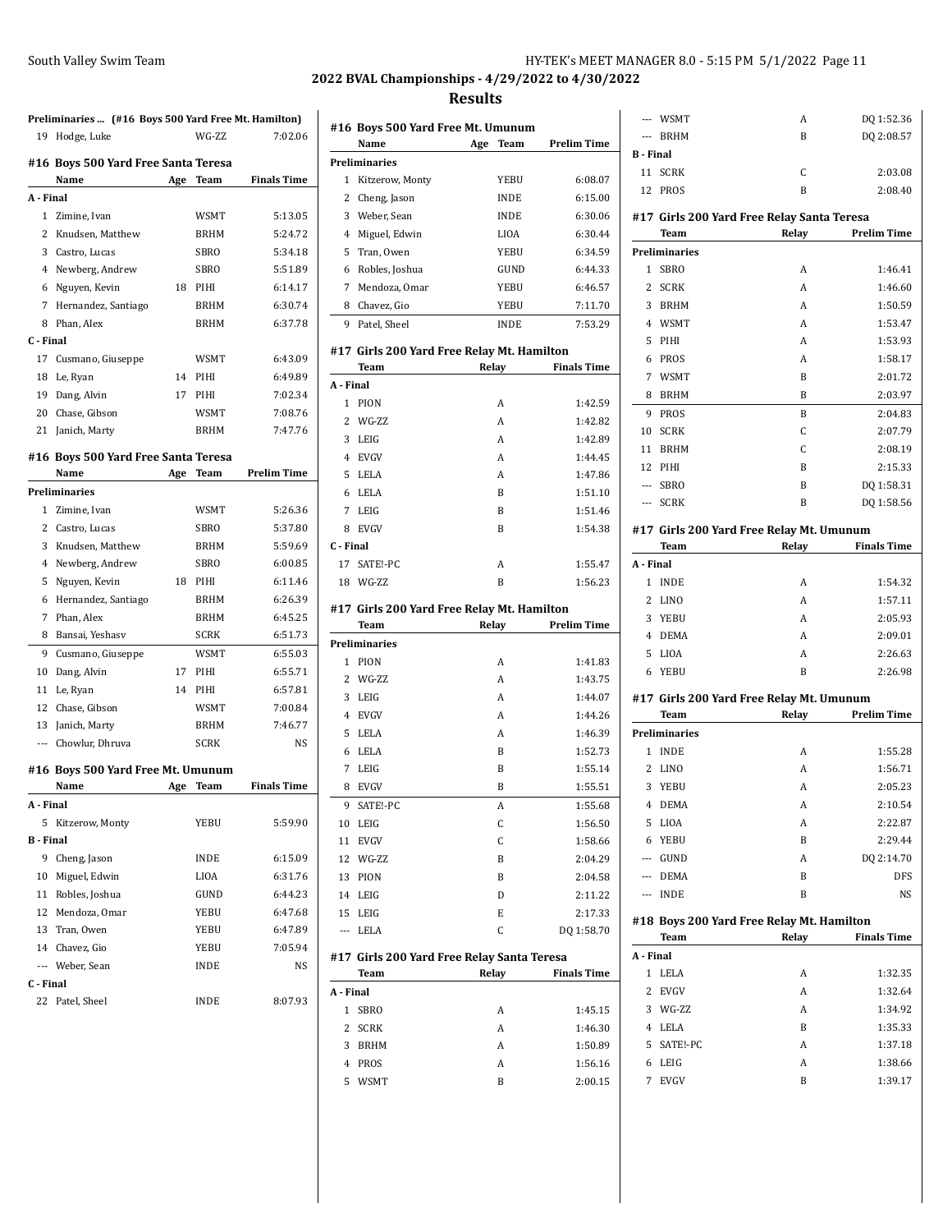# **2022 BVAL Championships - 4/29/2022 to 4/30/2022**

#### **Results**

|                | Preliminaries  (#16 Boys 500 Yard Free Mt. Hamilton) |     |             |                    |
|----------------|------------------------------------------------------|-----|-------------|--------------------|
|                | 19 Hodge, Luke                                       |     | WG-ZZ       | 7:02.06            |
|                | #16 Boys 500 Yard Free Santa Teresa                  |     |             |                    |
|                | Name                                                 | Age | Team        | <b>Finals Time</b> |
| A - Final      |                                                      |     |             |                    |
|                | 1 Zimine, Ivan                                       |     | <b>WSMT</b> | 5:13.05            |
|                | 2 Knudsen, Matthew                                   |     | BRHM        | 5:24.72            |
|                | 3 Castro, Lucas                                      |     | SBRO        | 5:34.18            |
|                | 4 Newberg, Andrew                                    |     | SBRO        | 5:51.89            |
|                | 6 Nguyen, Kevin                                      | 18  | PIHI        | 6:14.17            |
|                | 7 Hernandez, Santiago                                |     | BRHM        | 6:30.74            |
|                | 8 Phan, Alex                                         |     | <b>BRHM</b> | 6:37.78            |
| C - Final      |                                                      |     |             |                    |
| 17             | Cusmano, Giuseppe                                    |     | WSMT        | 6:43.09            |
| 18             | Le, Ryan                                             | 14  | PIHI        | 6:49.89            |
|                | 19 Dang, Alvin                                       | 17  | PIHI        | 7:02.34            |
|                | 20 Chase, Gibson                                     |     | WSMT        | 7:08.76            |
|                | 21 Janich, Marty                                     |     | BRHM        | 7:47.76            |
|                |                                                      |     |             |                    |
|                | #16 Boys 500 Yard Free Santa Teresa                  |     |             |                    |
|                | Name                                                 | Age | Team        | <b>Prelim Time</b> |
|                | Preliminaries                                        |     |             |                    |
| $\mathbf{1}$   | Zimine, Ivan                                         |     | <b>WSMT</b> | 5:26.36            |
|                | 2 Castro, Lucas                                      |     | SBRO        | 5:37.80            |
| 3              | Knudsen, Matthew                                     |     | BRHM        | 5:59.69            |
|                | 4 Newberg, Andrew                                    |     | SBRO        | 6:00.85            |
|                | 5 Nguyen, Kevin                                      | 18  | PIHI        | 6:11.46            |
|                | 6 Hernandez, Santiago                                |     | BRHM        | 6:26.39            |
| 7              | Phan, Alex                                           |     | BRHM        | 6:45.25            |
| 8              | Bansai, Yeshasv                                      |     | SCRK        | 6:51.73            |
| 9              | Cusmano, Giuseppe                                    |     | WSMT        | 6:55.03            |
| 10             | Dang, Alvin                                          | 17  | PIHI        | 6:55.71            |
| 11             | Le, Ryan                                             | 14  | PIHI        | 6:57.81            |
|                | 12 Chase, Gibson                                     |     | WSMT        | 7:00.84            |
|                | 13 Janich, Marty                                     |     | BRHM        | 7:46.77            |
|                | --- Chowlur, Dhruva                                  |     | SCRK        | <b>NS</b>          |
|                | #16 Boys 500 Yard Free Mt. Umunum                    |     |             |                    |
|                | Name                                                 | Age | Team        | <b>Finals Time</b> |
| A - Final      |                                                      |     |             |                    |
|                | 5 Kitzerow, Monty                                    |     | YEBU        | 5:59.90            |
| <b>B</b> Final |                                                      |     |             |                    |
|                | 9 Cheng, Jason                                       |     | INDE        | 6:15.09            |
| 10             | Miguel, Edwin                                        |     | LIOA        | 6:31.76            |
|                | 11 Robles, Joshua                                    |     | GUND        | 6:44.23            |
|                | 12 Mendoza, Omar                                     |     | YEBU        | 6:47.68            |
|                | 13 Tran, Owen                                        |     | YEBU        | 6:47.89            |
|                | 14 Chavez, Gio                                       |     | YEBU        | 7:05.94            |
| $\overline{a}$ | Weber, Sean                                          |     | INDE        | NS                 |
| C - Final      |                                                      |     |             |                    |
| 22             | Patel, Sheel                                         |     | INDE        | 8:07.93            |
|                |                                                      |     |             |                    |

|                | #16 Boys 500 Yard Free Mt. Umunum                  |       |             |                    |
|----------------|----------------------------------------------------|-------|-------------|--------------------|
|                | Name                                               | Age   | <b>Team</b> | <b>Prelim Time</b> |
|                | <b>Preliminaries</b>                               |       |             |                    |
| 1              | Kitzerow, Monty                                    |       | YEBU        | 6:08.07            |
| 2              | Cheng, Jason                                       |       | <b>INDE</b> | 6:15.00            |
| 3              | Weber, Sean                                        |       | <b>INDE</b> | 6:30.06            |
|                | 4 Miguel, Edwin                                    |       | <b>LIOA</b> | 6:30.44            |
| 5              | Tran, Owen                                         |       | YEBU        | 6:34.59            |
| 6              | Robles, Joshua                                     |       | GUND        | 6:44.33            |
| 7              | Mendoza, Omar                                      |       | YEBU        | 6:46.57            |
|                | 8 Chavez, Gio                                      |       | YEBU        | 7:11.70            |
| 9              | Patel, Sheel                                       |       | <b>INDE</b> | 7:53.29            |
|                | #17  Girls 200 Yard Free Relay Mt. Hamilton        |       |             |                    |
|                | Team                                               | Relay |             | <b>Finals Time</b> |
| A - Final      |                                                    |       |             |                    |
| 1              | PION                                               |       | A           | 1:42.59            |
| 2              | WG-ZZ                                              |       | A           | 1:42.82            |
| 3              | LEIG                                               |       | A           | 1:42.89            |
|                | 4 EVGV                                             |       | A           | 1:44.45            |
| 5              | <b>LELA</b>                                        |       | A           | 1:47.86            |
| 6              | <b>LELA</b>                                        |       | B           | 1:51.10            |
| 7              | LEIG                                               |       | B           | 1:51.46            |
| 8              | <b>EVGV</b>                                        |       | B           | 1:54.38            |
| C - Final      |                                                    |       |             |                    |
| 17             | SATE!-PC                                           |       | A           | 1:55.47            |
|                | 18 WG-ZZ                                           |       | B           | 1:56.23            |
|                | #17 Girls 200 Yard Free Relay Mt. Hamilton<br>Team | Relay |             | <b>Prelim Time</b> |
|                | Preliminaries                                      |       |             |                    |
| 1              | PION                                               |       | A           | 1:41.83            |
| $\overline{2}$ | WG-ZZ                                              |       | A           | 1:43.75            |
| 3              | LEIG                                               |       | A           | 1:44.07            |
| 4              | <b>EVGV</b>                                        |       | A           | 1:44.26            |
| 5              | LELA                                               |       | A           | 1:46.39            |
|                |                                                    |       |             | 1:52.73            |
| 6              | LELA                                               |       | B           |                    |
| 7              | LEIG                                               |       | B           | 1:55.14            |
| 8              | <b>EVGV</b>                                        |       | B           | 1:55.51            |
|                | 9 SATE!-PC                                         |       | A           | 1:55.68            |
|                | 10 LEIG                                            |       | C           | 1:56.50            |
| 11             | <b>EVGV</b>                                        |       | C           | 1:58.66            |
|                | 12 WG-ZZ                                           |       | B           | 2:04.29            |
|                | 13 PION                                            |       | B           | 2:04.58            |
|                | 14 LEIG                                            |       | D           | 2:11.22            |
| 15             | LEIG                                               |       | E           | 2:17.33            |
| ---            | LELA                                               |       | C           | DQ 1:58.70         |
|                | #17 Girls 200 Yard Free Relay Santa Teresa<br>Team | Relay |             | <b>Finals Time</b> |
| A - Final      |                                                    |       |             |                    |
| 1              | <b>SBRO</b>                                        |       | Α           | 1:45.15            |
| $\overline{2}$ | <b>SCRK</b>                                        |       | Α           | 1:46.30            |
| 3              | <b>BRHM</b>                                        |       | A           | 1:50.89            |
| $\overline{4}$ | PROS                                               |       | A           | 1:56.16            |
|                |                                                    |       |             |                    |

WSMT B 2:00.15

|                | --- WSMT                     | Α                                                  | DQ 1:52.36         |
|----------------|------------------------------|----------------------------------------------------|--------------------|
| $---$          | <b>BRHM</b>                  | B                                                  | DQ 2:08.57         |
| <b>B</b> Final |                              |                                                    |                    |
| 11             | <b>SCRK</b>                  | C                                                  | 2:03.08            |
| 12             | PROS                         | B                                                  | 2:08.40            |
|                |                              |                                                    |                    |
|                | Team                         | #17 Girls 200 Yard Free Relay Santa Teresa         | <b>Prelim Time</b> |
|                |                              | Relay                                              |                    |
| $\mathbf{1}$   | Preliminaries<br><b>SBRO</b> | Α                                                  | 1:46.41            |
| 2              | <b>SCRK</b>                  | Α                                                  | 1:46.60            |
| 3              |                              | Α                                                  | 1:50.59            |
| $\overline{4}$ | BRHM                         | A                                                  |                    |
| 5              | <b>WSMT</b>                  | Α                                                  | 1:53.47<br>1:53.93 |
|                | PIHI                         |                                                    |                    |
| 6              | PROS                         | Α                                                  | 1:58.17            |
| 7              | <b>WSMT</b>                  | B                                                  | 2:01.72            |
| 8              | BRHM                         | B                                                  | 2:03.97            |
| 9              | PROS                         | B                                                  | 2:04.83            |
| 10             | SCRK                         | C                                                  | 2:07.79            |
| 11             | <b>BRHM</b>                  | C                                                  | 2:08.19            |
| 12             | PIHI                         | B                                                  | 2:15.33            |
|                | --- SBRO                     | B                                                  | DQ 1:58.31         |
| $\overline{a}$ | <b>SCRK</b>                  | B                                                  | DQ 1:58.56         |
|                |                              | #17  Girls 200 Yard Free Relay Mt. Umunum          |                    |
|                | Team                         | Relay                                              | <b>Finals Time</b> |
| A - Final      |                              |                                                    |                    |
| 1              | <b>INDE</b>                  | A                                                  | 1:54.32            |
| 2              | LINO                         | A                                                  | 1:57.11            |
| 3              | YEBU                         | A                                                  | 2:05.93            |
| $\overline{4}$ | DEMA                         | A                                                  | 2:09.01            |
| 5              | LIOA                         | Α                                                  | 2:26.63            |
| 6              | YEBU                         |                                                    | 2:26.98            |
|                |                              | B                                                  |                    |
|                |                              |                                                    |                    |
|                |                              | #17 Girls 200 Yard Free Relay Mt. Umunum           |                    |
|                | Team                         | Relay                                              | <b>Prelim Time</b> |
|                | Preliminaries                |                                                    |                    |
| 1              | <b>INDE</b>                  | Α                                                  | 1:55.28            |
| 2              | LINO                         | A                                                  | 1:56.71            |
| 3              | YEBU                         | A                                                  | 2:05.23            |
| 4              | DEMA                         | A                                                  | 2:10.54            |
| 5              | LIOA                         | A                                                  | 2:22.87            |
| 6              | YEBU                         | B                                                  | 2:29.44            |
|                | --- GUND                     | A                                                  | DQ 2:14.70         |
|                | --- DEMA                     | B                                                  | DFS                |
| $---$          | <b>INDE</b>                  | B                                                  | NS                 |
|                |                              |                                                    |                    |
|                | Team                         | #18 Boys 200 Yard Free Relay Mt. Hamilton<br>Relay | <b>Finals Time</b> |
| A - Final      |                              |                                                    |                    |
| 1              | LELA                         | Α                                                  | 1:32.35            |
| 2              | <b>EVGV</b>                  | A                                                  | 1:32.64            |
| 3              | WG-ZZ                        | A                                                  | 1:34.92            |
| 4              | LELA                         | B                                                  | 1:35.33            |
| 5              | SATE!-PC                     | A                                                  | 1:37.18            |
| 6              | LEIG                         | A                                                  |                    |
| 7              | <b>EVGV</b>                  | B                                                  | 1:38.66<br>1:39.17 |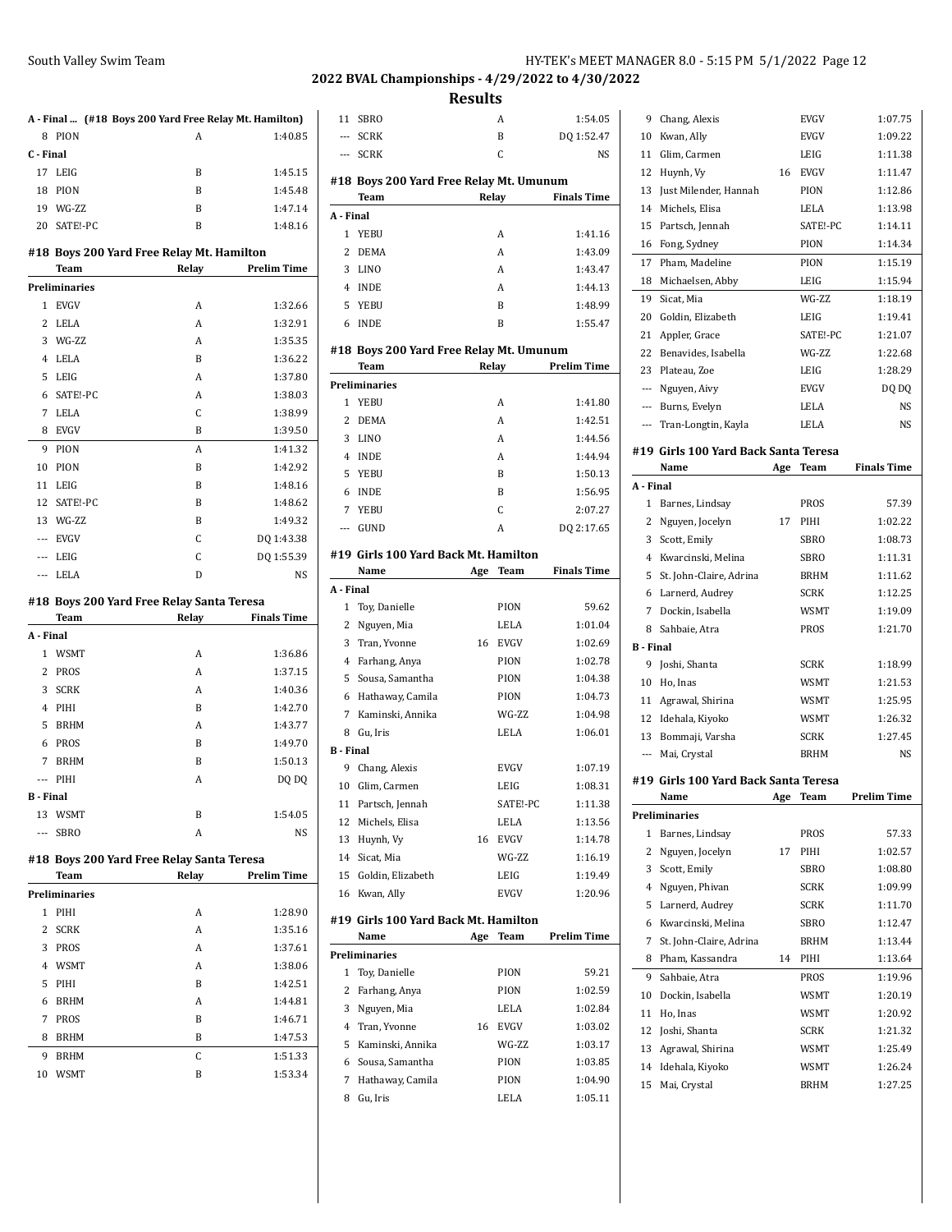#### **2022 BVAL Championships - 4/29/2022 to 4/30/2022**

**Results** SBRO A 1:54.05

|                                           |             | A - Final  (#18 Boys 200 Yard Free Relay Mt. Hamilton) |                    |  |
|-------------------------------------------|-------------|--------------------------------------------------------|--------------------|--|
| 8                                         | <b>PION</b> | A                                                      | 1:40.85            |  |
| C - Final                                 |             |                                                        |                    |  |
|                                           | 17 LEIG     | B                                                      | 1:45.15            |  |
| 18                                        | <b>PION</b> | B                                                      | 1:45.48            |  |
| 19                                        | WG-ZZ       | B                                                      | 1:47.14            |  |
|                                           | 20 SATE!-PC | B                                                      | 1:48.16            |  |
| #18 Boys 200 Yard Free Relay Mt. Hamilton |             |                                                        |                    |  |
|                                           | Team        | Relay                                                  | <b>Prelim Time</b> |  |
|                                           |             |                                                        |                    |  |

|       | Preliminaries |   |            |
|-------|---------------|---|------------|
| 1     | <b>EVGV</b>   | A | 1:32.66    |
| 2     | <b>LELA</b>   | A | 1:32.91    |
| 3     | WG-ZZ         | A | 1:35.35    |
| 4     | LELA          | B | 1:36.22    |
| 5     | LEIG          | A | 1:37.80    |
| 6     | SATE!-PC      | A | 1:38.03    |
| 7     | <b>LELA</b>   | C | 1:38.99    |
| 8     | <b>EVGV</b>   | B | 1:39.50    |
| 9     | PION          | A | 1:41.32    |
| 10    | PION          | B | 1:42.92    |
| 11    | LEIG          | B | 1:48.16    |
| 12    | SATE!-PC      | B | 1:48.62    |
| 13    | WG-ZZ         | B | 1:49.32    |
| $---$ | <b>EVGV</b>   | C | DQ 1:43.38 |
| ---   | LEIG          | C | DQ 1:55.39 |
| ---   | LELA          | D | NS         |

#### **#18 Boys 200 Yard Free Relay Santa Teresa**

|                | Team        | Relay | <b>Finals Time</b> |
|----------------|-------------|-------|--------------------|
| A Final        |             |       |                    |
| 1              | <b>WSMT</b> | A     | 1:36.86            |
| 2              | <b>PROS</b> | A     | 1:37.15            |
| 3              | <b>SCRK</b> | A     | 1:40.36            |
| 4              | PIHI        | B     | 1:42.70            |
| 5              | <b>BRHM</b> | A     | 1:43.77            |
| 6              | <b>PROS</b> | B     | 1:49.70            |
| 7              | <b>BRHM</b> | B     | 1:50.13            |
| $---$          | PIHI        | A     | DQ DQ              |
| <b>B</b> Final |             |       |                    |
|                | 13 WSMT     | B     | 1:54.05            |
| $---$          | <b>SBRO</b> | A     | <b>NS</b>          |

#### **#18 Boys 200 Yard Free Relay Santa Teresa**

|              | <b>Team</b>          | Relay | <b>Prelim Time</b> |
|--------------|----------------------|-------|--------------------|
|              | <b>Preliminaries</b> |       |                    |
| 1            | PIHI                 | A     | 1:28.90            |
| $\mathbf{2}$ | <b>SCRK</b>          | A     | 1:35.16            |
| 3            | PROS                 | A     | 1:37.61            |
| 4            | <b>WSMT</b>          | A     | 1:38.06            |
| 5.           | PIHI                 | B     | 1:42.51            |
| 6            | <b>BRHM</b>          | A     | 1:44.81            |
| 7            | <b>PROS</b>          | B     | 1:46.71            |
| 8            | <b>BRHM</b>          | B     | 1:47.53            |
| 9            | <b>BRHM</b>          | C     | 1:51.33            |
| 10           | <b>WSMT</b>          | B     | 1:53.34            |
|              |                      |       |                    |

| $---$         | <b>SCRK</b>                             | B            | DQ 1:52.47         |
|---------------|-----------------------------------------|--------------|--------------------|
| $---$         | <b>SCRK</b>                             | C            | NS                 |
|               | #18 Boys 200 Yard Free Relay Mt. Umunum |              |                    |
|               | Team                                    | Relay        | <b>Finals Time</b> |
| A - Final     |                                         |              |                    |
| 1             | YEBU                                    | A            | 1:41.16            |
| $\mathcal{L}$ | <b>DEMA</b>                             | A            | 1:43.09            |
| 3             | LINO                                    | A            | 1:43.47            |
| 4             | <b>INDE</b>                             | A            | 1:44.13            |
|               | 5 YEBU                                  | B            | 1:48.99            |
| 6             | <b>INDE</b>                             | B            | 1:55.47            |
|               | #18 Boys 200 Yard Free Relay Mt. Umunum |              |                    |
|               | Toam                                    | <b>Dalay</b> | Drolim Timo        |

|   | тсаш                 | лсын | ттении типе |
|---|----------------------|------|-------------|
|   | <b>Preliminaries</b> |      |             |
|   | 1 YEBU               | А    | 1:41.80     |
| 2 | <b>DEMA</b>          | A    | 1:42.51     |
| 3 | LINO                 | A    | 1:44.56     |
| 4 | <b>INDE</b>          | A    | 1:44.94     |
|   | 5 YEBU               | B    | 1:50.13     |
| 6 | <b>INDE</b>          | B    | 1:56.95     |
| 7 | YEBU                 | C    | 2:07.27     |
|   | GUND                 | А    | DQ 2:17.65  |

#### **#19 Girls 100 Yard Back Mt. Hamilton**

|                | Name                                 | Age | Team        | <b>Finals Time</b> |
|----------------|--------------------------------------|-----|-------------|--------------------|
| A - Final      |                                      |     |             |                    |
| 1              | Toy, Danielle                        |     | PION        | 59.62              |
| 2              | Nguyen, Mia                          |     | LELA        | 1:01.04            |
| 3              | Tran, Yvonne                         | 16  | <b>EVGV</b> | 1:02.69            |
| 4              | Farhang, Anya                        |     | <b>PION</b> | 1:02.78            |
| 5              | Sousa, Samantha                      |     | PION        | 1:04.38            |
| 6              | Hathaway, Camila                     |     | PION        | 1:04.73            |
| 7              | Kaminski, Annika                     |     | WG-ZZ       | 1:04.98            |
| 8              | Gu. Iris                             |     | LELA        | 1:06.01            |
| <b>B</b> Final |                                      |     |             |                    |
| 9              | Chang, Alexis                        |     | EVGV        | 1:07.19            |
| 10             | Glim, Carmen                         |     | LEIG        | 1:08.31            |
| 11             | Partsch, Jennah                      |     | SATE!-PC    | 1:11.38            |
| 12             | Michels, Elisa                       |     | LELA        | 1:13.56            |
| 13             | Huynh, Vy                            | 16  | <b>EVGV</b> | 1:14.78            |
| 14             | Sicat, Mia                           |     | WG-7.7.     | 1:16.19            |
| 15             | Goldin, Elizabeth                    |     | LEIG        | 1:19.49            |
| 16             | Kwan, Ally                           |     | <b>EVGV</b> | 1:20.96            |
|                | #19 Girls 100 Yard Back Mt. Hamilton |     |             |                    |
|                | Name                                 | Age | Team        | <b>Prelim Time</b> |
|                | <b>Preliminaries</b>                 |     |             |                    |
| 1              | Toy, Danielle                        |     | PION        | 59.21              |
| 2              | Farhang, Anya                        |     | PION        | 1:02.59            |
| 3              | Nguyen, Mia                          |     | LELA        | 1:02.84            |
| 4              | Tran, Yvonne                         | 16  | <b>EVGV</b> | 1:03.02            |
| 5              | Kaminski, Annika                     |     | WG-ZZ       | 1:03.17            |
| 6              | Sousa, Samantha                      |     | PION        | 1:03.85            |
| 7              | Hathaway, Camila                     |     | PION        | 1:04.90            |
| 8              | Gu, Iris                             |     | LELA        | 1:05.11            |

| 9              | Chang, Alexis                                |     | EVGV         | 1:07.75            |
|----------------|----------------------------------------------|-----|--------------|--------------------|
| 10             | Kwan, Ally                                   |     | EVGV         | 1:09.22            |
| 11             | Glim, Carmen                                 |     | LEIG         | 1:11.38            |
| 12             | Huynh, Vy                                    | 16  | <b>EVGV</b>  | 1:11.47            |
| 13             | Just Milender, Hannah                        |     | PION         | 1:12.86            |
| 14             | Michels, Elisa                               |     | LELA         | 1:13.98            |
| 15             | Partsch, Jennah                              |     | SATE!-PC     | 1:14.11            |
| 16             | Fong, Sydney                                 |     | PION         | 1:14.34            |
| 17             | Pham, Madeline                               |     | PION         | 1:15.19            |
| 18             | Michaelsen, Abby                             |     | LEIG         | 1:15.94            |
| 19             | Sicat, Mia                                   |     | WG-ZZ        | 1:18.19            |
|                | 20 Goldin, Elizabeth                         |     | LEIG         | 1:19.41            |
| 21             | Appler, Grace                                |     | SATE!-PC     | 1:21.07            |
|                | 22 Benavides, Isabella                       |     | WG-ZZ        | 1:22.68            |
|                | 23 Plateau, Zoe                              |     | LEIG         | 1:28.29            |
|                | --- Nguyen, Aivy                             |     | <b>EVGV</b>  | DQ DQ              |
|                | --- Burns, Evelyn                            |     | LELA         | NS                 |
|                | --- Tran-Longtin, Kayla                      |     | <b>LELA</b>  | NS                 |
|                |                                              |     |              |                    |
|                | #19 Girls 100 Yard Back Santa Teresa         |     |              |                    |
|                | Name                                         | Age | <b>Team</b>  | <b>Finals Time</b> |
| A - Final      |                                              |     |              |                    |
| 1              | Barnes, Lindsay                              |     | PROS         | 57.39              |
|                | 2 Nguyen, Jocelyn                            | 17  | PIHI         | 1:02.22            |
|                | 3 Scott, Emily                               |     | <b>SBRO</b>  | 1:08.73            |
|                | 4 Kwarcinski, Melina                         |     | SBRO         | 1:11.31            |
|                | 5 St. John-Claire, Adrina                    |     | <b>BRHM</b>  | 1:11.62            |
|                | 6 Larnerd, Audrey                            |     | <b>SCRK</b>  | 1:12.25            |
|                | 7 Dockin, Isabella                           |     | WSMT         |                    |
|                |                                              |     |              | 1:19.09            |
| 8              | Sahbaie, Atra                                |     | PROS         | 1:21.70            |
| B - Final      |                                              |     |              |                    |
| 9              | Joshi, Shanta                                |     | <b>SCRK</b>  | 1:18.99            |
| 10             | Ho, Inas                                     |     | WSMT         | 1:21.53            |
| 11             | Agrawal, Shirina                             |     | WSMT         | 1:25.95            |
|                | 12 Idehala, Kiyoko                           |     | <b>WSMT</b>  | 1:26.32            |
| 13             | Bommaji, Varsha                              |     | SCRK         | 1:27.45            |
|                | --- Mai, Crystal                             |     | BRHM         | <b>NS</b>          |
|                |                                              |     |              |                    |
|                | #19 Girls 100 Yard Back Santa Teresa<br>Name | Age | Team         | <b>Prelim Time</b> |
|                |                                              |     |              |                    |
| 1              | Preliminaries<br>Barnes, Lindsay             |     | PROS         | 57.33              |
| $\overline{c}$ | Nguyen, Jocelyn                              | 17  | PIHI         | 1:02.57            |
| 3              |                                              |     | <b>SBRO</b>  | 1:08.80            |
| 4              | Scott, Emily                                 |     | <b>SCRK</b>  | 1:09.99            |
|                | Nguyen, Phivan                               |     |              |                    |
| 5              | Larnerd, Audrey                              |     | <b>SCRK</b>  | 1:11.70            |
| 6              | Kwarcinski, Melina                           |     | SBRO         | 1:12.47<br>1:13.44 |
| 7<br>8         | St. John-Claire, Adrina                      | 14  | BRHM<br>PIHI |                    |
|                | Pham, Kassandra                              |     |              | 1:13.64            |
| 9              | Sahbaie, Atra                                |     | PROS         | 1:19.96            |
| 10             | Dockin, Isabella                             |     | WSMT         | 1:20.19            |
| 11             | Ho, Inas                                     |     | WSMT         | 1:20.92            |
| 12             | Joshi, Shanta                                |     | <b>SCRK</b>  | 1:21.32            |
| 13             | Agrawal, Shirina                             |     | WSMT         | 1:25.49            |
| 14<br>15       | Idehala, Kiyoko<br>Mai, Crystal              |     | WSMT<br>BRHM | 1:26.24<br>1:27.25 |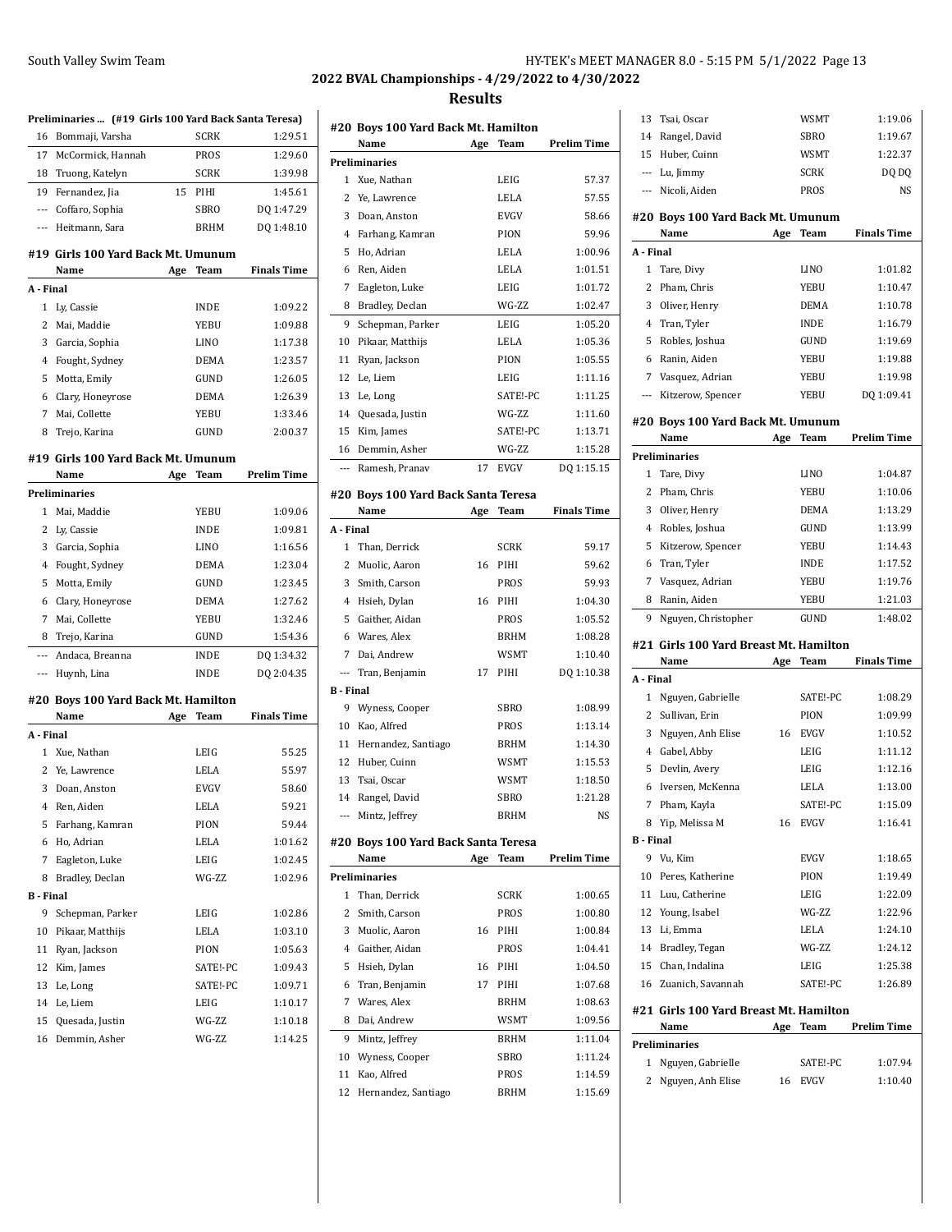## **2022 BVAL Championships - 4/29/2022 to 4/30/2022**

#### **Results**

|                  | Preliminaries  (#19 Girls 100 Yard Back Santa Teresa) |     |             |                    |
|------------------|-------------------------------------------------------|-----|-------------|--------------------|
| 16               | Bommaji, Varsha                                       |     | <b>SCRK</b> | 1:29.51            |
| 17               | McCormick. Hannah                                     |     | PROS        | 1:29.60            |
|                  | 18 Truong, Katelyn                                    |     | <b>SCRK</b> | 1:39.98            |
| 19               | Fernandez, Jia                                        | 15  | PIHI        | 1:45.61            |
| $\cdots$         | Coffaro, Sophia                                       |     | <b>SBRO</b> | DQ 1:47.29         |
|                  | --- Heitmann, Sara                                    |     | <b>BRHM</b> | DQ 1:48.10         |
|                  | #19 Girls 100 Yard Back Mt. Umunum                    |     |             |                    |
|                  | Name                                                  | Age | Team        | <b>Finals Time</b> |
| A - Final        |                                                       |     |             |                    |
| 1                | Ly, Cassie                                            |     | INDE        | 1:09.22            |
| 2                | Mai, Maddie                                           |     | YEBU        | 1:09.88            |
| 3                | Garcia, Sophia                                        |     | <b>LINO</b> | 1:17.38            |
| 4                | Fought, Sydney                                        |     | <b>DEMA</b> | 1:23.57            |
| 5                | Motta, Emily                                          |     | GUND        | 1:26.05            |
|                  | 6 Clary, Honeyrose                                    |     | <b>DEMA</b> | 1:26.39            |
| $\overline{7}$   | Mai. Collette                                         |     | YEBU        | 1:33.46            |
| 8                | Trejo, Karina                                         |     | GUND        | 2:00.37            |
|                  |                                                       |     |             |                    |
|                  | #19 Girls 100 Yard Back Mt. Umunum                    |     |             |                    |
|                  | Name                                                  | Age | Team        | <b>Prelim Time</b> |
|                  | <b>Preliminaries</b>                                  |     |             |                    |
| $\mathbf{1}$     | Mai. Maddie                                           |     | YEBU        | 1:09.06            |
| 2                | Ly, Cassie                                            |     | <b>INDE</b> | 1:09.81            |
| 3                | Garcia, Sophia                                        |     | <b>LINO</b> | 1:16.56            |
| 4                | Fought, Sydney                                        |     | <b>DEMA</b> | 1:23.04            |
| 5                | Motta, Emily                                          |     | GUND        | 1:23.45            |
| 6                | Clary, Honeyrose                                      |     | <b>DEMA</b> | 1:27.62            |
| 7                | Mai, Collette                                         |     | YEBU        | 1:32.46            |
| 8                | Trejo, Karina                                         |     | GUND        | 1:54.36            |
| ---              | Andaca, Breanna                                       |     | INDE        | DQ 1:34.32         |
| $\cdots$         | Huynh, Lina                                           |     | <b>INDE</b> | DQ 2:04.35         |
|                  | #20 Boys 100 Yard Back Mt. Hamilton                   |     |             |                    |
|                  | Name                                                  | Age | Team        | <b>Finals Time</b> |
| A - Final        |                                                       |     |             |                    |
| $\mathbf{1}$     | Xue, Nathan                                           |     | LEIG        | 55.25              |
| 2                | Ye, Lawrence                                          |     | LELA        | 55.97              |
| 3                | Doan, Anston                                          |     | <b>EVGV</b> | 58.60              |
| 4                | Ren, Aiden                                            |     | LELA        | 59.21              |
| 5                | Farhang, Kamran                                       |     | PION        | 59.44              |
| 6                | Ho, Adrian                                            |     | LELA        | 1:01.62            |
| 7                | Eagleton, Luke                                        |     | LEIG        | 1:02.45            |
| 8                | Bradley, Declan                                       |     | WG-ZZ       | 1:02.96            |
| <b>B</b> - Final |                                                       |     |             |                    |
| 9                | Schepman, Parker                                      |     | LEIG        | 1:02.86            |
| 10               | Pikaar, Matthijs                                      |     | LELA        | 1:03.10            |
| 11               | Ryan, Jackson                                         |     | PION        | 1:05.63            |
| 12               | Kim, James                                            |     | SATE!-PC    | 1:09.43            |
| 13               | Le, Long                                              |     | SATE!-PC    | 1:09.71            |
| 14               | Le, Liem                                              |     | LEIG        | 1:10.17            |
| 15               | Quesada, Justin                                       |     | WG-ZZ       | 1:10.18            |
| 16               | Demmin, Asher                                         |     | WG-ZZ       | 1:14.25            |
|                  |                                                       |     |             |                    |

|                          | #20 Boys 100 Yard Back Mt. Hamilton |     |             |                    |
|--------------------------|-------------------------------------|-----|-------------|--------------------|
|                          | Name<br><b>Preliminaries</b>        | Age | Team        | Prelim Time        |
| 1                        | Xue, Nathan                         |     | LEIG        | 57.37              |
| 2                        |                                     |     |             | 57.55              |
|                          | Ye, Lawrence                        |     | LELA        |                    |
| 3                        | Doan, Anston                        |     | <b>EVGV</b> | 58.66              |
| 4                        | Farhang, Kamran                     |     | PION        | 59.96              |
| 5                        | Ho, Adrian                          |     | LELA        | 1:00.96            |
| 6                        | Ren, Aiden                          |     | LELA        | 1:01.51            |
| 7                        | Eagleton, Luke                      |     | LEIG        | 1:01.72            |
| 8                        | Bradley, Declan                     |     | WG-ZZ       | 1:02.47            |
| 9                        | Schepman, Parker                    |     | LEIG        | 1:05.20            |
| 10                       | Pikaar, Matthijs                    |     | LELA        | 1:05.36            |
| 11                       | Ryan, Jackson                       |     | PION        | 1:05.55            |
| 12                       | Le, Liem                            |     | LEIG        | 1:11.16            |
| 13                       | Le, Long                            |     | SATE!-PC    | 1:11.25            |
| 14                       | Quesada, Justin                     |     | WG-ZZ       | 1:11.60            |
| 15                       | Kim, James                          |     | SATE!-PC    | 1:13.71            |
| 16                       | Demmin, Asher                       |     | WG-ZZ       | 1:15.28            |
| $\overline{a}$           | Ramesh, Pranav                      | 17  | EVGV        | DO 1:15.15         |
|                          | #20 Boys 100 Yard Back Santa Teresa |     |             |                    |
|                          | Name                                | Age | Team        | <b>Finals Time</b> |
| A - Final                |                                     |     |             |                    |
| 1                        | Than, Derrick                       |     | <b>SCRK</b> | 59.17              |
| 2                        | Muolic, Aaron                       | 16  | PIHI        | 59.62              |
| 3                        | Smith, Carson                       |     | <b>PROS</b> | 59.93              |
| 4                        | Hsieh, Dylan                        | 16  | PIHI        | 1:04.30            |
| 5                        | Gaither, Aidan                      |     | <b>PROS</b> | 1:05.52            |
| 6                        | Wares, Alex                         |     | <b>BRHM</b> | 1:08.28            |
| 7                        | Dai, Andrew                         |     | WSMT        | 1:10.40            |
| $\overline{\phantom{a}}$ | Tran, Benjamin                      | 17  | PIHI        | DQ 1:10.38         |
| <b>B</b> - Final         |                                     |     |             |                    |
| 9                        | Wyness, Cooper                      |     | SBRO        | 1:08.99            |
| 10                       | Kao, Alfred                         |     | PROS        | 1:13.14            |
| 11                       | Hernandez, Santiago                 |     | <b>BRHM</b> | 1:14.30            |
| 12                       | Huber, Cuinn                        |     | WSMT        | 1:15.53            |
| 13                       | Tsai, Oscar                         |     | WSMT        | 1:18.50            |
| 14                       | Rangel, David                       |     | <b>SBRO</b> | 1:21.28            |
| $\overline{\phantom{a}}$ | Mintz, Jeffrey                      |     | BRHM        | NS                 |
|                          |                                     |     |             |                    |
|                          | #20 Boys 100 Yard Back Santa Teresa |     |             |                    |
|                          | Name                                | Age | <b>Team</b> | Prelim Time        |
|                          | <b>Preliminaries</b>                |     |             |                    |
| 1                        | Than. Derrick                       |     | <b>SCRK</b> | 1:00.65            |
| 2                        | Smith, Carson                       |     | PROS        | 1:00.80            |
| 3                        | Muolic, Aaron                       | 16  | PIHI        | 1:00.84            |
| 4                        | Gaither, Aidan                      |     | <b>PROS</b> | 1:04.41            |
| 5                        | Hsieh, Dylan                        | 16  | PIHI        | 1:04.50            |
| 6                        | Tran, Benjamin                      | 17  | PIHI        | 1:07.68            |
| 7                        | Wares, Alex                         |     | <b>BRHM</b> | 1:08.63            |
| 8                        | Dai, Andrew                         |     | <b>WSMT</b> | 1:09.56            |
| 9                        | Mintz, Jeffrey                      |     | <b>BRHM</b> | 1:11.04            |
| 10                       | Wyness, Cooper                      |     | <b>SBRO</b> | 1:11.24            |
| 11                       | Kao, Alfred                         |     | PROS        | 1:14.59            |
| 12                       | Hernandez, Santiago                 |     | BRHM        | 1:15.69            |
|                          |                                     |     |             |                    |

|                          | Tsai, Oscar                                    |     | WSMT                    | 1:19.06            |
|--------------------------|------------------------------------------------|-----|-------------------------|--------------------|
| 14                       | Rangel, David                                  |     | SBRO                    | 1:19.67            |
| 15                       | Huber, Cuinn                                   |     | WSMT                    | 1:22.37            |
| $---$                    | Lu, Jimmy                                      |     | <b>SCRK</b>             | DQ DQ              |
| $---$                    | Nicoli, Aiden                                  |     | PROS                    | NS                 |
|                          | #20 Boys 100 Yard Back Mt. Umunum              |     |                         |                    |
|                          | Name                                           | Age | Team                    | <b>Finals Time</b> |
| A - Final                |                                                |     |                         |                    |
| 1                        | Tare, Divy                                     |     | <b>LINO</b>             | 1:01.82            |
| 2                        | Pham, Chris                                    |     | YEBU                    | 1:10.47            |
| 3                        | Oliver, Henry                                  |     | <b>DEMA</b>             | 1:10.78            |
| 4                        | Tran, Tyler                                    |     | <b>INDE</b>             | 1:16.79            |
| 5                        | Robles, Joshua                                 |     | GUND                    | 1:19.69            |
| 6                        | Ranin, Aiden                                   |     | YEBU                    | 1:19.88            |
| 7                        | Vasquez, Adrian                                |     | YEBU                    | 1:19.98            |
| $\overline{\phantom{a}}$ | Kitzerow, Spencer                              |     | YEBU                    | DQ 1:09.41         |
|                          |                                                |     |                         |                    |
|                          | #20 Boys 100 Yard Back Mt. Umunum              |     |                         |                    |
|                          | Name                                           | Age | Team                    | <b>Prelim Time</b> |
|                          | <b>Preliminaries</b>                           |     |                         |                    |
| 1                        | Tare, Divy                                     |     | LINO                    | 1:04.87            |
| 2                        | Pham, Chris                                    |     | YEBU                    | 1:10.06            |
| 3                        | Oliver, Henry                                  |     | <b>DEMA</b>             | 1:13.29            |
| 4                        | Robles, Joshua                                 |     | GUND                    | 1:13.99            |
| 5                        | Kitzerow, Spencer                              |     | YEBU                    | 1:14.43            |
| 6                        | Tran, Tyler                                    |     | <b>INDE</b>             | 1:17.52            |
| 7                        | Vasquez, Adrian                                |     | YEBU                    | 1:19.76            |
| 8                        | Ranin, Aiden                                   |     | YEBU                    | 1:21.03            |
| 9                        | Nguyen, Christopher                            |     | GUND                    | 1:48.02            |
|                          |                                                |     |                         |                    |
|                          |                                                |     |                         |                    |
|                          | #21 Girls 100 Yard Breast Mt. Hamilton<br>Name | Age | Team                    | <b>Finals Time</b> |
| A - Final                |                                                |     |                         |                    |
| 1                        | Nguyen, Gabrielle                              |     | SATE!-PC                | 1:08.29            |
| 2                        | Sullivan, Erin                                 |     | PION                    | 1:09.99            |
| 3                        | Nguyen, Anh Elise                              | 16  | <b>EVGV</b>             | 1:10.52            |
| 4                        | Gabel, Abby                                    |     | LEIG                    | 1:11.12            |
| 5                        | Devlin, Avery                                  |     | LEIG                    | 1:12.16            |
| 6                        | Iversen, McKenna                               |     | LELA                    | 1:13.00            |
| 7                        | Pham, Kayla                                    |     | SATE!-PC                | 1:15.09            |
|                          | 8 Yip, Melissa M                               | 16  | <b>EVGV</b>             | 1:16.41            |
| <b>B</b> - Final         |                                                |     |                         |                    |
| 9                        | Vu. Kim                                        |     | EVGV                    | 1:18.65            |
| 10                       | Peres, Katherine                               |     | PION                    | 1:19.49            |
| 11                       | Luu, Catherine                                 |     | LEIG                    | 1:22.09            |
| 12                       | Young, Isabel                                  |     | WG-ZZ                   | 1:22.96            |
| 13                       | Li, Emma                                       |     | LELA                    | 1:24.10            |
|                          | 14 Bradley, Tegan                              |     | WG-ZZ                   | 1:24.12            |
| 15                       | Chan, Indalina                                 |     | LEIG                    | 1:25.38            |
| 16                       | Zuanich, Savannah                              |     | SATE!-PC                | 1:26.89            |
|                          |                                                |     |                         |                    |
|                          | #21 Girls 100 Yard Breast Mt. Hamilton         |     |                         |                    |
|                          | Name                                           | Age | Team                    | <b>Prelim Time</b> |
| 1                        | <b>Preliminaries</b>                           |     |                         |                    |
| 2                        | Nguyen, Gabrielle                              | 16  | SATE!-PC<br><b>EVGV</b> | 1:07.94<br>1:10.40 |
|                          | Nguyen, Anh Elise                              |     |                         |                    |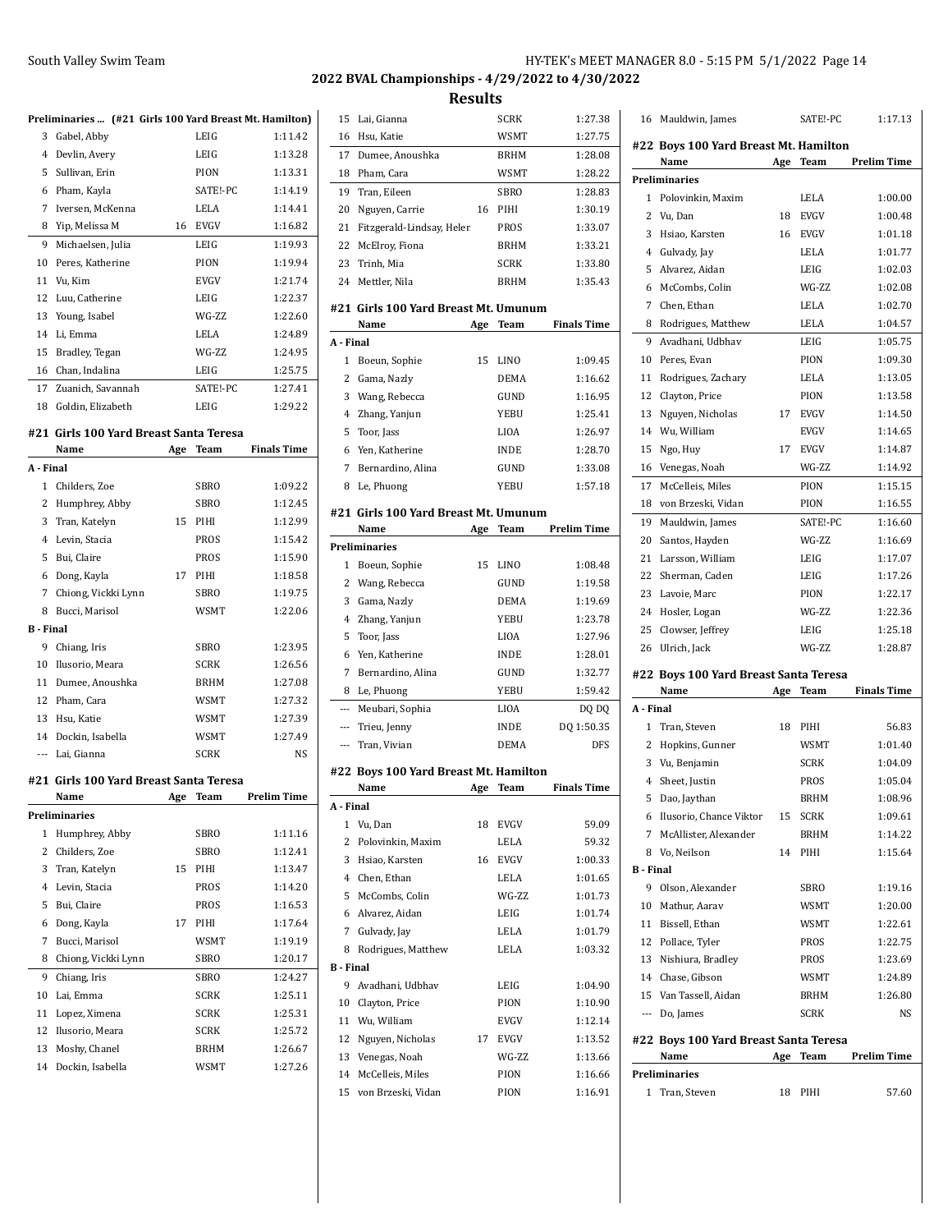## **2022 BVAL Championships - 4/29/2022 to 4/30/2022**

|                  | Preliminaries  (#21 Girls 100 Yard Breast Mt. Hamilton) |     |             |                      |   |
|------------------|---------------------------------------------------------|-----|-------------|----------------------|---|
| 3                | Gabel, Abby                                             |     | LEIG        | 1:11.42              |   |
|                  | 4 Devlin, Avery                                         |     | LEIG        | 1:13.28              |   |
| 5                | Sullivan, Erin                                          |     | PION        | 1:13.31              |   |
| 6                | Pham, Kayla                                             |     | SATE!-PC    | 1:14.19              |   |
| 7                | Iversen, McKenna                                        |     | LELA        | 1:14.41              |   |
| 8                | Yip, Melissa M                                          |     | 16 EVGV     | 1:16.82              |   |
| 9                | Michaelsen, Julia                                       |     | LEIG        | 1:19.93              |   |
| 10               | Peres, Katherine                                        |     | PION        | 1:19.94              |   |
| 11               | Vu, Kim                                                 |     | EVGV        | 1:21.74              |   |
| 12               | Luu, Catherine                                          |     | LEIG        | 1:22.37              |   |
| 13               | Young, Isabel                                           |     | WG-7.7.     | 1:22.60              | Ħ |
| 14               | Li, Emma                                                |     | LELA        | 1:24.89              |   |
| 15               | Bradley, Tegan                                          |     | WG-ZZ       | 1:24.95              | A |
| 16               | Chan, Indalina                                          |     | LEIG        | 1:25.75              |   |
| 17               | Zuanich, Savannah                                       |     | SATE!-PC    | 1:27.41              |   |
| 18               | Goldin, Elizabeth                                       |     | LEIG        | 1:29.22              |   |
|                  |                                                         |     |             |                      |   |
|                  | #21 Girls 100 Yard Breast Santa Teresa                  |     |             |                      |   |
|                  | Name                                                    | Age | Team        | <b>Finals Time</b>   |   |
| A - Final        |                                                         |     |             |                      |   |
|                  | 1 Childers, Zoe                                         |     | SBRO        | 1:09.22              |   |
|                  | 2 Humphrey, Abby                                        |     | SBRO        | 1:12.45              |   |
| 3                | Tran, Katelyn                                           | 15  | PIHI        | 1:12.99              | Ħ |
|                  | 4 Levin, Stacia                                         |     | PROS        | 1:15.42              |   |
| 5                | Bui, Claire                                             |     | PROS        | 1:15.90              | P |
| 6                | Dong, Kayla                                             | 17  | PIHI        | 1:18.58              |   |
| 7                | Chiong, Vickki Lynn                                     |     | SBRO        | 1:19.75              |   |
| 8                | Bucci, Marisol                                          |     | WSMT        | 1:22.06              |   |
| <b>B</b> - Final |                                                         |     |             |                      |   |
| 9                | Chiang, Iris                                            |     | SBRO        | 1:23.95              |   |
| 10               | Ilusorio, Meara                                         |     | SCRK        | 1:26.56              |   |
| 11               | Dumee, Anoushka                                         |     | BRHM        | 1:27.08              |   |
| 12               | Pham, Cara                                              |     | WSMT        | 1:27.32              |   |
|                  | 13 Hsu, Katie                                           |     | WSMT        | 1:27.39              |   |
|                  | 14 Dockin, Isabella                                     |     | WSMT        | 1:27.49              |   |
|                  | --- Lai, Gianna                                         |     | SCRK        | NS                   |   |
|                  |                                                         |     |             |                      | Ħ |
|                  | #21 Girls 100 Yard Breast Santa Teresa                  |     |             |                      |   |
|                  | Name                                                    |     |             | Age Team Prelim Time | Α |
|                  | Preliminaries                                           |     |             |                      |   |
| 1                | Humphrey, Abby                                          |     | SBRO        | 1:11.16              |   |
| 2                | Childers, Zoe                                           |     | SBRO        | 1:12.41              |   |
| 3                | Tran, Katelyn                                           | 15  | PIHI        | 1:13.47              |   |
| 4                | Levin, Stacia                                           |     | PROS        | 1:14.20              |   |
| 5                | Bui, Claire                                             |     | PROS        | 1:16.53              |   |
| 6                | Dong, Kayla                                             | 17  | PIHI        | 1:17.64              |   |
| 7                | Bucci, Marisol                                          |     | <b>WSMT</b> | 1:19.19              |   |
| 8                | Chiong, Vickki Lynn                                     |     | SBRO        | 1:20.17              | B |
| 9                | Chiang, Iris                                            |     | SBRO        | 1:24.27              |   |
| 10               | Lai, Emma                                               |     | SCRK        | 1:25.11              |   |
| 11               | Lopez, Ximena                                           |     | SCRK        | 1:25.31              |   |
| 12               | Ilusorio, Meara                                         |     | SCRK        | 1:25.72              |   |
| 13               | Moshy, Chanel                                           |     | BRHM        | 1:26.67              |   |
| 14               | Dockin, Isabella                                        |     | WSMT        | 1:27.26              |   |
|                  |                                                         |     |             |                      |   |

| 15               | Lai, Gianna                                   |     | <b>SCRK</b> | 1:27.38            |
|------------------|-----------------------------------------------|-----|-------------|--------------------|
| 16               | Hsu, Katie                                    |     | <b>WSMT</b> | 1:27.75            |
| 17               | Dumee, Anoushka                               |     | <b>BRHM</b> | 1:28.08            |
| 18               | Pham, Cara                                    |     | WSMT        | 1:28.22            |
| 19               | Tran, Eileen                                  |     | SBRO        | 1:28.83            |
| 20               | Nguyen, Carrie                                | 16  | PIHI        | 1:30.19            |
| 21               | Fitzgerald-Lindsay, Helen                     |     | PROS        | 1:33.07            |
| 22               | McElroy, Fiona                                |     | BRHM        | 1:33.21            |
| 23               | Trinh, Mia                                    |     | <b>SCRK</b> | 1:33.80            |
| 24               | Mettler, Nila                                 |     | <b>BRHM</b> | 1:35.43            |
|                  |                                               |     |             |                    |
|                  | #21 Girls 100 Yard Breast Mt. Umunum<br>Name  | Age | Team        | <b>Finals Time</b> |
| A - Final        |                                               |     |             |                    |
| $\mathbf{1}$     | Boeun, Sophie                                 | 15  | LINO        | 1:09.45            |
| 2                | Gama, Nazly                                   |     | DEMA        | 1:16.62            |
| 3                | Wang, Rebecca                                 |     | GUND        | 1:16.95            |
|                  |                                               |     |             | 1:25.41            |
| 4                | Zhang, Yanjun                                 |     | <b>YEBU</b> |                    |
| 5                | Toor, Jass                                    |     | LIOA        | 1:26.97            |
| 6                | Yen, Katherine                                |     | <b>INDE</b> | 1:28.70            |
| 7                | Bernardino, Alina                             |     | GUND        | 1:33.08            |
| 8                | Le, Phuong                                    |     | YEBU        | 1:57.18            |
|                  | #21  Girls 100 Yard Breast Mt. Umunum         |     |             |                    |
|                  | Name                                          | Age | Team        | <b>Prelim Time</b> |
|                  | Preliminaries                                 |     |             |                    |
| 1                | Boeun, Sophie                                 | 15  | LINO        | 1:08.48            |
| 2                | Wang, Rebecca                                 |     | GUND        | 1:19.58            |
| 3                | Gama, Nazly                                   |     | <b>DEMA</b> | 1:19.69            |
| 4                | Zhang, Yanjun                                 |     | YEBU        | 1:23.78            |
| 5                | Toor, Jass                                    |     | <b>LIOA</b> | 1:27.96            |
| 6                | Yen, Katherine                                |     | <b>INDE</b> | 1:28.01            |
| 7                | Bernardino, Alina                             |     | GUND        | 1:32.77            |
| 8                | Le, Phuong                                    |     | YEBU        | 1:59.42            |
| $\overline{a}$   | Meubari, Sophia                               |     | LIOA        | DQ DQ              |
| $\cdots$         | Trieu, Jenny                                  |     | <b>INDE</b> | DQ 1:50.35         |
| ---              | Tran, Vivian                                  |     | DEMA        | DFS                |
|                  |                                               |     |             |                    |
|                  | #22 Boys 100 Yard Breast Mt. Hamilton<br>Name |     |             |                    |
|                  |                                               | Age | <b>Team</b> | <b>Finals Time</b> |
| A - Final<br>1   | Vu, Dan                                       | 18  | EVGV        | 59.09              |
| 2                | Polovinkin, Maxim                             |     | LELA        | 59.32              |
|                  |                                               |     |             |                    |
| 3                | Hsiao, Karsten                                | 16  | <b>EVGV</b> | 1:00.33            |
|                  | 4 Chen, Ethan                                 |     | LELA        | 1:01.65            |
| 5                | McCombs, Colin                                |     | WG-ZZ       | 1:01.73            |
| 6                | Alvarez, Aidan                                |     | LEIG        | 1:01.74            |
| 7                | Gulvady, Jay                                  |     | LELA        | 1:01.79            |
| 8                | Rodrigues, Matthew                            |     | LELA        | 1:03.32            |
| <b>B</b> - Final |                                               |     |             |                    |
| 9                | Avadhani, Udbhav                              |     | LEIG        | 1:04.90            |
| 10               | Clayton, Price                                |     | PION        | 1:10.90            |
| 11               | Wu, William                                   |     | EVGV        | 1:12.14            |
| 12               | Nguyen, Nicholas                              | 17  | EVGV        | 1:13.52            |
| 13               | Venegas, Noah                                 |     | WG-ZZ       | 1:13.66            |
| 14               | McCelleis, Miles                              |     | PION        | 1:16.66            |
| 15               | von Brzeski, Vidan                            |     | PION        | 1:16.91            |
|                  |                                               |     |             |                    |

| 16        | Mauldwin, James                               |     | SATE!-PC    | 1:17.13            |
|-----------|-----------------------------------------------|-----|-------------|--------------------|
|           | #22 Boys 100 Yard Breast Mt. Hamilton         |     |             |                    |
|           | Name                                          | Age | <b>Team</b> | <b>Prelim Time</b> |
|           | Preliminaries                                 |     |             |                    |
| 1         | Polovinkin, Maxim                             |     | LELA        | 1:00.00            |
| 2         | Vu, Dan                                       | 18  | <b>EVGV</b> | 1:00.48            |
| 3         | Hsiao, Karsten                                | 16  | <b>EVGV</b> | 1:01.18            |
| 4         | Gulvady, Jay                                  |     | LELA        | 1:01.77            |
| 5         | Alvarez, Aidan                                |     | LEIG        | 1:02.03            |
| 6         | McCombs, Colin                                |     | WG-ZZ       | 1:02.08            |
| 7         | Chen, Ethan                                   |     | LELA        | 1:02.70            |
| 8         | Rodrigues, Matthew                            |     | LELA        | 1:04.57            |
| 9         | Avadhani, Udbhav                              |     | LEIG        | 1:05.75            |
| 10        | Peres, Evan                                   |     | PION        | 1:09.30            |
| 11        | Rodrigues, Zachary                            |     | LELA        | 1:13.05            |
| 12        | Clayton, Price                                |     | PION        | 1:13.58            |
| 13        | Nguyen, Nicholas                              | 17  | <b>EVGV</b> | 1:14.50            |
| 14        | Wu, William                                   |     | <b>EVGV</b> | 1:14.65            |
| 15        | Ngo, Huy                                      | 17  | <b>EVGV</b> | 1:14.87            |
| 16        | Venegas, Noah                                 |     | WG-ZZ       | 1:14.92            |
| 17        | McCelleis, Miles                              |     | PION        | 1:15.15            |
| 18        | von Brzeski, Vidan                            |     | PION        | 1:16.55            |
| 19        | Mauldwin, James                               |     | SATE!-PC    | 1:16.60            |
| 20        | Santos, Hayden                                |     | WG-ZZ       | 1:16.69            |
| 21        | Larsson, William                              |     | LEIG        | 1:17.07            |
| 22        | Sherman, Caden                                |     | LEIG        | 1:17.26            |
| 23        | Lavoie, Marc                                  |     | PION        | 1:22.17            |
| 24        | Hosler, Logan                                 |     | WG-ZZ       | 1:22.36            |
| 25        | Clowser, Jeffrey                              |     | LEIG        | 1:25.18            |
| 26        | Ulrich, Jack                                  |     | WG-ZZ       | 1:28.87            |
|           |                                               |     |             |                    |
|           | #22 Boys 100 Yard Breast Santa Teresa<br>Name | Age | Team        | <b>Finals Time</b> |
| A - Final |                                               |     |             |                    |
| 1         | Tran, Steven                                  | 18  | PIHI        | 56.83              |
| 2         | Hopkins, Gunner                               |     | WSMT        | 1:01.40            |
| 3         | Vu, Benjamin                                  |     | <b>SCRK</b> | 1:04.09            |
| 4         | Sheet, Justin                                 |     | <b>PROS</b> | 1:05.04            |
| 5         | Dao, Jaythan                                  |     | <b>BRHM</b> | 1:08.96            |
|           | 6 Ilusorio, Chance Viktor                     | 15  | SCRK        | 1:09.61            |
| 7         | McAllister, Alexander                         |     | BRHM        | 1:14.22            |
|           | 8 Vo. Neilson                                 | 14  | PIHI        | 1:15.64            |
| B - Final |                                               |     |             |                    |
| 9         | Olson, Alexander                              |     | SBRO        | 1:19.16            |
| 10        | Mathur, Aarav                                 |     | WSMT        | 1:20.00            |
| 11        | Bissell, Ethan                                |     | WSMT        | 1:22.61            |
|           | 12 Pollace, Tyler                             |     | PROS        | 1:22.75            |
| 13        | Nishiura, Bradley                             |     | PROS        | 1:23.69            |
|           | 14 Chase, Gibson                              |     | WSMT        | 1:24.89            |
|           | 15 Van Tassell, Aidan                         |     | BRHM        | 1:26.80            |
| $\cdots$  | Do, James                                     |     | <b>SCRK</b> | NS                 |
|           |                                               |     |             |                    |
|           | #22 Boys 100 Yard Breast Santa Teresa         |     |             |                    |
|           | Name                                          | Age | Team        | <b>Prelim Time</b> |
|           | <b>Preliminaries</b>                          |     |             |                    |
| 1         | Tran, Steven                                  | 18  | PIHI        | 57.60              |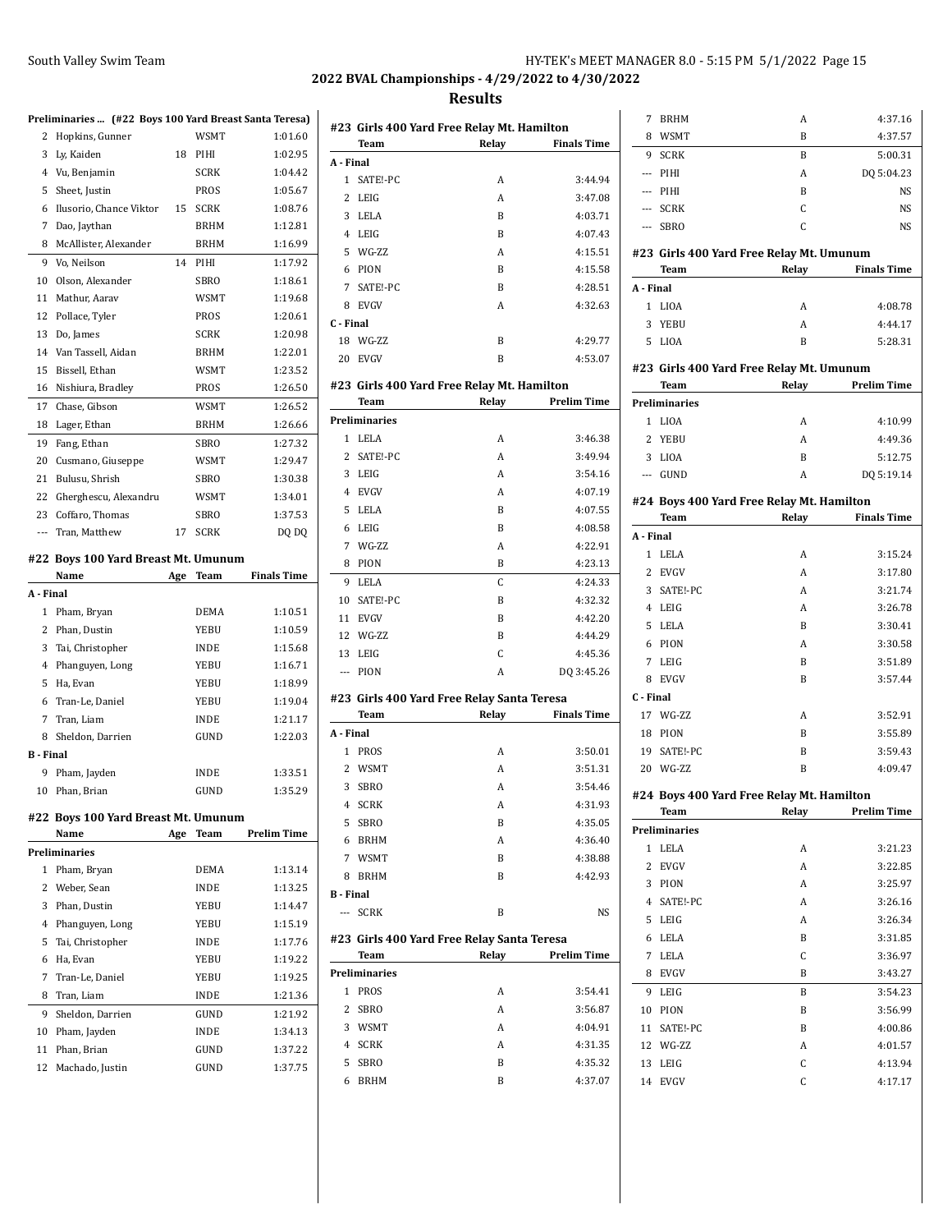| HY-TEK's MEET MANAGER 8.0 - 5:15 PM 5/1/2022 Page 15 |  |  |
|------------------------------------------------------|--|--|
|------------------------------------------------------|--|--|

|                |                                                        |     |             |                    | 2022                                                    |
|----------------|--------------------------------------------------------|-----|-------------|--------------------|---------------------------------------------------------|
|                | Preliminaries  (#22 Boys 100 Yard Breast Santa Teresa) |     |             |                    |                                                         |
| 2              | Hopkins, Gunner                                        |     | WSMT        | 1:01.60            | #2                                                      |
|                | 3 Ly, Kaiden                                           | 18  | PIHI        | 1:02.95            |                                                         |
|                | 4 Vu, Benjamin                                         |     | SCRK        | 1:04.42            | А -                                                     |
|                | 5 Sheet, Justin                                        |     | PROS        | 1:05.67            |                                                         |
|                | 6 Ilusorio, Chance Viktor                              | 15  | SCRK        | 1:08.76            |                                                         |
| 7              | Dao, Jaythan                                           |     | BRHM        | 1:12.81            |                                                         |
| 8              | McAllister, Alexander                                  |     | <b>BRHM</b> | 1:16.99            |                                                         |
|                | 9 Vo, Neilson                                          | 14  | PIHI        | 1:17.92            |                                                         |
|                | 10 Olson, Alexander                                    |     | <b>SBRO</b> | 1:18.61            |                                                         |
| 11             | Mathur, Aarav                                          |     | WSMT        | 1:19.68            |                                                         |
|                | 12 Pollace, Tyler                                      |     | PROS        | 1:20.61            |                                                         |
| 13             | Do, James                                              |     | SCRK        | 1:20.98            | $\mathsf{C}$ - $\mathsf{C}$                             |
|                | 14 Van Tassell, Aidan                                  |     | BRHM        | 1:22.01            | $1^{\circ}$                                             |
| 15             | Bissell, Ethan                                         |     | WSMT        | 1:23.52            | 2                                                       |
|                | 16 Nishiura, Bradley                                   |     | PROS        | 1:26.50            | #2                                                      |
| 17             | Chase, Gibson                                          |     | WSMT        | 1:26.52            |                                                         |
|                | 18 Lager, Ethan                                        |     | <b>BRHM</b> | 1:26.66            | Pre                                                     |
| 19             | Fang, Ethan                                            |     | <b>SBRO</b> | 1:27.32            |                                                         |
| 20             | Cusmano, Giuseppe                                      |     | WSMT        | 1:29.47            |                                                         |
| 21             | Bulusu, Shrish                                         |     | SBRO        | 1:30.38            |                                                         |
|                | 22 Gherghescu, Alexandru                               |     | <b>WSMT</b> | 1:34.01            |                                                         |
| 23             | Coffaro, Thomas                                        |     | <b>SBRO</b> | 1:37.53            |                                                         |
|                | --- Tran, Matthew                                      | 17  | SCRK        | DQ DQ              |                                                         |
|                |                                                        |     |             |                    |                                                         |
|                | #22 Boys 100 Yard Breast Mt. Umunum                    |     |             |                    |                                                         |
|                | Name                                                   | Age | Team        | <b>Finals Time</b> |                                                         |
| A - Final      |                                                        |     |             |                    |                                                         |
|                |                                                        |     |             |                    |                                                         |
|                | 1 Pham, Bryan                                          |     | DEMA        | 1:10.51            |                                                         |
|                | 2 Phan, Dustin                                         |     | YEBU        | 1:10.59            |                                                         |
| 3              | Tai, Christopher                                       |     | <b>INDE</b> | 1:15.68            |                                                         |
|                | 4 Phanguyen, Long                                      |     | YEBU        | 1:16.71            |                                                         |
| 5              | Ha, Evan                                               |     | YEBU        | 1:18.99            |                                                         |
|                | 6 Tran-Le, Daniel                                      |     | YEBU        | 1:19.04            |                                                         |
| 7              | Tran, Liam                                             |     | <b>INDE</b> | 1:21.17            |                                                         |
|                | 8 Sheldon, Darrien                                     |     | GUND        | 1:22.03            | A -                                                     |
| <b>B</b> Final |                                                        |     |             |                    |                                                         |
|                | 9 Pham, Jayden                                         |     | <b>INDE</b> | 1:33.51            |                                                         |
|                | 10 Phan, Brian                                         |     | GUND        | 1:35.29            |                                                         |
|                | #22 Boys 100 Yard Breast Mt. Umunum                    |     |             |                    | $\mathbf{1}$<br>1<br>$\mathbf{1}$<br>$\mathbf{1}$<br>#2 |
|                | Name                                                   | Age | Team        | <b>Prelim Time</b> |                                                         |
|                | Preliminaries                                          |     |             |                    |                                                         |
| 1              | Pham, Bryan                                            |     | DEMA        | 1:13.14            |                                                         |
|                | 2 Weber, Sean                                          |     | <b>INDE</b> | 1:13.25            | в.                                                      |
|                | 3 Phan, Dustin                                         |     | YEBU        | 1:14.47            |                                                         |
|                | 4 Phanguyen, Long                                      |     | YEBU        | 1:15.19            |                                                         |
| 5              | Tai, Christopher                                       |     | <b>INDE</b> | 1:17.76            | #2                                                      |
| 6              | Ha, Evan                                               |     | YEBU        | 1:19.22            |                                                         |
| 7              | Tran-Le, Daniel                                        |     | YEBU        | 1:19.25            |                                                         |
| 8              | Tran, Liam                                             |     | <b>INDE</b> | 1:21.36            |                                                         |
| 9              | Sheldon, Darrien                                       |     | GUND        | 1:21.92            |                                                         |
| 10             | Pham, Jayden                                           |     | INDE        | 1:34.13            |                                                         |
| 11             | Phan, Brian                                            |     | GUND        | 1:37.22            | Pre                                                     |
| 12             | Machado, Justin                                        |     | GUND        | 1:37.75            |                                                         |

|           |               | #23  Girls 400 Yard Free Relay Mt. Hamilton         |                    |
|-----------|---------------|-----------------------------------------------------|--------------------|
|           | Team          | Relay                                               | <b>Finals Time</b> |
| A - Final |               |                                                     |                    |
| 1         | SATE!-PC      | A                                                   | 3:44.94            |
| 2         | LEIG          | A                                                   | 3:47.08            |
| 3         | LELA          | B                                                   | 4:03.71            |
| 4         | LEIG          | B                                                   | 4:07.43            |
| 5         | WG-ZZ         | Α                                                   | 4:15.51            |
| 6         | PION          | B                                                   | 4:15.58            |
| 7         | SATE!-PC      | B                                                   | 4:28.51            |
| 8         | <b>EVGV</b>   | A                                                   | 4:32.63            |
| C - Final |               |                                                     |                    |
| 18        | WG-ZZ         | B                                                   | 4:29.77            |
| 20        | <b>EVGV</b>   | B                                                   | 4:53.07            |
|           |               | #23  Girls 400 Yard Free Relay Mt. Hamilton         |                    |
|           | <b>Team</b>   | Relay                                               | <b>Prelim Time</b> |
|           | Preliminaries |                                                     |                    |
| 1         | LELA          | A                                                   | 3:46.38            |
| 2         | SATE!-PC      | A                                                   | 3:49.94            |
| 3         | LEIG          | A                                                   | 3:54.16            |
| 4         | <b>EVGV</b>   | A                                                   | 4:07.19            |
| 5         | LELA          | B                                                   | 4:07.55            |
| 6         | LEIG          | B                                                   | 4:08.58            |
| 7         | WG-ZZ         | A                                                   | 4:22.91            |
| 8         | PION          | B                                                   | 4:23.13            |
| 9         | LELA          | C                                                   | 4:24.33            |
| 10        | SATE!-PC      | B                                                   | 4:32.32            |
| 11        | <b>EVGV</b>   | B                                                   | 4:42.20            |
| 12        | WG-ZZ         | B                                                   | 4:44.29            |
| 13        | LEIG          | C                                                   | 4:45.36            |
| ---       | PION          | Α                                                   | DQ 3:45.26         |
|           |               |                                                     |                    |
|           |               | #23  Girls 400 Yard Free Relay Santa Teresa         |                    |
|           | Team          | Relay                                               | <b>Finals Time</b> |
| A - Final |               |                                                     |                    |
| 1         | PROS          | A                                                   | 3:50.01            |
| 2         | WSMT          | A                                                   | 3:51.31            |
| 3         | <b>SBRO</b>   | A                                                   | 3:54.46            |
| 4         | SCRK          | A                                                   | 4:31.93            |
| 5         | SBRO          | B                                                   | 4:35.05            |
| 6         | BRHM          | A                                                   | 4:36.40            |
| 7         | <b>WSMT</b>   | B                                                   | 4:38.88            |
| 8         | <b>BRHM</b>   | B                                                   | 4:42.93            |
| B - Final |               |                                                     |                    |
| $\sim$    | <b>SCRK</b>   | B                                                   | NS                 |
|           | Team          | #23 Girls 400 Yard Free Relay Santa Teresa<br>Relay | <b>Prelim Time</b> |
|           | Preliminaries |                                                     |                    |
| 1         |               | Α                                                   |                    |
|           | PROS          |                                                     | 3:54.41            |
| 2         | SBRO          | A                                                   | 3:56.87            |
| 3         | WSMT          | A                                                   | 4:04.91            |
| 4         | SCRK          | A                                                   | 4:31.35            |
| 5         | SBRO          | B                                                   | 4.35.32            |
| 6         | <b>BRHM</b>   | B                                                   | 4:37.07            |

| 7              | <b>BRHM</b>   | A                                         | 4:37.16            |
|----------------|---------------|-------------------------------------------|--------------------|
| 8              | WSMT          | B                                         | 4:37.57            |
| 9              | <b>SCRK</b>   | B                                         | 5:00.31            |
| ---            | PIHI          | Α                                         | DQ 5:04.23         |
| ---            | PIHI          | B                                         | NS                 |
|                | --- SCRK      | C                                         | NS                 |
|                | --- SBRO      | C                                         | NS                 |
|                |               | #23 Girls 400 Yard Free Relay Mt. Umunum  |                    |
|                | Team          | Relay                                     | <b>Finals Time</b> |
| A - Final      |               |                                           |                    |
| $\mathbf{1}$   | LIOA          | A                                         | 4:08.78            |
| 3              | YEBU          | A                                         | 4:44.17            |
|                | 5 LIOA        | B                                         | 5:28.31            |
|                |               |                                           |                    |
|                |               | #23 Girls 400 Yard Free Relay Mt. Umunum  |                    |
|                | Team          | Relay                                     | <b>Prelim Time</b> |
|                | Preliminaries |                                           |                    |
| 1              | LIOA          | A                                         | 4:10.99            |
|                | 2 YEBU        | A                                         | 4:49.36            |
|                | 3 LIOA        | B                                         | 5:12.75            |
|                | --- GUND      | A                                         | DQ 5:19.14         |
|                |               | #24 Boys 400 Yard Free Relay Mt. Hamilton |                    |
|                | Team          | Relay                                     | <b>Finals Time</b> |
| A - Final      |               |                                           |                    |
| 1              | LELA          | Α                                         | 3:15.24            |
|                | 2 EVGV        | A                                         | 3:17.80            |
|                | 3 SATE!-PC    | Α                                         | 3:21.74            |
|                | 4 LEIG        | A                                         | 3:26.78            |
|                | 5 LELA        | B                                         | 3:30.41            |
|                | 6 PION        | Α                                         | 3:30.58            |
|                | 7 LEIG        | B                                         | 3:51.89            |
|                | 8 EVGV        | B                                         | 3:57.44            |
| C - Final      |               |                                           |                    |
|                | 17 WG-ZZ      | A                                         | 3:52.91            |
|                | 18 PION       | B                                         | 3:55.89            |
|                | 19 SATE!-PC   | B                                         | 3:59.43            |
|                | 20 WG-ZZ      | B                                         | 4:09.47            |
|                |               | #24 Boys 400 Yard Free Relay Mt. Hamilton |                    |
|                | Team          | Relay                                     | <b>Prelim Time</b> |
|                | Preliminaries |                                           |                    |
|                | 1 LELA        | A                                         | 3:21.23            |
| $\overline{2}$ | <b>EVGV</b>   | A                                         | 3:22.85            |
| 3              | PION          | A                                         | 3:25.97            |
| $\overline{4}$ | SATE!-PC      | A                                         | 3:26.16            |
| 5              | LEIG          | A                                         | 3:26.34            |
| 6              | LELA          | B                                         | 3:31.85            |
| 7              | LELA          | C                                         | 3:36.97            |
| 8              | <b>EVGV</b>   | B                                         | 3:43.27            |
| 9              | LEIG          | B                                         | 3:54.23            |
| 10             | PION          | B                                         | 3:56.99            |
| 11             | SATE!-PC      | B                                         | 4:00.86            |
|                | 12 WG-ZZ      | A                                         | 4:01.57            |
| 13             | LEIG          | C                                         | 4:13.94            |
| 14             | EVGV          | C                                         | 4:17.17            |
|                |               |                                           |                    |